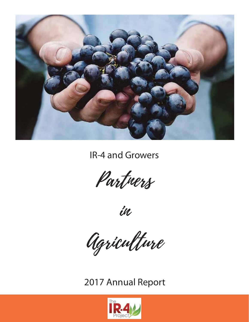

IR-4 and Growers

Partners

in

Agriculture

2017 Annual Report

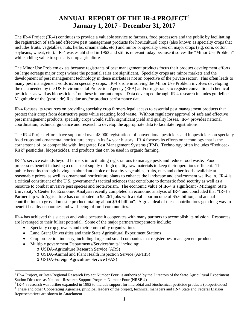## **ANNUAL REPORT OF THE IR-4 PROJECT[1](#page-1-0) January 1, 2017 - December 31, 2017**

The IR-4 Project (IR-4) continues to provide a valuable service to farmers, food processors and the public by facilitating the registration of safe and effective pest management products for horticultural crops (also known as specialty crops that includes fruits, vegetables, nuts, herbs, ornamentals, etc.) and minor or specialty uses on major crops (e.g. corn, cotton, soybeans, wheat, etc.). IR-4 was established in 1963 and still is relevant today because it solves the "Minor Use Problem" while adding value to specialty crop agriculture.

The Minor Use Problem exists because registrants of pest management products focus their product development efforts on large acreage major crops where the potential sales are significant. Specialty crops are minor markets and the development of pest management technology in these markets is not an objective of the private sector. This often leads to many pest management voids in/on specialty crops. IR-4's role in solving the Minor Use Problem involves developing the data needed by the US Environmental Protection Agency (EPA) and/or registrants to register conventional chemical pesticides as well as biopesticides<sup>[2](#page-1-1)</sup> on these important crops. Data developed through IR-4 research includes guideline Magnitude of the (pesticide) Residue and/or product performance data.

IR-4 focuses its resources on providing specialty crop farmers legal access to essential pest management products that protect their crops from destructive pests while reducing food waste. Without regulatory approval of safe and effective pest management products, specialty crops would suffer significant yield and quality losses. IR-4 provides national coordination, technical guidance and research to develop the appropriate data to facilitate registrations.

The IR-4 Project efforts have supported over 48,000 registrations of conventional pesticides and biopesticides on specialty food crops and ornamental horticulture crops in its 54-year history. IR-4 focuses its efforts on technology that is the cornerstone of, or compatible with, Integrated Pest Management Systems (IPM). Technology often includes "Reduced-Risk" pesticides, biopesticides, and products that can be used in organic farming.

IR-4's service extends beyond farmers in facilitating registrations to manage pests and reduce food waste. Food processors benefit in having a consistent supply of high quality raw materials to keep their operations efficient. The public benefits through having an abundant choice of healthy vegetables, fruits, nuts and other foods available at reasonable prices, as well as ornamental horticulture plants to enhance the landscape and environment we live in. IR-4 is a critical constituent of the U.S. government's tactical sciences that contribute to domestic food security as well as a resource to combat invasive pest species and bioterrorism. The economic value of IR-4 is significant - Michigan State University's Center for Economic Analysis recently completed an economic analysis of IR-4 and concluded that "IR-4's Partnership with Agriculture has contributed to 95,261 jobs with a total labor income of \$5.6 billion, and annual contributions to gross domestic product totaling about \$9.4 billion". A great deal of these contributions go a long way to benefit healthy economies and well-being of rural communities.

IR-4 has achieved this success and value because it cooperates with many partners to accomplish its mission. Resources are leveraged to their fullest potential. Some of the major partners/cooperators include:

- Specialty crop growers and their commodity organizations
- Land Grant Universities and their State Agricultural Experiment Stations
- Crop protection industry, including large and small companies that register pest management products
- Multiple government Departments/Services/units<sup>[3](#page-1-2)</sup> including:
	- o USDA-Agriculture Research Service (ARS)
	- o USDA-Animal and Plant Health Inspection Service (APHIS)
	- o USDA-Foreign Agriculture Service (FAS)

<span id="page-1-0"></span><sup>&</sup>lt;sup>1</sup> IR-4 Project, or Inter-Regional Research Project Number Four, is authorized by the Directors of the State Agricultural Experiment Station Directors as National Research Support Program Number Four (NRSP-4)

<span id="page-1-1"></span> $2$  IR-4's research was further expanded in 1982 to include support for microbial and biochemical pesticide products (biopesticides)

<span id="page-1-2"></span><sup>&</sup>lt;sup>3</sup> These and other Cooperating Agencies, principal leaders of the project, technical managers and IR-4 State and Federal Liaison Representatives are shown in Attachment 1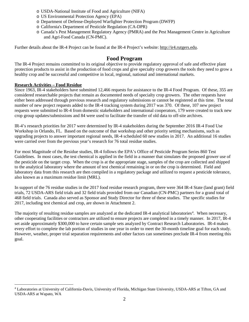- o USDA-National Institute of Food and Agriculture (NIFA)
- o US Environmental Protection Agency (EPA)
- o Department of Defense-Deployed Warfighter Protection Program (DWFP)
- o California's Department of Pesticide Regulation (CA-DPR)
- o Canada's Pest Management Regulatory Agency (PMRA) and the Pest Management Centre in Agriculture and Agri-Food Canada (CN-PMC).

Further details about the IR-4 Project can be found at the IR-4 Project's website: [http://ir4.rutgers.edu.](http://ir4.rutgers.edu/)

### **Food Program**

The IR-4 Project remains committed to its original objective to provide regulatory approval of safe and effective plant protection products to assist in the production of food crops and give specialty crop growers the tools they need to grow a healthy crop and be successful and competitive in local, regional, national and international markets.

### **Research Activities – Food Residue**

Since 1963, IR-4 stakeholders have submitted 12,466 requests for assistance to the IR-4 Food Program. Of these, 355 are considered researchable projects that remain as documented needs of specialty crop growers. The other requests have either been addressed through previous research and regulatory submissions or cannot be registered at this time. The total number of new project requests added to the IR-4 tracking system during 2017 was 370. Of these, 107 new project requests were submitted to IR-4 from domestic stakeholders and international cooperators, 179 were created to track new crop group updates/submissions and 84 were used to facilitate the transfer of old data to off-site archives.

IR-4's research priorities for 2017 were determined by IR-4 stakeholders during the September 2016 IR-4 Food Use Workshop in Orlando, FL. Based on the outcome of that workshop and other priority setting mechanisms, such as upgrading projects to answer important regional needs, IR-4 scheduled 60 new studies in 2017. An additional 16 studies were carried over from the previous year's research for 76 total residue studies.

For most Magnitude of the Residue studies, IR-4 follows the EPA's Office of Pesticide Program Series 860 Test Guidelines. In most cases, the test chemical is applied in the field in a manner that simulates the proposed grower use of the pesticide on the target crop. When the crop is at the appropriate stage, samples of the crop are collected and shipped to the analytical laboratory where the amount of test chemical remaining in or on the crop is determined. Field and laboratory data from this research are then compiled in a regulatory package and utilized to request a pesticide tolerance, also known as a maximum residue limit (MRL).

In support of the 76 residue studies in the 2017 food residue research program, there were 364 IR-4 State (land grant) field trials, 72 USDA-ARS field trials and 32 field trials provided from our Canadian (CN-PMC) partners for a grand total of 468 field trials. Canada also served as Sponsor and Study Director for three of these studies. The specific studies for 2017, including test chemical and crop, are shown in Attachment 2.

The majority of resulting residue samples are analyzed at the dedicated IR-[4](#page-2-0) analytical laboratories<sup>4</sup>. When necessary, other cooperating facilities or contractors are utilized to ensure projects are completed in a timely manner. In 2017, IR-4 set aside approximately \$300,000 to have certain sample sets analyzed by Contract Research Laboratories. IR-4 makes every effort to complete the lab portion of studies in one year in order to meet the 30-month timeline goal for each study. However, weather, proper trial separation requirements and other factors can sometimes preclude IR-4 from meeting this goal.

<span id="page-2-0"></span> <sup>4</sup> Laboratories at University of California-Davis, University of Florida, Michigan State University, USDA-ARS at Tifton, GA and USDA-ARS at Wapato, WA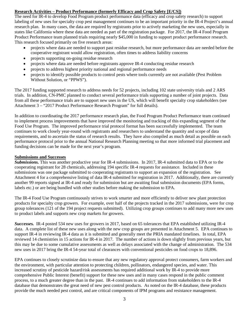### **Research Activities – Product Performance (formerly Efficacy and Crop Safety [E/CS])**

The need for IR-4 to develop Food Program product performance data (efficacy and crop safety research) to support labeling of new uses for specialty crop pest management continues to be an important priority in the IR-4 Project's annual research plan. In many cases, the data are required by registrants prior to actively marketing the new uses, especially in states like California where these data are needed as part of the registration package. For 2017, the IR-4 Food Program Product Performance team planned trials requiring nearly \$45,000 in funding to support product performance research. This research focused primarily on five research areas:

- projects where data are needed to support past residue research, but more performance data are needed before the cooperative registrant would allow registration, often times to address liability concerns
- projects supporting on-going residue research
- projects where data are needed before registrants approve IR-4 conducting residue research
- projects to address highest priority national and regional performance needs
- projects to identify possible products to control pests where tools currently are not available (Pest Problem Without Solution, or "PPWS").

The 2017 funding supported research to address needs for 52 projects, including 102 state university trials and 2 ARS trials. In addition, CN-PMC planned to conduct several performance trials supporting a number of joint projects. Data from all these performance trials are to support new uses in the US, which will benefit specialty crop stakeholders (see Attachment 3 – "2017 Product Performance Research Program" for full details).

In addition to coordinating the 2017 performance research plan, the Food Program Product Performance team continued to implement process improvements that have improved the monitoring and tracking of this expanding segment of the Food Use Program. The improved performance trial protocol format has been successfully implemented. The team continues to work closely year-round with registrants and researchers to understand the quantity and scope of data requirements, and to ascertain the status of research results. They have also compiled as much detail as possible on each performance protocol prior to the annual National Research Planning meeting so that more informed trial placement and funding decisions can be made for the next year's program.

### **Submissions and Successes**

*Submissions.* This was another productive year for IR-4 submissions. In 2017, IR-4 submitted data to EPA or to the cooperating registrant for 28 chemicals, addressing 194 specific IR-4 requests for assistance. Included in these submissions was one package submitted to cooperating registrants to support an expansion of the registration. See Attachment 4 for a comprehensive listing of data IR-4 submitted for registration in 2017. Additionally, there are currently another 99 reports signed at IR-4 and ready for submission but are awaiting final submission documents (EPA forms, labels etc.) or are being bundled with other studies before making the submission to EPA.

The IR-4 Food Use Program continuously strives to work smarter and more efficiently to deliver new plant protection products for specialty crop growers. For example, over half of the projects tracked in the 2017 submissions, were for crop group tolerances (121 of the 194 project requests submitted). Utilizing crop groups continues to add many more new uses to product labels and supports new crop markets for growers.

*Successes.* IR-4 posted 534 new uses for growers in 2017, based on 65 tolerances that EPA established utilizing IR-4 data. A complete list of these new uses along with the new crop groups are presented in Attachment 5. EPA continues to support IR-4 in reviewing IR-4 data as it is submitted and generally meet the PRIA mandated timelines. In total, EPA reviewed 14 chemistries in 15 actions for IR-4 in 2017. The number of actions is down slightly from previous years, but this may be due to some cumulative assessments as well as delays associated with the change of administration. The 534 new uses in 2017 bring the IR-4 54-year total of clearances with conventional pesticides on food crops to 18,896.

EPA continues to closely scrutinize data to ensure that any new regulatory approval protect consumers, farm workers and the environment, with particular attention to protecting children, pollinators, endangered species, and water. This increased scrutiny of pesticide hazard/risk assessments has required additional work by IR-4 to provide more comprehensive Public Interest (benefit) support for these new uses and in many cases respond in the public comment process, to a much greater degree than in the past. IR-4 continues to add information from stakeholders to the IR-4 database that demonstrates the great need of new pest control products. As noted on the IR-4 database, these products provide the much needed pest control, and are critical components of IPM programs and resistance management.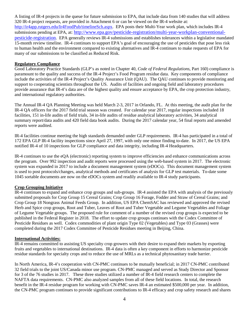A listing of IR-4 projects in the queue for future submission to EPA, that include data from 140 studies that will address 320 IR-4 project requests, are provided in Attachment 6 or can be viewed on the IR-4 website at: [http://ir4app.rutgers.edu/Ir4FoodPub/timelineSch.aspx.](http://ir4app.rutgers.edu/Ir4FoodPub/timelineSch.aspx) EPA posts their Multi-Year work plan, which includes IR-4 submissions pending at EPA, at: [http://www.epa.gov/pesticide-registration/multi-year-workplan-conventional](http://www.epa.gov/pesticide-registration/multi-year-workplan-conventional-pesticide-registration)[pesticide-registration.](http://www.epa.gov/pesticide-registration/multi-year-workplan-conventional-pesticide-registration) EPA generally reviews IR-4 submissions and establishes tolerances within a legislative mandated 15-month review timeline. IR-4 continues to support EPA's goal of encouraging the use of pesticides that pose less risk to human health and the environment compared to existing alternatives and IR-4 continues to make requests of EPA for many of our submissions to be classified as Reduced Risk.

### **Regulatory Compliance**

Good Laboratory Practice Standards (GLP's as noted in Chapter 40, *Code of Federal Regulations*, Part 160) compliance is paramount to the quality and success of the IR-4 Project's Food Program residue data. Key components of compliance include the activities of the IR-4 Project's Quality Assurance Unit (QAU). The QAU continues to provide monitoring and support to cooperating scientists throughout the US. Audits of facilities and ongoing field and laboratory procedures provide assurance that IR-4's data are of the highest quality and ensure acceptance by EPA, the crop protection industry, and international regulatory authorities.

The Annual IR-4 QA Planning Meeting was held March 2-3, 2017 in Orlando, FL. At this meeting, the audit plan for the IR-4 QA officers for the 2017 field trial season was created. For calendar year 2017, regular inspections included 18 facilities, 151 in-life audits of field trials, 34 in-life audits of residue analytical laboratory activities, 34 analytical summary report/data audits and 420 field data book audits. During the 2017 calendar year, 54 final reports and amended reports were audited.

IR-4 facilities continue meeting the high standards demanded under GLP requirements. IR-4 has participated in a total of 172 EPA GLP IR-4 facility inspections since April 27, 1997, with only one minor finding to-date. In 2017, the US EPA notified IR-4 of 10 inspections for GLP compliance and data integrity, including IR-4 Headquarters.

IR-4 continues to use the eQA (electronic) reporting system to improve efficiencies and enhance communications across the program. Over 992 inspection and audit reports were processed using the web-based system in 2017. The electronic system was expanded in 2017 to include a document management system (eDOCs). This document management system is used to post protocols/changes, analytical methods and certificates of analysis for GLP test materials. To-date some 1045 sortable documents are now on the eDOCs system and readily available to IR-4 study participants.

### **Crop Grouping Initiative**

IR-4 continues to expand and enhance crop groups and sub-groups. IR-4 assisted the EPA with analysis of the previously submitted proposals for Crop Group 15 Cereal Grains; Crop Group 16 Forage, Fodder and Straw of Cereal Grains; and Crop Group 18 Nongrass Animal Feeds Group. In addition, US EPA ChemSAC has reviewed and approved the revised Herb and Spice crop groups, Root and Tuber, Leaves of Root and Tuber Vegetable and Legume Vegetables and Foliage of Legume Vegetable groups. The proposed rule for comment of a number of the revised crop groups is expected to be published in the Federal Register in 2018. The effort to update crop groups continues with the Codex Committee of Pesticide Residues as well. Codex commodities of plant origin Type 02 (Vegetables) and Type 03 (Grasses) were completed during the 2017 Codex Committee of Pesticide Residues meeting in Beijing, China.

### **International Activities:**

IR-4 remains committed to assisting US specialty crop growers with their desire to expand their markets by exporting fruits and vegetables to international destinations. IR-4 data is often a key component in efforts to harmonize pesticide residue standards for specialty crops and to reduce the use of MRLs as a technical phytosanitary trade barrier.

In North America, IR-4's cooperation with CN-PMC continues to be mutually beneficial; in 2017 CN-PMC contributed 32 field trials to the joint US/Canada minor use program. CN-PMC managed and served as Study Director and Sponsor for 3 of the 76 studies in 2017. These three studies utilized a number of IR-4 field research centers to complete the NAFTA data requirements. CN-PMC also analyzed samples from all of these field locations. In total, the research benefit in the IR-4 residue program for working with CN-PMC saves IR-4 an estimated \$500,000 per year. In addition, the CN-PMC program continues to provide significant contributions to IR-4 efficacy and crop safety research and shares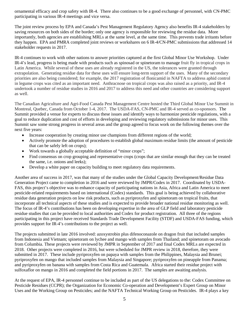ornamental efficacy and crop safety with IR-4. There also continues to be a good exchange of personnel, with CN-PMC participating in various IR-4 meetings and vice versa.

The joint review process by EPA and Canada's Pest Management Regulatory Agency also benefits IR-4 stakeholders by saving resources on both sides of the border; only one agency is responsible for reviewing the residue data. More importantly, both agencies are establishing MRLs at the same level, at the same time. This prevents trade irritants before they happen. EPA and PMRA completed joint reviews or workshares on 6 IR-4/CN-PMC submissions that addressed 14 stakeholder requests in 2017.

IR-4 continues to work with other nations to answer priorities captured at the first Global Minor Use Workshop. Under IR-4's lead, progress is being made with products such as spinosad or spinetoram to manage fruit fly in tropical crops in Latin America. While several of these uses are already registered in the US, the tolerances were granted through extrapolation. Generating residue data for these uses will ensure long-term support of the uses. Many of the secondary priorities are also being considered; for example, the 2017 registration of flonicamid in NAFTA to address aphid control in legume crops was cited as an important need. Anthracnose on tropical crops was also raised as a priority, and IR-4 undertook a number of residue studies in 2016 and 2017 to address this need and other countries are considering support as well.

The Canadian Agriculture and Agri-Food Canada Pest Management Centre hosted the Third Global Minor Use Summit in Montreal, Quebec, Canada from October 1-4, 2017. The USDA-FAS, CN-PMC and IR-4 served as co-sponsors. The Summit provided a venue for experts to discuss these issues and identify ways to harmonize pesticide regulations, with a goal to reduce duplication and cost of efforts in developing and reviewing regulatory submissions for minor uses. This Summit saw some strong progress in several areas and the group agreed to focus work on the following themes over the next five years:

- Increase cooperation by creating minor use champions from different regions of the world;
- Actively promote the adoption of procedures to establish global maximum residue limits (the amount of pesticide that can be safely left on crops);
- Work towards a globally acceptable definition of "minor crops";
- Find consensus on crop grouping and representative crops (crops that are similar enough that they can be treated the same, i.e. onions and leeks);
- Develop a white paper on capacity building to meet regulatory data requirements.

Another area of success in 2017, was that many of the studies under the Global Capacity Development/Residue Data Generation Project came to completion in 2016 and were reviewed by JMPR/Codex in 2017. Coordinated by USDA-FAS, this project's objective was to enhance capacity of participating nations in Asia, Africa and Latin America to meet pesticide-related requirements based on international (Codex) standards. This goal is being achieved by collaborative residue data generation projects on low risk products, such as pyriproxyfen and spinetoram on tropical fruits, that incorporate all technical aspects of these studies and is expected to provide broader national residue monitoring as well. The focus of IR-4's contributions has been on developing expertise in the area of GLP field and laboratory pesticide residue studies that can be provided to local authorities and Codex for product registration. All three of the regions participating in this project have received Standards Trade Development Facility (STDF) and USDA-FAS funding, which provides support for IR-4's contributions to the project as well.

The projects submitted in late 2016 involved: azoxystrobin plus difenoconazole on dragon fruit that included samples from Indonesia and Vietnam; spinetoram on lychee and mango with samples from Thailand; and spinetoram on avocado from Columbia. These projects were reviewed by JMPR in September of 2017 and final Codex MRLs are expected in 2018. Other projects were completed in 2016, but were scheduled for JMPR review in 2018, therefore, they were submitted in 2017. These include pyriproxyfen on papaya with samples from the Philippines, Malaysia and Brunei; pyriproxyfen on mango that included samples from Malaysia and Singapore; pyriproxyfen on pineapple from Panama; and pyriproxyfen on banana with samples from Costa Rica and Guatemala. Africa started their residue project with sulfoxaflor on mango in 2016 and completed the field portions in 2017. The samples are awaiting analysis.

At the request of EPA, IR-4 personnel continue to be included as part of the US delegations to the: Codex Committee on Pesticide Residues (CCPR); the [Organization for Economic Co-operation and Development's E](http://www.oecd.org/)xpert Group on Minor Uses and the Working Group on Pesticides; and the NAFTA Technical Working Group on Pesticides. IR-4 plays a key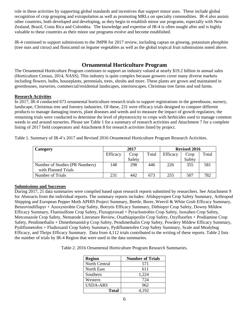role in these activities by supporting global standards and incentives that support minor uses. These include global recognition of crop grouping and extrapolation as well as promoting MRLs on specialty commodities. IR-4 also assists other countries, both developed and developing, as they begin to establish minor use programs, especially with New Zealand, Brazil, Costa Rica and Colombia. The knowledge and expertise of IR-4 is often sought after and is highly valuable to these countries as their minor use programs evolve and become established.

IR-4 continued to support submissions to the JMPR for 2017 review, including captan on ginseng, potassium phosphite (tree nuts and citrus) and flonicamid on legume vegetables as well as the global tropical fruit submissions noted above.

### **Ornamental Horticulture Program**

The Ornamental Horticulture Program continues to support an industry valued at nearly \$19.2 billion in annual sales (Horticulture Census, 2014, NASS). This industry is quite complex because growers cover many diverse markets including flowers, bulbs, houseplants, perennials, trees, shrubs and more. These plants are grown and maintained in greenhouses, nurseries, commercial/residential landscapes, interiorscapes, Christmas tree farms and sod farms.

### **Research Activities**

In 2017, IR-4 conducted 673 ornamental horticulture research trials to support registrations in the greenhouse, nursery, landscape, Christmas tree and forestry industries. Of these, 231 were efficacy trials designed to compare different products to manage damaging insects, plant diseases and weeds and to measure the impact of growth regulators; the remaining trials were conducted to determine the level of phytotoxicity to crops with herbicides used to manage common weeds in and around nurseries. Please see Table 1 for a summary of research activities and Attachment 7 for a complete listing of 2017 field cooperators and Attachment 8 for research activities listed by project.

| Category                       | 2017     |        | <b>Revised 2016</b> |                 |        |       |
|--------------------------------|----------|--------|---------------------|-----------------|--------|-------|
|                                | Efficacy | Crop   | Total               | <b>Efficacy</b> | Crop   | Total |
|                                |          | Safety |                     |                 | Safety |       |
| Number of Studies (PR Numbers) | 148      | 298    | 446                 | 226             | 355    | 581   |
| with Planned Trials            |          |        |                     |                 |        |       |
| Number of Trials               | 231      | 442    | 673                 | 255             | 507    | 787   |

Table 1. Summary of IR-4's 2017 and Revised 2016 Ornamental Horticulture Program Research Activities.

### **Submissions and Successes**

During 2017, 21 data summaries were compiled based upon research reports submitted by researchers. See Attachment 9 for Abstracts from the individual reports. The summary reports includes: Afidopyropen Crop Safety Summary, Arthropod Shipping and European Pepper Moth APHIS Project Summary, Beetle, Borer, Weevil & White Grub Efficacy Summary, Benzovindiflupyr + Azoxystrobin Crop Safety, Botrytis Efficacy Summary, Dithiopyr Crop Safety, Downy Mildew Efficacy Summary, Fluensulfone Crop Safety, Fluxapyroxad + Pyraclostrobin Crop Safety, Isoxaben Crop Safety, Metconazole Crop Safety, Nematode Literature Review, Oxathiapiprolin Crop Safety, Oxyfluorfen + Prodiamine Crop Safety, Pendimethalin + Dimethenamid-p Crop Safety, Pendimethalin Crop Safety, Powdery Mildew Efficacy Summary, Pydiflumetofen + Fludioxanil Crop Safety Summary, Pydiflumetofen Crop Safety Summary, Scale and Mealybug Efficacy, and Thrips Efficacy Summary. Data from 4,112 trials contributed to the writing of these reports. Table 2 lists the number of trials by IR-4 Region that were used in the data summaries.

Table 2. 2016 Ornamental Horticulture Program Research Summaries.

| <b>Region</b>     | <b>Number of Trials</b> |
|-------------------|-------------------------|
| North Central     | 571                     |
| <b>North East</b> | 611                     |
| Southern          | 1,224                   |
| Western           | 724                     |
| <b>USDA-ARS</b>   | 962                     |
| Total             | 4,192                   |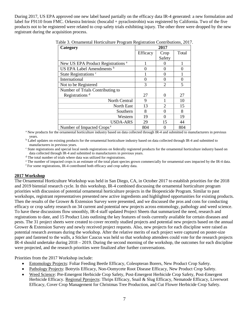During 2017, US EPA approved one new label based partially on the efficacy data IR-4 generated: a new formulation and label for F9110 from FMC. Orkestra Intrinsic (boscalid + pyraclostrobin) was registered by California. Two of the five products not to be registered were related to crop safety trials exhibiting injury. The other three were dropped by the new registrant during the acquisition process.

| Category                                      |          | 2017                  |          |
|-----------------------------------------------|----------|-----------------------|----------|
|                                               | Efficacy | Crop                  | Total    |
|                                               |          | Safety                |          |
| New US EPA Product Registrations <sup>a</sup> |          |                       |          |
| US EPA Label Amendments <sup>b</sup>          |          | $\Omega$              |          |
| State Registrations <sup>c</sup>              |          | $\Omega$              |          |
| International                                 |          | $\Omega$              | $\Omega$ |
| Not to be Registered                          | 3        | $\mathfrak{D}$        | 5        |
| Number of Trials Contributing to              |          |                       |          |
| Registrations <sup>d</sup>                    | 27       | $\Omega$              | 27       |
| North Central                                 | 9        |                       | 10       |
| North East                                    | 13       | $\mathcal{D}_{\cdot}$ | 15       |
| Southern                                      | 8        | ∩                     | 8        |
| Western                                       | 19       | 0                     | 19       |
| <b>USDA-ARS</b>                               | 29       | 15                    | 44       |
| Number of Impacted Crops <sup>e</sup>         | 804      | $\Omega$              | 804      |

Table 3. Ornamental Horticulture Program Registration Contributions, 2017.

<sup>a</sup> New products for the ornamental horticulture industry based on data collected through IR-4 and submitted to manufacturers in previous

years.<br><sup>b</sup> Label updates on existing products for the ornamental horticulture industry based on data collected through IR-4 and submitted to manufacturers in previous years.<br><sup>c</sup> State registrations and special local needs registrations on federally registered products for the ornamental horticulture industry based on

data collected through IR-4 and submitted to manufacturers in previous years.<br> $\frac{d}{dt}$  The total number of trials where data was utilized for registrations.

<sup>e</sup> The number of impacted crops is an estimate of the total plant species grown commercially for ornamental uses impacted by the IR-4 data.<br><sup>f</sup> For some registrations, IR-4 contributed both efficacy and crop safety data.

### **2017 Workshop**

The Ornamental Horticulture Workshop was held in San Diego, CA, in October 2017 to establish priorities for the 2018 and 2019 biennial research cycle. In this workshop, IR-4 combined discussing the ornamental horticulture program priorities with discussion of potential ornamental horticulture projects in the Biopesticide Program. Similar to past workshops, registrant representatives presented new active ingredients and highlighted opportunities for existing products. Then the results of the Grower & Extension Survey were presented, and we discussed the pros and cons for conducting efficacy or crop safety research on 34 current and potential new projects across entomology, pathology and weed science. To have these discussions flow smoothly, IR-4 staff updated Project Sheets that summarized the need, research and registrations to date, and 15 Product Lists outlining the key features of tools currently available for certain diseases and pests. The 31 project sheets were created to cover recently studied projects and potential new projects based on the annual Grower & Extension Survey and newly received project requests. Also, new projects for each discipline were raised as potential research avenues during the workshop. After the relative merits of each project were captured on poster-size paper and fastened to the walls, a Sticker Caucus was held so that workshop attendees could vote for the research projects IR-4 should undertake during 2018 – 2019. During the second morning of the workshop, the outcomes for each discipline were projected, and the research priorities were finalized after further conversations.

Priorities from the 2017 Workshop include:

- Entomology Projects: Foliar Feeding Beetle Efficacy, Coleopteran Borers, New Product Crop Safety.
- Pathology Projects: Botrytis Efficacy, Non-Oomycete Root Disease Efficacy, New Product Crop Safety.
- Weed Science: Pre-Emergent Herbicide Crop Safety, Post-Emergent Herbicide Crop Safety, Post-Emergent Herbicide Efficacy. Regional Pprojects: Thrips Efficacy, Snail & Slug Efficacy, Nematode Efficacy, Liverwort Efficacy, Cover Crop Management for Christmas Tree Production, and Cut Flower Herbicide Crop Safety.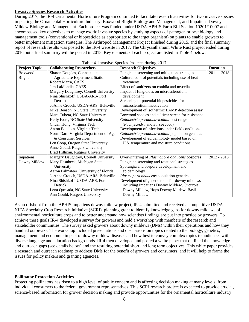### **Invasive Species Research Activities**

During 2017, the IR-4 Ornamental Horticulture Program continued to facilitate research activities for two invasive species impacting the Ornamental Horticulture Industry: Boxwood Blight Biology and Management, and Impatiens Downy Mildew Biology and Management. Each project was funded under USDA-APHIS Farm Bill Section 10201/10007 and encompassed key objectives to manage exotic invasive species by studying aspects of pathogen or pest biology and management tools (conventional or biopesticide as appropriate to the target organism) on plants to enable growers to better implement mitigation strategies. The Arthropod Management Project finished during 2015, and the final summary report of research results was posted to the IR-4 website in 2017. The Chrysanthemum White Rust project ended during 2016 but a final summary will be posted in 2018. Key elements of each project are listed in Table 4 below.

| <b>Project Topic</b> | <b>Collaborating Researchers</b>       | <b>Research Objectives</b>                         | <b>Duration</b> |
|----------------------|----------------------------------------|----------------------------------------------------|-----------------|
| <b>Boxwood</b>       | Sharon Douglas, Connecticut            | Fungicide screening and mitigation strategies      | $2011 - 2018$   |
| Blight               | <b>Agriculture Experiment Station</b>  | Cultural control potentials including use of heat  |                 |
|                      | Robert Marra, CAES                     | treatments                                         |                 |
|                      | Jim LaMondia, CAES                     | Effect of sanitizers on conidia and mycelia        |                 |
|                      | Margery Daughtrey, Cornell University  | Impact of fungicides on microsclerotium            |                 |
|                      | Nina Shishkoff, USDA-ARS- Fort         | development                                        |                 |
|                      | Detrick                                | Screening of potential biopesticides for           |                 |
|                      | JoAnne Crouch, USDA-ARS, Beltsville    | microslerotium inactivation                        |                 |
|                      | Mike Benson, NC State University       | Development of isothermic LAMP detection assay     |                 |
|                      | Marc Cubeta, NC State University       | Boxwood species and cultivar screen for resistance |                 |
|                      | Kelly Ivors, NC State University       | Calonectria pseudonaviculata host range            |                 |
|                      | Chuan Hong, Virginia Tech              | (Pachysandra and Sarcoccoca)                       |                 |
|                      | Anton Baudoin, Virginia Tech           | Development of infections under field conditions   |                 |
|                      | Norm Dart, Virginia Department of Ag.  | Calonectria pseudonaviculata population genetics   |                 |
|                      | & Consumer Services                    | Development of epidemiology model based on         |                 |
|                      | Len Coop, Oregon State University      | U.S. temperature and moisture conditions           |                 |
|                      | Anne Gould, Rutgers University         |                                                    |                 |
|                      | Brad Hillman, Rutgers University       |                                                    |                 |
| Impatiens            | Margery Daughtrey, Cornell University  | Overwintering of Plasmopora obducens oospores      | $2012 - 2018$   |
| Downy Mildew         | Mary Hasubeck, Michigan State          | Fungicide screening and rotational strategies      |                 |
|                      | University                             | Sporangia and oospore development and              |                 |
|                      | Aaron Palmateer, University of Florida | epidemiology                                       |                 |
|                      | JoAnne Crouch, USDA-ARS, Beltsville    | Plasmopora obducens population genetics            |                 |
|                      | Nina Shishkoff, USDA-ARS, Fort         | Development of genetic tools for downy mildews     |                 |
|                      | Detrick                                | including Impatiens Downy Mildew, Cucurbit         |                 |
|                      | Lena Quesada, NC State University      | Downy Mildew, Hops Downy Mildew, Basil             |                 |
|                      | Ann Gould, Rutgers University          | Downy Mildew                                       |                 |

Table 4. Invasive Species Projects during 2017

As an offshoot from the APHIS impatiens downy mildew project, IR-4 submitted and received a competitive USDA-NIFA Specialty Crop Research Initiative (SCRI) planning grant to identify knowledge gaps for downy mildews of environmental horticulture crops and to better understand how scientists findings are put into practice by growers. To achieve these goals IR-4 developed a survey for growers and held a workshop with members of the research and stakeholder communities. The survey asked growers about downy mildews (DMs) within their operations and how they handled outbreaks. The workshop included presentations and discussions on topics related to the biology, genetics, management and economic impact of downy mildew diseases and how best to convey complex topics to audiences with diverse language and education backgrounds. IR-4 then developed and posted a white paper that outlined the knowledge and outreach gaps (see details below) and the resulting potential short and long term objectives. This white paper provides a research and outreach roadmap to address DMs for the benefit of growers and consumers, and it will help to frame the issues for policy makers and granting agencies.

### **Pollinator Protection Activities**

Protecting pollinators has risen to a high level of public concern and is affecting decision making at many levels, from individual consumers to the federal government representatives. This SCRI research project is expected to provide crucial, science-based information for grower decision making and provide opportunities for the ornamental horticulture industry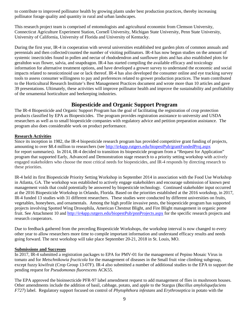to contribute to improved pollinator health by growing plants under best production practices, thereby increasing pollinator forage quality and quantity in rural and urban landscapes.

This research project team is comprised of entomologists and agricultural economist from Clemson University, Connecticut Agriculture Experiment Station, Cornell University, Michigan State University, Penn State University, University of California, University of Florida and University of Kentucky.

During the first year, IR-4 in cooperation with several universities established test garden plots of common annuals and perennials and then collected/counted the number of visiting pollinators. IR-4 has now begun studies on the amount of systemic insecticides found in pollen and nectar of rhododendron and sunflower plots and has also established plots for geraltdon wax flower, salvia, and snapdragon. IR-4 has started compiling the available efficacy and toxicology information for alternative treatment options, and have developed a grower survey to understand the economic and social impacts related to neonicotinoid use or lack thereof. IR-4 has also developed the consumer online and eye tracking survey tools to assess consumer willingness to pay and preferences related to grower production practices. The team contributed to the Horticultural Research Institute's Best Management Practices document and wrote more than 10 articles and gave 39 presentations. Ultimately, these activities will improve pollinator health and improve the sustainability and profitability of the ornamental horticulture and beekeeping industries.

## **Biopesticide and Organic Support Program**

The IR-4 Biopesticide and Organic Support Program has the goal of facilitating the registration of crop protection products classified by EPA as Biopesticides. The program provides registration assistance to university and USDA researchers as well as to small biopesticide companies with regulatory advice and petition preparation assistance. The program also does considerable work on product performance.

### **Research Activities**

Since its inception in 1982, the IR-4 biopesticide research program has provided competitive grant funding of projects, amounting to over \$8.4 million to researchers (see<http://ir4app.rutgers.edu/biopestPub/grantFundedProj.aspx> for report summaries). In 2014, IR-4 decided to transition its biopesticide program from a "Request for Application" program that supported Early, Advanced and Demonstration stage research to a priority setting workshop with actively engaged stakeholders who choose the most critical needs for biopesticides, and IR-4 responds by directing research to these priorities.

IR-4 held its first Biopesticide Priority Setting Workshop in September 2014 in association with the Food Use Workshop in Atlanta, GA. The workshop was established to actively engage stakeholders and encourage submission of known pest management voids that could potentially be answered by biopesticide technology. Continued stakeholder input occurred at the 2016 Biopesticide Workshop in Orlando, Florida. Based on the priorities established at the 2016 workshop, in 2017, IR-4 funded 13 studies with 31 different researchers. These studies were conducted by different universities on fruits, vegetables, honeybees, and ornamentals. Among the high profile invasive pests, the biopesticide program has supported projects involving Spotted Wing Drosophila, American Chestnut Blight, and Fire Blight management in organic pome fruit. See Attachment 10 and<http://ir4app.rutgers.edu/biopestPub/pnnProjects.aspx> for the specific research projects and research cooperators.

Due to feedback gathered from the preceding Biopesticide Workshops, the workshop interval is now changed to every other year to allow researchers more time to compile important information and understand efficacy results and needs going forward. The next workshop will take place September 20-21, 2018 in St. Louis, MO.

### **Submissions and Successes**

In 2017, IR-4 submitted a registration packages to EPA for PMV-01 for the management of Pepino Mosaic Virus in tomato and for *Metschnikowia fructicola* for the management of diseases in the Small fruit vine climbing subgroup, except fuzzy kiwifruit (Crop Group 13-07F). IR-4 also submitted a number of additional studies to the EPA to support the pending request for *Pseudomonas fluorescens* ACK55.

The EPA approved the bioinsecticide PFR-97 label amendment request to add management of flies in mushroom houses. Other amendments include the addition of basil, cabbage, potato, and apple to the Stargus (*Bacillus amyloliquefaciens F727*) label. Regulatory support focused on control of *Phytophthora infestans* and *Erythroseptica* in potato with the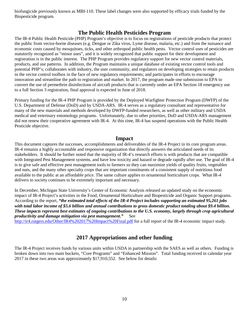biofungicide previously known as MBI-110. These label changes were also supported by efficacy trials funded by the Biopesticide program.

### **The Public Health Pesticides Program**

The IR-4 Public Health Pesticide (PHP) Program's objective is to focus on registrations of pesticide products that protect the public from vector-borne diseases (e.g. Dengue or Zika virus, Lyme disease, malaria, etc.) and from the nuisance and economic costs caused by mosquitoes, ticks, and other arthropod public health pests. Vector control uses of pesticides are statutorily recognized as "minor uses", and it is widely recognized that public support for their development and registration is in the public interest. The PHP Program provides regulatory support for new vector control materials, products, and use patterns. In addition, the Program maintains a unique database of existing vector control tools and potential PHP's; collaborates with industry, the user community, and regulators on developing strategies to retain products in the vector control toolbox in the face of new regulatory requirements; and participates in efforts to encourage innovation and streamline the path to registration and market. In 2017, the program made one submission to EPA to convert the use of permethrin disinfections of aircraft products that is currently under an EPA Section 18 emergency use to a full Section 3 registration, final approval is expected in June of 2018.

Primary funding for the IR-4 PHP Program is provided by the Deployed Warfighter Protection Program (DWFP) of the U.S. Department of Defense (DoD) and by USDA-ARS. IR-4 serves as a regulatory consultant and representative for many of the new materials and methods developed by DWFP-funded researchers, as well as other military and USDA medical and veterinary entomology programs. Unfortunately, due to other priorities, DoD and USDA-ARS management did not renew their cooperative agreement with IR-4. At this time, IR-4 has suspend operations with the Public Health Pesticide objective.

### **Impact**

This document captures the successes, accomplishments and deliverables of the IR-4 Project in its core program areas. IR-4 remains a highly accountable and responsive organization that directly answers the articulated needs of its stakeholders. It should be further noted that the majority of IR-4's research efforts is with products that are compatible with Integrated Pest Management systems, and have low toxicity and hazard or degrade rapidly after use. The goal of IR-4 is to give safe and effective pest management tools to farmers so they can maximize yields of quality fruits, vegetables and nuts, and the many other specialty crops that are important constituents of a consistent supply of nutritious food available to the public at an affordable price. The same culture applies to ornamental horticulture crops. What IR-4 delivers to society continues to be extremely important and necessary.

In December, Michigan State University's Center of Economic Analysis released an updated study on the economic impact of IR-4 Project's activities in the Food, Ornamental Horticulture and Biopesticide and Organic Support programs. According to the report, *"the estimated total effects of the IR-4 Project includes supporting an estimated 95,261 jobs with total labor income of \$5.6 billion and annual contributions to gross domestic product totaling about \$9.4 billion. These impacts represent best estimates of ongoing contributions to the U.S. economy, largely through crop agricultural productivity and damage mitigation via pest management."* See

<http://ir4.rutgers.edu/Other/IR4%202017%20Impact%20Final.pdf> for a full report of the IR-4 economic impact study.

### **2017 Appropriations and other funding**

The IR-4 Project receives funds by various units within USDA in partnership with the SAES as well as others. Funding is broken down into two main buckets, "Core Programs" and "Enhanced Mission". Total funding received in calendar year 2017 in these two areas was approximately \$17,910,552. See below for details: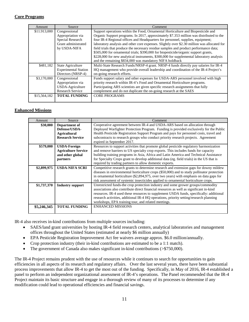### **Core Programs**

| Amount       | Source                      | Comment                                                                                     |
|--------------|-----------------------------|---------------------------------------------------------------------------------------------|
| \$11.913,000 | Congressional               | Support operations within the Food, Ornamental Horticulture and Biopesticide and            |
|              | Appropriation via           | Organic Support programs. In 2017, approximately \$7.353 million was distributed to the     |
|              | Special Research            | four IR-4 Regional offices and Headquarters for personnel, supplies, equipment;             |
|              | Grant administrated         | laboratory analysis and other core expenses. Slightly over \$2.30 million was allocated for |
|              | by USDA-NIFA                | field trials that produce the necessary residue samples and product performance data;       |
|              |                             | \$505,000 for ornamental trials; \$390,000 for biopesticide/organic support grants,         |
|              |                             | \$228,000 for new analytical instruments, \$300,000 for supplemental laboratory analysis    |
|              |                             | and the remaining \$834,000 was mandatory NIFA holdback                                     |
| \$481,182    | State Agriculture           | Multi-State Research Funds/NRSP-4 grant. NRSP-4 funds directly pay salaries for IR-4        |
|              | <b>Experimental Station</b> | HQ management who provide overall leadership and coordination of the IR-4 Project's         |
|              | Directors (NRSP-4)          | on-going research efforts.                                                                  |
| \$3,170,000  | Congressional               | Funds support salary and other expenses for USDA-ARS personnel involved with high           |
|              | Appropriation via           | priority research within IR-4's Food and Ornamental Horticulture programs.                  |
|              | USDA-Agriculture            | Participating ARS scientists are given specific research assignments that fully             |
|              | <b>Research Service</b>     | complement and do not duplicate the on-going research at the SAES                           |
| \$15,564,182 | <b>TOTAL FUNDING</b>        | <b>CORE PROGRAMS</b>                                                                        |
|              |                             |                                                                                             |

### **Enhanced Missions**

| Amount      | Source                                                                            | Comment                                                                                                                                                                                                                                                                                                                                                                                                                       |
|-------------|-----------------------------------------------------------------------------------|-------------------------------------------------------------------------------------------------------------------------------------------------------------------------------------------------------------------------------------------------------------------------------------------------------------------------------------------------------------------------------------------------------------------------------|
| \$30,000    | Department of<br>Defense/USDA-<br><b>Agricultural</b><br><b>Research Service</b>  | Cooperative agreement between IR-4 and USDA-ARS based on allocation through<br>Deployed Warfighter Protection Program. Funding is provided exclusively for the Public<br>Health Pesticide Registration Support Program and pays for personnel costs, travel and<br>subcontracts to research groups who conduct priority research projects. Agreement<br>expired in September 2017.                                            |
| \$579,000   | <b>USDA-Foreign</b><br><b>Agriculture Service</b><br>and other global<br>partners | Resources to support activities that promote global pesticide regulatory harmonization<br>and remove barriers to US specialty crop exports. This includes funds for capacity<br>building training programs in Asia, Africa and Latin America and Technical Assistance<br>for Specialty Crops grant to develop additional data (eg. field trials) in the US that is<br>required by trading partners to allow domestic exports. |
| \$2,899,975 | <b>USDA-NIFA SCRI</b>                                                             | Competitive research grants to determine research and extension gaps for downy mildew<br>diseases in environmental horticulture crops (\$50,000) and to study pollinator protection<br>in ornamental horticulture $(\$2,894,975)$ , over two years) with emphasis on data gaps for<br>risk assessment of systemic insecticides applied to ornamental horticulture crops.                                                      |
| \$1,737,370 | <b>Industry support</b>                                                           | Unrestricted funds-the crop protection industry and some grower groups/commodity<br>associations also contribute direct financial resources as well as significant in-kind<br>resources. IR-4 used these resources to supplement USDA funds, specifically: additional<br>research activities, additional IR-4 HQ operations, priority setting/research planning<br>workshops, EPA training tour, and related meetings.        |
| \$5.246.345 | <b>TOTAL FUNDING</b>                                                              | <b>ENHANCED MISSIONS</b>                                                                                                                                                                                                                                                                                                                                                                                                      |

IR-4 also receives in-kind contributions from multiple sources including:

- SAES/land grant universities by hosting IR-4 field research centers, analytical laboratories and management offices throughout the United States (estimated at nearly \$6 million annually)
- EPA Pesticide Registration Improvement Act fee waivers average approx. \$6.0 million/annually.
- Crop protection industry (their in-kind contributions are estimated to be a 1:1 match).
- The government of Canada also makes significant in-kind contributions (>\$750,000).

The IR-4 Project remains prudent with the use of resources while it continues to search for opportunities to gain efficiencies in all aspects of its research and regulatory affairs. Over the last several years, there have been substantial process improvements that allow IR-4 to get the most out of the funding. Specifically, in May of 2016, IR-4 established a panel to perform an independent organizational assessment of IR-4's operations. The Panel recommended that the IR-4 Project maintain its basic structure and engage in a thorough review of many of its processes to determine if any modification could lead to operational efficiencies and financial savings.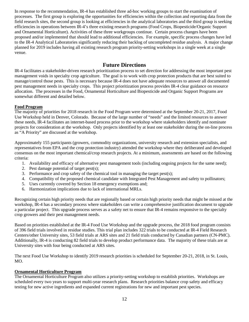In response to the recommendation, IR-4 has established three ad-hoc working groups to start the examination of processes. The first group is exploring the opportunities for efficiencies within the collection and reporting data from the field research sites, the second group is looking at efficiencies in the analytical laboratories and the third group is seeking efficiencies in operations between IR-4's three existing research programs (Food Crops, Biopesticide/Organic Support and Ornamental Horticulture). Activities of these three workgroups continue. Certain process changes have been proposed and/or implemented that should lead to additional efficiencies. For example, specific process changes have led to the IR-4 Analytical Laboratories significantly reducing their backlog of uncompleted residue analysis. A major change planned for 2019 includes having all existing research program priority-setting workshops in a single week at a single venue.

### **Future Directions**

IR-4 facilitates a stakeholder-driven research prioritization process to set direction for addressing the most important pest management voids in specialty crop agriculture. The goal is to work with crop protection products that are best suited to manage/control those pests. This is necessary because IR-4 does not have adequate resources to answer all documented pest management needs in specialty crops. This project prioritization process provides IR-4 clear guidance on resource allocation. The processes in the Food, Ornamental Horticulture and Biopesticide and Organic Support Programs are somewhat different and detailed below.

### **Food Program**

The majority of priorities for 2018 research in the Food Program were determined at the September 20-21, 2017, Food Use Workshop held in Denver, Colorado. Because of the large number of "needs" and the limited resources to answer these needs, IR-4 facilitates an internet-based process prior to the workshop where stakeholders identify and nominate projects for consideration at the workshop. Only projects identified by at least one stakeholder during the on-line process as "A Priority" are discussed at the workshop.

Approximately 155 participants (growers, commodity organizations, university research and extension specialists, and representatives from EPA and the crop protection industry) attended the workshop where they deliberated and developed consensus on the most important chemical/crop research projects. At a minimum, assessments are based on the following criteria:

- 1. Availability and efficacy of alternative pest management tools (including ongoing projects for the same need);
- 2. Pest damage potential of target pest(s);
- 3. Performance and crop safety of the chemical tool in managing the target pest(s);
- 4. Compatibility of the proposed chemical candidate with Integrated Pest Management and safety to pollinators;
- 5. Uses currently covered by Section 18 emergency exemptions and;
- 6. Harmonization implications due to lack of international MRLs.

Recognizing certain high priority needs that are regionally based or certain high priority needs that might be missed at the workshop, IR-4 has a secondary process where stakeholders can write a comprehensive justification document to upgrade a particular project. This upgrade process serves as a safety net to ensure that IR-4 remains responsive to the specialty crop growers and their pest management needs.

Based on priorities established at the IR-4 Food Use Workshop and the upgrade process, the 2018 food program consists of 396 field trials involved in residue studies. This trial plan includes 322 trials to be conducted at IR-4 Field Research Centers/other University sites, 53 field trials at ARS sites and 21 field trials conducted by Canadian partners (CN-PMC). Additionally, IR-4 is conducting 82 field trials to develop product performance data. The majority of these trials are at University sites with four being conducted at ARS sites.

The next Food Use Workshop to identify 2019 research priorities is scheduled for September 20-21, 2018, in St. Louis, MO.

### **Ornamental Horticulture Program**

The Ornamental Horticulture Program also utilizes a priority-setting workshop to establish priorities. Workshops are scheduled every two years to support multi-year research plans. Research priorities balance crop safety and efficacy testing for new active ingredients and expanded current registrations for new and important pest species.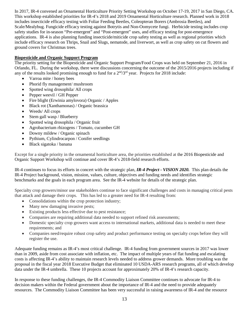In 2017, IR-4 convened an Ornamental Horticulture Priority Setting Workshop on October 17-19, 2017 in San Diego, CA. This workshop established priorities for IR-4's 2018 and 2019 Ornamental Horticulture research. Planned work in 2018 includes insecticide efficacy testing with Foliar Feeding Beetles, Coleopteran Borers (Ambrosia Beetles), and Scale/Mealybug. Fungicide efficacy testing against Botrytis and Non-Oomycete fungi. Herbicide testing includes crop safety studies for in-season "Pre-emergent" and "Post-emergent" uses, and efficacy testing for post-emergence applications. IR-4 is also planning funding insecticide/miticide crop safety testing as well as regional priorities which include efficacy research on Thrips, Snail and Slugs, nematode, and liverwort, as well as crop safety on cut flowers and ground covers for Christmas trees.

### **Biopesticide and Organic Support Program**

The priority setting for the Biopesticide and Organic Support Program/Food Crops was held on September 21, 2016 in Orlando, FL. During the workshop, there were discussions concerning the outcome of the 2015/2016 projects including if any of the results looked promising enough to fund for a  $2<sup>nd</sup>/3<sup>rd</sup>$  year. Projects for 2018 include:

- Varroa mite / honey bees
- Phorid fly management/ mushroom
- Spotted wing drosophila/ All crops
- Pepper weevil / GH Pepper
- Fire blight (Erwinia amylovora) Organic / Apples
- Black rot (Xanthamonas) / Organic brassica
- Weeds/All crops
- Stem gall wasp / Blueberry
- Spotted wing drosophila / Organic fruit
- Agrobacterium rhizogens / Tomato, cucumber GH
- Downy mildew / Organic spinach
- Pythium, Cylindrocarpon / Conifer seedlings
- Black sigatoka / banana

Except for a single priority in the ornamental horticulture area, the priorities established at the 2016 Biopesticide and Organic Support Workshop will continue and cover IR-4's 2018-field research efforts.

IR-4 continues to focus its efforts in concert with the strategic plan, *IR-4 Project - VISION 2020.* This plan details the IR-4 Project background, vision, mission, values, culture, objectives and funding needs and identifies strategic benchmarks and the goals in each program area. See the IR-4 website for details of the strategic plan.

Specialty crop growers/minor use stakeholders continue to face significant challenges and costs in managing critical pests that attack and damage their crops. This has led to a greater need for IR-4 resulting from:

- Consolidations within the crop protection industry;
- Many new damaging invasive pests;
- Existing products less effective due to pest resistance;
- Companies are requiring additional data needed to support refined risk assessments;
- Domestic specialty crop growers want access to international markets, additional data is needed to meet these requirements; and
- Companies need/require robust crop safety and product performance testing on specialty crops before they will register the use.

Adequate funding remains as IR-4's most critical challenge. IR-4 funding from government sources in 2017 was lower than in 2009, aside from cost associate with inflation, etc. The impact of multiple years of flat funding and escalating costs is affecting IR-4's ability to maintain research levels needed to address grower demands. More troubling was the proposal in the fiscal year 2018 Executive Budget that eliminated 10 USDA-ARS research programs, all of which develop data under the IR-4 umbrella. These 10 projects account for approximately 20% of IR-4's research capacity.

In response to these funding challenges, the IR-4 Commodity Liaison Committee continues to advocate for IR-4 to decision makers within the Federal government about the importance of IR-4 and the need to provide adequately resources. The Commodity Liaison Committee has been very successful in raising awareness of IR-4 and the resource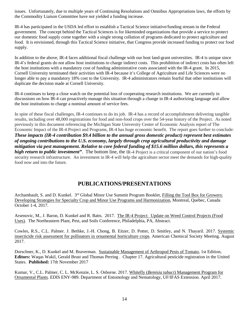issues. Unfortunately, due to multiple years of Continuing Resolutions and Omnibus Appropriations laws, the efforts by the Commodity Liaison Committee have not yielded a funding increase.

IR-4 has participated in the USDA led effort to establish a Tactical Science initiative/funding stream in the Federal government. The concept behind the Tactical Sciences is for likeminded organizations that provide a service to protect our domestic food supply come together with a single strong collation of programs dedicated to protect agriculture and food. It is envisioned, through this Tactical Science initiative, that Congress provide increased funding to protect our food supply.

In addition to the above, IR-4 faces additional fiscal challenge with our host land-grant universities. IR-4 is unique since IR-4's federal grants do not allow host institutions to charge indirect costs. This prohibition of indirect costs has often left the host institutions with a mandatory cost of funding administrative costs associated with the IR-4 grant. In 2015, Cornell University terminated their activities with IR-4 because it's College of Agriculture and Life Sciences were no longer able to pay a mandatory 18% cost to the University. IR-4 administrators remain fearful that other institutions will duplicate the decision made at Cornell University.

IR-4 continues to keep a close watch on the potential loss of cooperating research institutions. We are currently in discussions on how IR-4 can proactively manage this situation through a change in IR-4 authorizing language and allow the host institutions to charge a nominal amount of service fees.

In spite of these fiscal challenges, IR-4 continues to do its job. IR-4 has a record of accomplishment delivering tangible results, including over 48,000 registrations for food and non-food crops over the 54-year history of the Project. As noted previously in this document referencing the Michigan State University Center of Economic Analysis report of The Economic Impact of the IR-4 Project and Programs, IR-4 has huge economic benefit. The report goes further to conclude: *These impacts (IR-4 contribution \$9.4 billion to the annual gross domestic product) represent best estimates of ongoing contributions to the U.S. economy, largely through crop agricultural productivity and damage mitigation via pest management. Relative to core federal funding of \$15.6 million dollars, this represents a high return to public investment*". The bottom line, the IR-4 Project is a critical component of our nation's food security research infrastructure. An investment in IR-4 will help the agriculture sector meet the demands for high-quality food now and into the future.

## **PUBLICATIONS/PRESENTATIONS**

Archambault, S. and D. Kunkel. 3rd Global Minor Use Summit Program Booklet, Filling the Tool Box for Growers: Developing Strategies for Specialty Crop and Minor Use Programs and Harmonization, Montreal, Quebec, Canada October 1-4, 2017.

Arsenovic, M., J. Baron, D. Kunkel and R. Batts. 2017. The IR-4 Project: Update on Weed Control Projects (Food Uses). The Northeastern Plant, Pest, and Soils Conference, Philadelphia, PA, Abstract.

Cowles, R.S., C.L. Palmer. J. Bethke, J.-H. Chong, B. Eitzer, D. Potter, D. Smitley, and N. Thayaril. 2017. Systemic insecticide risk assessment for pollinators in ornamental horticulture crops. American Chemical Society Meeting. August 2017.

Dorschner, K., D. Kunkel and M. Braverman. Sustainable Management of Arthropod Pests of Tomato, 1st Edition, **Editors:** Waqas Wakil, Gerald Brust and Thomas Perring . Chapter 17. Agricultural pesticide registration in the United States. **Published:** 17th November 2017

Kumar, V., C.L. Palmer, C. L. McKenzie, L. S. Osborne. 2017. Whitefly (*Bemisia tabaci*) Management Program for Ornamental Plants. EDIS ENY-989. Department of Entomology and Nematology, UF/IFAS Extension. April 2017.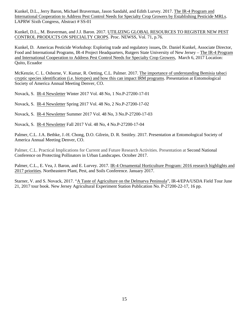Kunkel, D.L., Jerry Baron, Michael Braverman, Jason Sandahl, and Edith Lurvey. 2017. The IR-4 Program and International Cooperation to Address Pest Control Needs for Specialty Crop Growers by Establishing Pesticide MRLs. LAPRW Sixth Congress, Abstract # SS-01

Kunkel, D.L., M. Braverman, and J.J. Baron. 2017. UTILIZING GLOBAL RESOURCES TO REGISTER NEW PEST CONTROL PRODUCTS ON SPECIALTY CROPS. Proc. NEWSS, Vol. 71, p.76.

Kunkel, D. Americas Pesticide Workshop: Exploring trade and regulatory issues**,** Dr. Daniel Kunkel, Associate Director, Food and International Programs, IR-4 Project Headquarters, Rutgers State University of New Jersey – The IR-4 Program and International Cooperation to Address Pest Control Needs for Specialty Crop Growers, March 6, 2017 Location: Quito, Ecuador

McKenzie, C. L. Osborne, V. Kumar, R. Oetting, C.L. Palmer. 2017. The importance of [understanding Bemisia](https://esa.confex.com/esa/2017/meetingapp.cgi/Paper/122185) tabaci cryptic species identification (i.e. [biotypes\) and how this](https://esa.confex.com/esa/2017/meetingapp.cgi/Paper/122185) can impact IRM programs. Presentation at Entomological Society of America Annual Meeting Denver, CO.

Novack, S. IR-4 Newsletter Winter 2017 Vol. 48 No, 1 No.P-27200-17-01

Novack, S. IR-4 Newsletter Spring 2017 Vol. 48 No, 2 No.P-27200-17-02

Novack, S. IR-4 Newsletter Summer 2017 Vol. 48 No, 3 No.P-27200-17-03

Novack, S. IR-4 Newsletter Fall 2017 Vol. 48 No, 4 No.P-27200-17-04

Palmer, C.L. J.A. Bethke, J.-H. Chong, D.O. Gilrein, D. R. Smitley. 2017. Presentation at Entomological Society of America Annual Meeting Denver, CO.

Palmer, C.L. Practical Implications for Current and Future Research Activities. Presentation at Second National Conference on Protecting Pollinators in Urban Landscapes. October 2017.

Palmer, C.L., E. Vea, J. Baron, and E. Lurvey. 2017. IR-4 Ornamental Horticulture Program: 2016 research highlights and 2017 priorities. Northeastern Plant, Pest, and Soils Conference. January 2017.

Starner, V. and S. Novack, 2017. "A Taste of Agriculture on the Delmarva Peninsula", IR-4/EPA/USDA Field Tour June 21, 2017 tour book. New Jersey Agricultural Experiment Station Publication No. P-27200-22-17, 16 pp.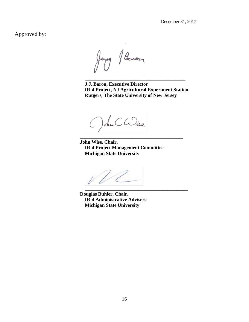December 31, 2017

Approved by:

long Baron

**J.J. Baron, Executive Director IR-4 Project, NJ Agricultural Experiment Station Rutgers, The State University of New Jersey**

\_\_\_\_\_\_\_\_\_\_\_\_\_\_\_\_\_\_\_\_\_\_\_\_\_\_\_\_\_\_\_\_\_\_\_\_\_\_\_\_\_\_\_\_\_

Ochn Cadise

**John Wise, Chair, IR-4 Project Management Committee Michigan State University**

\_\_\_\_\_\_\_\_\_\_\_\_\_\_\_\_\_\_\_\_\_\_\_\_\_\_\_\_\_\_\_\_\_\_\_\_\_\_\_\_\_\_\_\_\_\_

 $\overline{\phantom{a}}$  , and the contract of the contract of the contract of the contract of the contract of the contract of the contract of the contract of the contract of the contract of the contract of the contract of the contrac

**Douglas Buhler, Chair, IR-4 Administrative Advisers Michigan State University**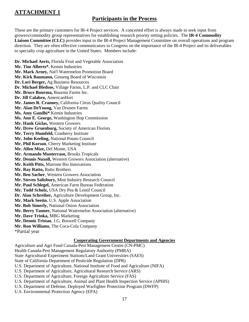## **ATTACHMENT 1**

## **Participants in the Process**

These are the primary customers for IR-4 Project services. A concerted effort is always made to seek input from growers/commodity group representatives for establishing research priority setting policies. The **IR-4 Commodity Liaison Committee (CLC)** provides input to the IR-4 Project Management Committee on overall operations and program direction. They are often effective communicators to Congress on the importance of the IR-4 Project and its deliverables to specialty crop agriculture in the United States. Members include:

**Dr. Michael Aerts,** Florida Fruit and Vegetable Association **Mr. Tim Alberts\***, Kemin Industries **Mr. Mark Arney,** Nat'l Watermelon Promotion Board **Mr. Kirk Baumann,** Ginseng Board of Wisconsin **Dr. Lori Berger,** Ag Business Resources **Dr. Michael Bledsoe,** Village Farms, L.P. and CLC Chair **Mr. Bruce Buurma,** Buurma Farms Inc. **Dr. Jill Calabro,** AmericanHort **Mr. James R. Cranney,** California Citrus Quality Council **Mr. Alan DeYoung,** Van Drunen Farms **Ms. Amy Gandhi\*** Kemin Industries **Ms. Ann E. George,** Washington Hop Commission **Mr. Hank Giclas,** Western Growers **Mr. Drew Gruenburg,** Society of American Florists **Mr. Terry Humfeld,** Cranberry Institute **Mr. John Keeling,** National Potato Council **Mr. Phil Korson**, Cherry Marketing Institute **Mr. Allen Mize,** Del Monte, USA **Mr. Armando Monterraso,** Brooks Tropicals **Mr. Dennis Nuxoll,** Western Growers Association (alternative) **Mr. Keith Pitts,** Marrone Bio Innovations **Mr. Ray Ratto,** Ratto Brothers **Mr. Ben Sacher**, Western Growers Association **Mr. Steven Salisbury,** Mint Industry Research Council **Mr. Paul Schlegel,** American Farm Bureau Federation **Mr. Todd Scholz,** USA Dry Pea & Lentil Council **Dr. Alan Schreiber,** Agriculture Development Group, Inc. **Mr. Mark Seetin**, U.S. Apple Association **Mr. Bob Simerly,** National Onion Association **Mr. Berry Tanner,** National Watermelon Association (alternative) **Mr. Dave Trinka,** MBG Marketing **Mr. Dennis Tristao**, J.G. Boswell Company **Mr. Ron Williams**, The Coca-Cola Company \*Partial year

### **Cooperating Government Departments and Agencies**

Agriculture and Agri Food Canada-Pest Management Centre (CN-PMC) Health Canada-Pest Management Regulatory Authority (PMRA) State Agricultural Experiment Stations/Land Grant Universities (SAES) State of California Department of Pesticide Regulation (DPR) U.S. Department of Agriculture, National Institute of Food and Agriculture (NIFA) U.S. Department of Agriculture, Agricultural Research Service (ARS) U.S. Department of Agriculture, Foreign Agriculture Service (FAS) U.S. Department of Agriculture, Animal and Plant Health Inspection Service (APHIS) U.S. Department of Defense, Deployed Warfighter Protection Program (DWFP) U.S. Environmental Protection Agency (EPA)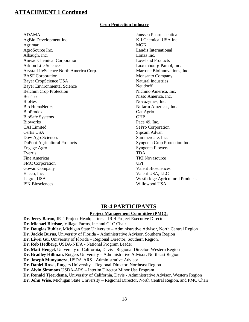### **Crop Protection Industry**

ADAMA

AgBio Development Inc. Agrimar AgroSource Inc. Albaugh, Inc. Amvac Chemical Corporation Arkion Life Sciences Arysta LifeScience North America Corp. BASF Corporation Bayer CropScience USA Bayer Environmental Science Belchim Crop Protection BetaTec BioBest Bio HumaNetics BioProdex BioSafe Systems **Bioworks** CAI Limited Certis USA Dow AgroSciences DuPont Agricultural Products Engage Agro Everris Fine Americas FMC Corporation Gowan Company Hacco, Inc. Isagro, USA ISK Biosciences

Janssen Pharmaceutica K-I Chemical USA Inc. **MGK** Landis International Lonza Inc. Loveland Products Luxembourg-Pamol, Inc. Marrone BioInnovations, Inc. Monsanto Company Natural Industries Neudorff Nichino America, Inc. Nisso America, Inc. Novozymes, Inc. Nufarm Americas, Inc. Oat Agrio OHP Pace 49, Inc. SePro Corporation Sipcam Advan Summerdale, Inc. Syngenta Crop Protection Inc. Syngenta Flowers TDA TKI Novasource UPI Valent Biosciences Valent USA, LLC Westbridge Agricultural Products Willowood USA

## **IR-4 PARTICIPANTS**

### **Project Management Committee (PMC):**

**Dr. Jerry Baron,** IR-4 Project Headquarters – IR-4 Project Executive Director **Dr. Michael Bledsoe**, Village Farms, Inc and CLC Chair **Dr. Douglas Buhler,** Michigan State University – Administrative Advisor, North Central Region **Dr. Jackie Burns,** University of Florida – Administrative Advisor, Southern Region **Dr. Liwei Gu,** University of Florida – Regional Director, Southern Region. **Dr. Rob Hedberg,** USDA-NIFA - National Program Leader **Dr. Matt Hengel,** University of California, Davis - Regional Director, Western Region **Dr. Bradley Hillman,** Rutgers University – Administrative Advisor, Northeast Region **Dr. Joseph Munyaneza,** USDA-ARS - Administrative Advisor **Dr. Daniel Rossi,** Rutgers University **–** Regional Director, Northeast Region **Dr. Alvin Simmons** USDA-ARS – Interim Director Minor Use Program **Dr. Ronald Tjeerdema,** University of California, Davis - Administrative Advisor, Western Region **Dr. John Wise,** Michigan State University – Regional Director, North Central Region, and PMC Chair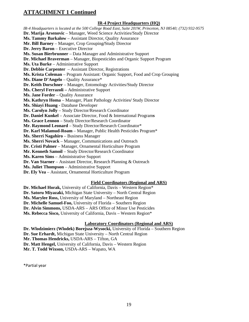### **IR-4 Project Headquarters (HQ)**

*IR-4 Headquarters is located at the 500 College Road East, Suite 201W, Princeton, NJ 08540; (732) 932-9575* **Dr. Marija Arsenovic** – Manager, Weed Science Activities/Study Director **Ms. Tammy Barkalow** – Assistant Director, Quality Assurance **Mr. Bill Barney** – Manager, Crop Grouping**/**Study Director **Dr. Jerry Baron** – Executive Director **Ms. Susan Bierbrunner** – Data Manager and Administrative Support **Dr. Michael Braverman** – Manager, Biopesticides and Organic Support Program **Ms. Uta Burke** – Administrative Support **Dr. Debbie Carpenter** – Assistant Director, Registrations **Ms. Krista Coleman** – Program Assistant: Organic Support, Food and Crop Grouping **Ms. Diane D'Angelo** – Quality Assurance\* **Dr. Keith Dorschner** – Manager, Entomology Activities/Study Director **Ms. Cheryl Ferrazoli –** Administrative Support **Ms. Jane Forder** – Quality Assurance **Ms. Kathryn Homa** – Manager, Plant Pathology Activities**/** Study Director **Ms. Shiayi Huang -** Database Developer **Ms. Carolyn Jolly** – Study Director/Research Coordinator **Dr. Daniel Kunkel** – Associate Director, Food & International Program**s Ms. Grace Lennon** – Study Director/Research Coordinator **Mr. Raymond Leonard** – Study Director/Research Coordinator\* **Dr. Karl Malamud-Roam** – Manager, Public Health Pesticides Program\* **Ms. Sherri Nagahiro** – Business Manager **Ms. Sherri Novack** – Manager, Communications and Outreach **Dr. Cristi Palmer** – Manager, Ornamental Horticulture Program **Mr. Kenneth Samoil** – Study Director/Research Coordinator **Ms. Karen Sims** – Administrative Support **Dr. Van Starner** – Assistant Director, Research Planning & Outreach **Ms. Juliet Thompson** – Administrative Support **Dr. Ely Vea** – Assistant, Ornamental Horticulture Program

### **Field Coordinators (Regional and ARS)**

**Dr. Michael Horak,** University of California, Davis – Western Region\* **Dr. Satoru Miyazaki,** Michigan State University – North Central Region **Ms. Marylee Ross,** University of Maryland – Northeast Region **Dr. Michelle Samuel-Foo,** University of Florida – Southern Region **Dr. Alvin Simmons,** USDA-ARS – ARS Office of Minor Use Pesticides **Ms. Rebecca Sisco,** University of California, Davis – Western Region\*

### **Laboratory Coordinators (Regional and ARS)**

**Dr. Wlodzimierz (Wlodek) Borejsza-Wysocki,** University of Florida – Southern Region **Dr. Sue Erhardt,** Michigan State University – North Central Region **Mr. Thomas Hendricks,** USDA-ARS – Tifton, GA **Dr. Matt Hengel,** University of California, Davis – Western Region **Mr. T. Todd Wixson,** USDA-ARS – Wapato, WA

\*Partial year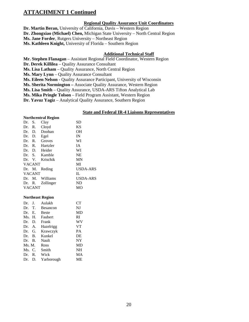### **Regional Quality Assurance Unit Coordinators**

**Dr. Martin Beran,** University of California, Davis – Western Region **Dr. Zhongxiao (Michael) Chen,** Michigan State University – North Central Region **Ms. Jane Forder**, Rutgers University – Northeast Region

**Ms. Kathleen Knight,** University of Florida – Southern Region

### **Additional Technical Staff**

**Mr. Stephen Flanagan** – Assistant Regional Field Coordinator, Western Region **Dr. Derek Killilea** – Quality Assurance Consultant **Ms. Lisa Latham** – Quality Assurance, North Central Region **Ms. Mary Lynn** – Quality Assurance Consultant **Ms. Eileen Nelson -** Quality Assurance Participant, University of Wisconsin **Ms. Sherita Normington –** Associate Quality Assurance, Western Region **Ms. Lisa Smith** – Quality Assurance, USDA-ARS Tifton Analytical Lab **Ms. Mika Pringle Tolson** – Field Program Assistant, Western Region **Dr. Yavuz Yagiz** – Analytical Quality Assurance, Southern Region

### **State and Federal IR-4 Liaisons Representatives**

#### **Northcentral Region**

| Dr.    | S.            | Clay             | SD        |
|--------|---------------|------------------|-----------|
| Dr. R. |               | Cloyd            | <b>KS</b> |
| Dr.    | D.            | Doohan           | <b>OH</b> |
| Dr.    | D.            | Egel             | IN        |
| Dr.    | R.            | Groves           | WI        |
| Dr. R. |               | Hartzler         | <b>IA</b> |
|        |               | Dr. D. Heider    | WI        |
|        |               | Dr. S. Kamble    | <b>NE</b> |
|        |               | Dr. V. Krischik  | <b>MN</b> |
|        | <b>VACANT</b> |                  | MI        |
|        | Dr. M.        | Reding           | USDA-ARS  |
|        | <b>VACANT</b> |                  | IL        |
| Dr.    | M.            | Williams         | USDA-ARS  |
|        |               | Dr. R. Zollinger | ND        |
|        | <b>VACANT</b> |                  | MО        |

#### **Northeast Region**

| Dr.    | J <sub>r</sub> | Aulakh       | <b>CT</b> |
|--------|----------------|--------------|-----------|
| Dr.    | T.             | Besancon     | NJ        |
| Dr.    | Е.             | <b>Beste</b> | MD        |
| Ms. H. |                | Faubert      | RI        |
| Dr.    | D.             | Frank        | WV        |
| Dr. A. |                | Hazelrigg    | <b>VT</b> |
| Dr.    | G.             | Krawczyk     | PA        |
| Dr. B. |                | Kunkel       | DE        |
| Dr. B. |                | Nault        | NY        |
| Ms. M. |                | Ross         | MD        |
| Ms. C. |                | Smith        | NH        |
| Dr.    | R.             | Wick         | МA        |
| Dr.    | D.             | Yarborough   | MЕ        |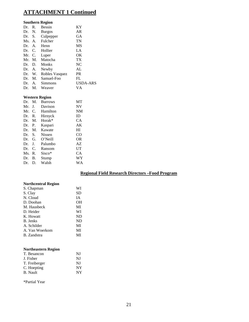|        |                | <b>Southern Region</b> |                 |
|--------|----------------|------------------------|-----------------|
| Dr.    | R.             | <b>Bessin</b>          | KY              |
| Dr.    | N.             | <b>Burgos</b>          | AR              |
| Dr.    | S.             | Culpepper              | GА              |
| Ms. A. |                | Fulcher                | TN              |
| Dr.    | $\mathsf{A}$ . | Henn                   | MS              |
| Dr.    | C.             | Hollier                | LA              |
| Mr.    | C.             | Luper                  | ОK              |
| Mr.    | M.             | Matocha                | TX <sup>-</sup> |
| Dr.    | D.             | Monks                  | NC              |
| Dr.    | А.             | Newby                  | AL              |
| Dr.    | W.             | Robles Vasquez         | <b>PR</b>       |
| Dr.    | M.             | Samuel-Foo             | FL              |
| Dr.    | А.             | Simmons                | USDA-ARS        |
| Dr.    | М.             | Weaver                 | VA              |

### **Western Region**

| M.        | <b>Burrows</b>     | MТ |
|-----------|--------------------|----|
| J.        | Davison            | NV |
| C.        | Hamilton           | NM |
| R.        | Hirnyck            | ID |
| M.        | Horak <sup>*</sup> | CА |
| P.        | Kaspari            | АK |
| M.        | Kawate             | HI |
| S.        | <b>Nissen</b>      | CO |
| G.<br>Dr. | O'Neill            | OR |
| J.        | Palumbo            | AZ |
| C.        | Ransom             | UT |
| R.        | $Sisco*$           | СA |
| В.        | Stump              | WY |
| D.        | Walsh              | WA |
|           |                    |    |

### **Regional Field Research Directors –Food Program**

### **Northcentral Region**

| S. Chapman     | WI |
|----------------|----|
| S. Clay        | SD |
| N. Cloud       | IΑ |
| D. Doohan      | OН |
| M. Hausbeck    | MI |
| D. Heider      | WI |
| K. Howatt      | ND |
| B. Jenks       | ND |
| A. Schilder    | MI |
| A. Van Woerkom | MI |
| B. Zandstra    | MI |
|                |    |

### **Northeastern Region**

| T. Besancon   | NJ |
|---------------|----|
| J. Fisher     | NJ |
| T. Freiberger | NJ |
| C. Hoepting   | NY |
| B. Nault      | NY |
|               |    |

\*Partial Year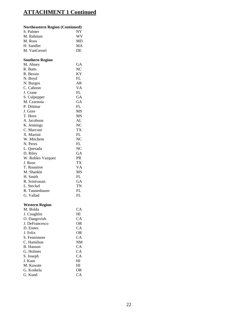| <b>Northeastern Region (Continued)</b> |                |
|----------------------------------------|----------------|
| S. Palmer                              | NY             |
| M. Rahman                              | WV             |
| M. Ross                                | MD             |
| H. Sandler                             | MA             |
| M. VanGessel                           | DE             |
| <b>Southern Region</b>                 |                |
| M. Abney                               | GA             |
| R. Batts                               | NC             |
| R. Bessin                              | ΚY             |
| N. Boyd                                | FL             |
| N. Burgos                              | AR             |
| C. Cahoon                              | VA             |
| J. Crane                               | FL             |
| S. Culpepper                           | GA             |
| M. Czarnota                            | GA             |
| P. Dittmar                             | FL             |
| J. Gore                                | MS             |
| T. Horn                                | MS             |
| A. Jacobson                            | AL             |
| K. Jennings                            | NC             |
| C. Marconi                             | TX             |
| X. Martini                             | FL             |
| W. Mitchem                             | N <sub>C</sub> |
| N. Peres                               | FL             |
| L. Quesada                             | N <sub>C</sub> |
| D. Riley                               | GA             |
| W. Robles Vazquez                      | <b>PR</b>      |
| J. Rose                                | TX             |
| T. Rountree                            | VA             |
| M. Shankle                             | MS             |
| H. Smith                               | FL             |
| R. Srinivasan                          | GA             |
| L. Steckel                             | TN             |
| R. Tannenbaum                          | FL             |
| G. Vallad                              | FL             |

### **Western Region**

| CА        |
|-----------|
| HI        |
| CA.       |
| OR        |
| CА        |
| OR.       |
| CA        |
| <b>NM</b> |
| CA        |
| CA        |
| CА        |
| HI        |
| HI        |
| OR.       |
| CА        |
|           |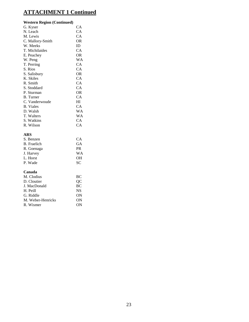#### **Western Region (Continued)**

| G. Kyser         | CА        |
|------------------|-----------|
| N. Leach         | CA        |
| M. Lewis         | СA        |
| C. Mallory-Smith | OR        |
| W. Meeks         | ID        |
| T. Michilaides   | CA        |
| E. Peachey       | OR        |
| W. Peng          | WA        |
| T. Perring       | СA        |
| S. Rios          | СA        |
| S. Salisbury     | <b>OR</b> |
| K. Skiles        | СA        |
| R. Smith         | <b>CA</b> |
| S. Stoddard      | <b>CA</b> |
| P. Sturman       | 0R        |
| <b>B.</b> Turner | CА        |
| C. Vanderwoude   | ΗΙ        |
| <b>B.</b> Viales | CА        |
| D. Walsh         | WA        |
| T. Walters       | WΑ        |
| S. Watkins       | СA        |
| R. Wilson        | СA        |
|                  |           |

### **ARS**

| CА        |
|-----------|
| GA        |
| <b>PR</b> |
| W A       |
| <b>OH</b> |
| SC.       |
|           |

#### **Canada**

| M. Clodius        | BC.       |
|-------------------|-----------|
| D. Cloutier       | OС        |
| J. MacDonald      | <b>BC</b> |
| H. Peill          | NS.       |
| G. Riddle         | OΝ        |
| M. Weber-Henricks | ON        |
| R. Wismer         | OΝ        |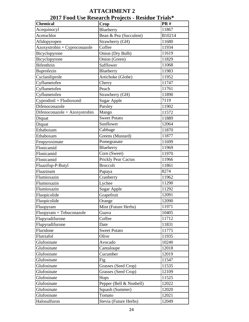| 2017 Food Use Research Projects - Residue Trials* |                            |            |  |  |
|---------------------------------------------------|----------------------------|------------|--|--|
| <b>Chemical</b>                                   | Crop                       | <b>PR#</b> |  |  |
| Acequinocyl                                       | Blueberry                  | 11867      |  |  |
| Acetochlor                                        | Bean & Pea (Succulent)     | B10214     |  |  |
| Afidopyropen                                      | Strawberry (GH)            | 11680      |  |  |
| Azoxystrobin + Cyproconazole                      | Coffee                     | 11934      |  |  |
| Bicyclopyrone                                     | Onion (Dry Bulb)           | 11619      |  |  |
| Bicyclopyrone                                     | Onion (Green)              | 11829      |  |  |
| <b>Bifenthrin</b>                                 | Safflower                  | 11068      |  |  |
| Buprofezin                                        | Blueberry                  | 11983      |  |  |
| Cyclaniliprole                                    | Artichoke (Globe)          | 11952      |  |  |
| Cyflumetofen                                      | Cherry                     | 11747      |  |  |
| Cyflumetofen                                      | Peach                      | 11761      |  |  |
| Cyflumetofen                                      | Strawberry (GH)            | 11890      |  |  |
| Cyprodinil + Fludioxonil                          | <b>Sugar Apple</b>         | 7119       |  |  |
| Difenoconazole                                    | Parsley                    | 11902      |  |  |
| Difenoconazole + Azoxystrobin                     | Mango                      | 11572      |  |  |
| Diquat                                            | <b>Sweet Potato</b>        | 11889      |  |  |
| Diquat                                            | Sunflower                  | 12064      |  |  |
| Ethaboxam                                         | Cabbage                    | 11870      |  |  |
| Ethaboxam                                         | Greens (Mustard)           | 11877      |  |  |
| Fenpyroximate                                     | Pomegranate                | 11699      |  |  |
| Flonicamid                                        | Blueberry                  | 11969      |  |  |
| Flonicamid                                        | Corn (Sweet)               | 11970      |  |  |
| Flonicamid                                        | <b>Prickly Pear Cactus</b> | 11966      |  |  |
| Fluazifop-P-Butyl                                 | <b>Broccoli</b>            | 11861      |  |  |
| Fluazinam                                         | Papaya                     | 8274       |  |  |
| Flumioxazin                                       | Cranberry                  | 11962      |  |  |
| Flumioxazin                                       | Lychee                     | 11290      |  |  |
| Flumioxazin                                       | <b>Sugar Apple</b>         | 11292      |  |  |
| Fluopicolide                                      | Grapefruit                 | 12091      |  |  |
| Fluopicolide                                      | Orange                     | 12090      |  |  |
| Fluopyram                                         | Mint (Future Herbs)        | 11971      |  |  |
| Fluopyram + Tebuconazole                          | Guava                      | 10405      |  |  |
| Flupyradifurone                                   | Coffee                     | 11712      |  |  |
| Flupyradifurone                                   | Date                       | 11831      |  |  |
| Fluridone                                         | <b>Sweet Potato</b>        | 11775      |  |  |
| Flutriafol                                        | Olive                      | 11935      |  |  |
| Glufosinate                                       | Avocado                    | 10240      |  |  |
| Glufosinate                                       | Cantaloupe                 | 12018      |  |  |
| Glufosinate                                       | Cucumber                   | 12019      |  |  |
| Glufosinate                                       | Fig                        | 11547      |  |  |
| Glufosinate                                       | Grasses (Seed Crop)        | 11535      |  |  |
| Glufosinate                                       | Grasses (Seed Crop)        | 12109      |  |  |
| Glufosinate                                       | Hops                       | 11525      |  |  |
| Glufosinate                                       | Pepper (Bell & Nonbell)    | 12022      |  |  |
| Glufosinate                                       | Squash (Summer)            | 12020      |  |  |
| Glufosinate                                       | Tomato                     | 12021      |  |  |
| Halosulfuron                                      | Stevia (Future Herbs)      | 12049      |  |  |

**ATTACHMENT 2**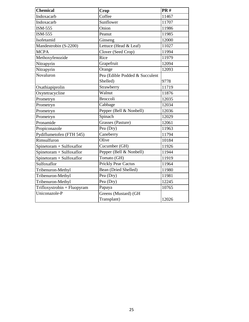| <b>Chemical</b>             | Crop                           | <b>PR#</b> |
|-----------------------------|--------------------------------|------------|
| Indoxacarb                  | Coffee                         | 11467      |
| Indoxacarb                  | Sunflower                      | 11707      |
| ISM-555                     | Onion                          | 11986      |
| <b>ISM-555</b>              | Peanut                         | 11985      |
| Isofetamid                  | Ginseng                        | 12000      |
| Mandestrobin (S-2200)       | Lettuce (Head & Leaf)          | 11027      |
| <b>MCPA</b>                 | Clover (Seed Crop)             | 11994      |
| Methoxyfenozide             | Rice                           | 11979      |
| Nitrapyrin                  | Grapefruit                     | 12094      |
| Nitrapyrin                  | Orange                         | 12093      |
| $\overline{N}$ ovaluron     | Pea (Edible Podded & Succulent |            |
|                             | Shelled)                       | 9778       |
| Oxathiapiprolin             | Strawberry                     | 11719      |
| Oxytetracycline             | Walnut                         | 11876      |
| Prometryn                   | <b>Broccoli</b>                | 12035      |
| Prometryn                   | Cabbage                        | 12034      |
| Prometryn                   | Pepper (Bell & Nonbell)        | 12036      |
| Prometryn                   | Spinach                        | 12029      |
| Pronamide                   | Grasses (Pasture)              | 12061      |
| Propiconazole               | $\overline{Pe}a$ (Dry)         | 11963      |
| Pydiflumetofen (FTH 545)    | Caneberry                      | 11794      |
| Rimsulfuron                 | Olive                          | 10184      |
| Spinetoram + Sulfoxaflor    | Cucumber (GH)                  | 11926      |
| Spinetoram + Sulfoxaflor    | Pepper (Bell & Nonbell)        | 11944      |
| Spinetoram + Sulfoxaflor    | Tomato (GH)                    | 11919      |
| Sulfoxaflor                 | <b>Prickly Pear Cactus</b>     | 11964      |
| Tribenuron-Methyl           | Bean (Dried Shelled)           | 11980      |
| Tribenuron-Methyl           | Pea (Dry)                      | 11981      |
| Tribenuron-Methyl           | Pea (Dry)                      | 12245      |
| Trifloxystrobin + Fluopyram | Papaya                         | 10765      |
| Uniconazole-P               | Greens (Mustard) (GH           |            |
|                             | Transplant)                    | 12026      |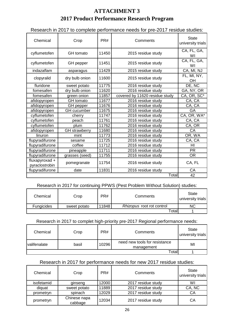## **ATTACHMENT 3 2017 Product Performance Research Program**

Research in 2017 to complete performance needs for pre-2017 residue studies:

| Chemical                         | Crop                 | PR#   | Comments                       | <b>State</b><br>university trials |
|----------------------------------|----------------------|-------|--------------------------------|-----------------------------------|
| cyflumetofen                     | GH tomato            | 11450 | 2015 residue study             | CA, FL, GA,<br>WI                 |
| cyflumetofen                     | GH pepper            | 11451 | 2015 residue study             | CA, FL, GA,<br>WI                 |
| indazaflam                       | asparagus            | 11429 | 2015 residue study             | CA, MI, NJ                        |
| clopyralid                       | dry bulb onion       | 11600 | 2015 residue study             | FL, MI, NY,<br><b>OH</b>          |
| fluridone                        | sweet potato         | 11775 | 2016 residue study             | DE, NC                            |
| fomesafen                        | dry bulb onion       | 11620 | 2016 residue study             | GA, NY, OR                        |
| fomesafen                        | green onion          | 11857 | covered by 11620 residue study | CA, OR, SC*                       |
| afidopyropen                     | <b>GH</b> tomato     | 11677 | 2016 residue study             | CA, CA                            |
| afidopyropen                     | GH pepper            | 11676 | 2016 residue study             | CA, CA                            |
| afidopyropen                     | <b>GH</b> cucumber   | 11675 | 2016 residue study             | GA                                |
| cyflumetofen                     | cherry               | 11747 | 2016 residue study             | CA, OR, WA*                       |
| cyflumetofen                     | peach                | 11761 | 2016 residue study             | CA, CA                            |
| cyflumetofen                     | plum                 | 11762 | 2016 residue study             | CA, OR                            |
| afidopyropen                     | <b>GH</b> strawberry | 11680 | 2016 residue study             | CA                                |
| linuron                          | mint                 | 11773 | 2016 residue study             | OR, WA                            |
| flupyradifurone                  | sesame               | 11725 | 2016 residue study             | CA, CA                            |
| flupyradifurone                  | coffee               | 11712 | 2016 residue study             | HI                                |
| flupyradifurone                  | pineapple            | 11711 | 2016 residue study             | <b>PR</b>                         |
| flupyradifurone                  | grasses (seed)       | 11755 | 2016 residue study             | <b>OR</b>                         |
| fluxapyroxad +<br>pyraclostrobin | pomegranate          | 11754 | 2016 residue study             | CA, FL                            |
| flupyradifurone                  | date                 | 11831 | 2016 residue study             | CA                                |
|                                  |                      |       | Totall                         | 42                                |

### Research in 2017 for continuing PPWS (Pest Problem Without Solution) studies:

| Chemical          | Crop         | PR#   | Comments                         | State<br>university trials |
|-------------------|--------------|-------|----------------------------------|----------------------------|
| <b>Fungicides</b> | sweet potato | 11848 | <i>Rhizopus</i> root rot control | ΝC                         |
|                   |              |       | Total                            |                            |

### Research in 2017 to complet high-priority pre-2017 Regional performance needs:

| Chemical            | Crop  | PR#   | Comments                                    | <b>State</b><br>university trials |
|---------------------|-------|-------|---------------------------------------------|-----------------------------------|
| <b>valifenalate</b> | basil | 10296 | need new tools for resistance<br>management | МІ                                |
|                     |       |       | Totall                                      |                                   |

### Research in 2017 for performance needs for new 2017 residue studies:

| Chemical   | Crop                    | PR#   | Comments           | State<br>university trials |
|------------|-------------------------|-------|--------------------|----------------------------|
| isofetamid | ginseng                 | 12000 | 2017 residue study | WI                         |
| diguat     | sweet potato            | 11889 | 2017 residue study | CA, NC                     |
| prometryn  | spinach                 | 12029 | 2017 residue study | СA                         |
| prometryn  | Chinese napa<br>cabbage | 12034 | 2017 residue study | CА                         |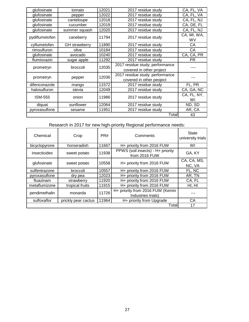| glufosinate    | tomato               | 12021 | 2017 residue study              | CA, FL, VA               |
|----------------|----------------------|-------|---------------------------------|--------------------------|
| glufosinate    | pepper               | 12022 | 2017 residue study              | CA, FL, VA               |
| glufosinate    | canteloupe           | 12018 | 2017 residue study              | CA, FL, NJ               |
| glufosinate    | cucumber             | 12019 | 2017 residue study              | CA, DE, FL               |
| glufosinate    | summer squash        | 12020 | 2017 residue study              | CA, FL, NJ               |
| pydiflumetofen | caneberry            | 11794 | 2017 residue study              | CA, MI, WA,<br><b>WV</b> |
| cyflumetofen   | <b>GH</b> strawberry | 11890 | 2017 residue study              | СA                       |
| rimsulfuron    | olive                | 10184 | 2017 residue study              | СA                       |
| glufosinate    | avocado              | 10240 | 2017 residue study              | CA, CA, PR               |
| flumioxazin    | sugar apple          | 11292 | 2017 residue study              | <b>PR</b>                |
|                | broccoli             | 12035 | 2017 residue study; performance |                          |
| prometryn      |                      |       | covered in other project        |                          |
|                |                      | 12036 | 2017 residue study; performance |                          |
| prometryn      | pepper               |       | covered in other peoject        |                          |
| difenconazole  | mango                | 11572 | 2017 residue study              | FL, PR                   |
| halosulfuron   | stevia               | 12049 | 2017 residue study              | CA, GA, NC               |
| <b>ISM-555</b> | onion                | 11986 |                                 | CA, FL, NY,              |
|                |                      |       | 2017 residue study              | WI                       |
| diquat         | sunflower            | 12064 | 2017 residue study              | ND, SD                   |
| pyroxasulfone  | sesame               | 11951 | 2017 residue study              | AR, CA                   |
|                |                      |       | Total                           | 43                       |

Research in 2017 for new high-priority Regional performance needs:

| Chemical      | Crop                | PR#   | Comments                                               | State<br>university trials |
|---------------|---------------------|-------|--------------------------------------------------------|----------------------------|
| bicyclopyrone | horseradish         | 11667 | H+ priority from 2016 FUW                              | WI                         |
| insecticides  | sweet potato        | 11938 | PPWS (soil insects) - H+ priority<br>from 2016 FUW     | GA, KY                     |
| glufosinate   | sweet potato        | 10558 | H+ priority from 2016 FUW                              | CA, CA, MS,<br>NC, VA      |
| sulfentrazone | broccoli            | 10557 | H+ priority from 2016 FUW                              | FL, NC                     |
| pyroxasulfone | dry pea             | 12023 | H+ priority from 2016 FUW                              | AR, TN                     |
| fluazinam     | strawberry          | 11920 | H+ priority from 2016 FUW                              | CA, FL                     |
| metaflumizone | tropical fruits     | 11915 | H+ priority from 2016 FUW                              | HI, HI                     |
| pendimethalin | monarda             | 11726 | H+ priority from 2016 FUW (Kemin<br>Industries trials) |                            |
| sulfoxaflor   | prickly pear cactus | 11964 | H+ priority from Upgrade                               | CA                         |
|               |                     |       | Total                                                  | 17                         |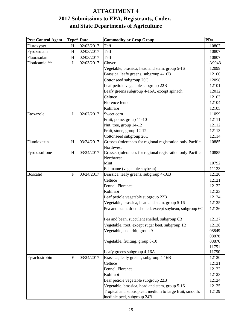## **and State Departments of Agriculture ATTACHMENT 4 2017 Submissions to EPA, Registrants, Codex,**

| <b>Pest Control Agent</b> | Type* Date     |            | <b>Commodity or Crop Group</b>                             | PR#   |
|---------------------------|----------------|------------|------------------------------------------------------------|-------|
| Fluroxypyr                | H              | 02/03/2017 | Teff                                                       | 10807 |
| Pyroxsulam                | H              | 02/03/2017 | Teff                                                       | 10807 |
| Fluorasulam               | H              | 02/03/2017 | Teff                                                       | 10807 |
| Flonicamid **             | I              | 02/03/2017 | Clover                                                     | A9943 |
|                           |                |            | Vegetable, brassica, head and stem, group 5-16             | 12099 |
|                           |                |            | Brassica, leafy greens, subgroup 4-16B                     | 12100 |
|                           |                |            | Cottonseed subgroup 20C                                    | 12098 |
|                           |                |            | Leaf petiole vegetable subgroup 22B                        | 12101 |
|                           |                |            | Leafy greens subgroup 4-16A, except spinach                | 12012 |
|                           |                |            | Celtuce                                                    | 12103 |
|                           |                |            | Florence fennel                                            | 12104 |
|                           |                |            | Kohlrabi                                                   | 12105 |
| Etoxazole                 | I              | 02/07/2017 | Sweet corn                                                 | 11099 |
|                           |                |            | Fruit, pome, group 11-10                                   | 12111 |
|                           |                |            | Nut, tree, group 14-12                                     | 12112 |
|                           |                |            | Fruit, stone, group 12-12                                  | 12113 |
|                           |                |            | Cottonseed subgroup 20C                                    | 12114 |
| Flumioxazin               | H              | 03/24/2017 | Grasses (tolerances for regional registration only-Pacific | 10885 |
|                           |                |            | Northwest                                                  |       |
| Pyroxasulfone             | H              | 03/24/2017 | Grasses (tolerances for regional registration only-Pacific | 10885 |
|                           |                |            | Northwest                                                  |       |
|                           |                |            | Mint                                                       | 10792 |
|                           |                |            | Edamame (vegetable soybean)                                | 11133 |
| <b>Boscalid</b>           | $\overline{F}$ | 03/24/2017 | Brassica, leafy greens, subgroup 4-16B                     | 12120 |
|                           |                |            | Celtuce                                                    | 12121 |
|                           |                |            | Fennel, Florence                                           | 12122 |
|                           |                |            | Kohlrabi                                                   | 12123 |
|                           |                |            | Leaf petiole vegetable subgroup 22B                        | 12124 |
|                           |                |            | Vegetable, brassica, head and stem, group 5-16             | 12125 |
|                           |                |            | Pea and bean, dried shelled, except soybean, subgroup 6C   | 12126 |
|                           |                |            | Pea and bean, succulent shelled, subgroup 6B               | 12127 |
|                           |                |            | Vegetable, root, except sugar beet, subgroup 1B            | 12128 |
|                           |                |            | Vegetable, cucurbit, group 9                               | 08849 |
|                           |                |            |                                                            | 08878 |
|                           |                |            | Vegetable, fruiting, group 8-10                            | 08876 |
|                           |                |            |                                                            | 11751 |
|                           |                |            | Leafy greens subgroup 4-16A                                | 11750 |
| Pyraclostrobin            | $\mathbf{F}$   | 03/24/2017 | Brassica, leafy greens, subgroup 4-16B                     | 12120 |
|                           |                |            | Celtuce                                                    | 12121 |
|                           |                |            | Fennel, Florence                                           | 12122 |
|                           |                |            | Kohlrabi                                                   | 12123 |
|                           |                |            | Leaf petiole vegetable subgroup 22B                        | 12124 |
|                           |                |            | Vegetable, brassica, head and stem, group 5-16             | 12125 |
|                           |                |            | Tropical and subtropical, medium to large fruit, smooth,   | 12129 |
|                           |                |            | inedible peel, subgroup 24B                                |       |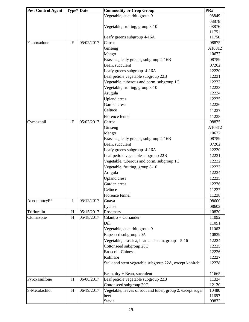| <b>Pest Control Agent</b> | Type* Date |            | PR#<br><b>Commodity or Crop Group</b>                      |                |
|---------------------------|------------|------------|------------------------------------------------------------|----------------|
|                           |            |            | Vegetable, cucurbit, group 9                               | 08849          |
|                           |            |            |                                                            | 08878          |
|                           |            |            | Vegetable, fruiting, group 8-10                            | 08876          |
|                           |            |            |                                                            | 11751          |
|                           |            |            | Leafy greens subgroup 4-16A                                | 11750          |
| Famoxadone                | ${\bf F}$  | 05/02/2017 | Carrot                                                     | 08875          |
|                           |            |            | Ginseng                                                    | A10812         |
|                           |            |            | Mango                                                      | 10677          |
|                           |            |            | Brassica, leafy greens, subgroup 4-16B                     | 08759          |
|                           |            |            | Bean, succulent                                            | 07262          |
|                           |            |            | Leafy greens subgroup 4-16A                                | 12230          |
|                           |            |            | Leaf petiole vegetable subgroup 22B                        | 12231          |
|                           |            |            | Vegetable, tuberous and corm, subgroup 1C                  | 12232          |
|                           |            |            | Vegetable, fruiting, group 8-10                            | 12233          |
|                           |            |            | Arugula                                                    | 12234          |
|                           |            |            | <b>Upland</b> cress                                        | 12235          |
|                           |            |            | Garden cress                                               | 12236          |
|                           |            |            | Celtuce                                                    | 11237          |
|                           |            |            | Florence fennel                                            | 11238          |
| Cymoxanil                 | ${\bf F}$  | 05/02/2017 | Carrot                                                     | 08875          |
|                           |            |            | Ginseng                                                    | A10812         |
|                           |            |            | Mango                                                      | 10677          |
|                           |            |            | Brassica, leafy greens, subgroup 4-16B                     | 08759          |
|                           |            |            | Bean, succulent                                            | 07262          |
|                           |            |            | Leafy greens subgroup 4-16A                                | 12230          |
|                           |            |            | Leaf petiole vegetable subgroup 22B                        | 12231          |
|                           |            |            | Vegetable, tuberous and corm, subgroup 1C                  | 12232          |
|                           |            |            | Vegetable, fruiting, group 8-10                            | 12233          |
|                           |            |            | Arugula                                                    | 12234          |
|                           |            |            | <b>Upland</b> cress                                        | 12235          |
|                           |            |            | Garden cress                                               | 12236          |
|                           |            |            | Celtuce                                                    | 11237          |
|                           |            |            | Florence fennel                                            | 11238          |
| Acequinocyl**             | Ι          | 05/12/2017 | Guava                                                      | 08600          |
| Trifluralin               | H          | 05/15/2017 | Lychee                                                     | 08602          |
| Clomazone                 | H          | 05/18/2017 | Rosemary<br>Cilantro + Coriander                           | 10820<br>11092 |
|                           |            |            | Dill                                                       | 11091          |
|                           |            |            | Vegetable, cucurbit, group 9                               | 11063          |
|                           |            |            | Rapeseed subgroup 20A                                      | 10839          |
|                           |            |            | Vegetable, brassica, head and stem, group<br>$5-16$        | 12224          |
|                           |            |            | Cottonseed subgroup 20C                                    | 12225          |
|                           |            |            | Broccoli, Chinese                                          | 12226          |
|                           |            |            | Kohlrabi                                                   | 12227          |
|                           |            |            |                                                            | 12228          |
|                           |            |            | Stalk and stem vegetable subgroup 22A, except kohlrabi     |                |
|                           |            |            | Bean, $dry + Bean$ , succulent                             | 11665          |
| Pyroxasulfone             | H          | 06/08/2017 | Leaf petiole vegetable subgroup 22B                        | 11324          |
|                           |            |            | Cottonseed subgroup 20C                                    | 12130          |
| S-Metolachlor             | H          | 06/19/2017 | Vegetable, leaves of root and tuber, group 2, except sugar | 10480          |
|                           |            |            | beet                                                       | 11697          |
|                           |            |            | Stevia                                                     | 09872          |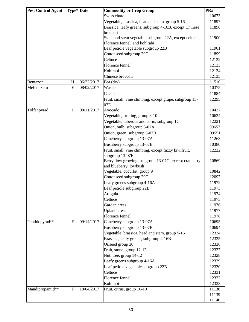| <b>Pest Control Agent</b> | Type* Date  |            | <b>Commodity or Crop Group</b>                          | PR#   |
|---------------------------|-------------|------------|---------------------------------------------------------|-------|
|                           |             |            | Swiss chard                                             | 10673 |
|                           |             |            | Vegetable, brassica, head and stem, group 5-16          | 11897 |
|                           |             |            | Brassica, leafy greens, subgroup 4-16B, except Chinese  | 11896 |
|                           |             |            | broccoli                                                |       |
|                           |             |            | Stalk and stem vegetable subgroup 22A, except celtuce,  | 11900 |
|                           |             |            | Florence fennel, and kohlrabi                           |       |
|                           |             |            | Leaf petiole vegetable subgroup 22B                     | 11901 |
|                           |             |            | Cottonseed subgroup 20C                                 | 11899 |
|                           |             |            | Celtuce                                                 | 12132 |
|                           |             |            | Florence fennel                                         | 12133 |
|                           |             |            | Kohlrabi                                                | 12134 |
|                           |             |            | Chinese broccoli                                        | 12135 |
| Bentazon                  | H           | 06/22/2017 | Pea (dry)                                               | 11510 |
| Mefenoxam                 | ${\bf F}$   | 08/02/2017 | Wasabi                                                  | 10375 |
|                           |             |            | Cacao                                                   | 11884 |
|                           |             |            | Fruit, small, vine climbing, except grape, subgroup 13- | 12295 |
|                           |             |            | 07E                                                     |       |
| Tolfenpyrad               | $\rm I$     | 08/11/2017 | Avocado                                                 | 10427 |
|                           |             |            | Vegetable, fruiting, group 8-10                         | 10634 |
|                           |             |            | Vegetable, tuberous and corm, subgroup 1C               | 12221 |
|                           |             |            | Onion, bulb, subgroup 3-07A                             | 09657 |
|                           |             |            | Onion, green, subgroup 3-07B                            | 09551 |
|                           |             |            | Caneberry subgroup 13-07A                               | 11263 |
|                           |             |            | Bushberry subgroup 13-07B                               | 10380 |
|                           |             |            | Fruit, small, vine climbing, except fuzzy kiwifruit,    | 12222 |
|                           |             |            | subgroup 13-07F                                         |       |
|                           |             |            | Berry, low growing, subgroup 13-07G, except cranberry   | 10869 |
|                           |             |            | and blueberry, lowbush                                  |       |
|                           |             |            | Vegetable, cucurbit, group 9                            | 10842 |
|                           |             |            | Cottonseed subgroup 20C                                 | 12097 |
|                           |             |            | Leafy greens subgroup 4-16A                             | 11972 |
|                           |             |            | Leaf petiole subgroup 22B                               | 11973 |
|                           |             |            | Arugula                                                 | 11974 |
|                           |             |            | Celtuce                                                 | 11975 |
|                           |             |            | Garden cress                                            | 11976 |
|                           |             |            | <b>Upland</b> cress                                     | 11977 |
|                           |             |            | Florence fennel                                         | 11978 |
| Penthiopyrad**            | ${\bf F}$   | 09/14/2017 | Caneberry subgroup 13-07A                               | 10695 |
|                           |             |            | Bushberry subgroup 13-07B                               | 10694 |
|                           |             |            | Vegetable, brassica, head and stem, group 5-16          | 12324 |
|                           |             |            | Brassica, leafy greens, subgroup 4-16B                  | 12325 |
|                           |             |            | Oilseed group 20                                        | 12326 |
|                           |             |            | Fruit, stone, group 12-12                               | 12327 |
|                           |             |            | Nut, tree, group 14-12                                  | 12328 |
|                           |             |            | Leafy greens subgroup 4-16A                             | 12329 |
|                           |             |            | Leaf petiole vegetable subgroup 22B                     | 12330 |
|                           |             |            | Celtuce                                                 | 12331 |
|                           |             |            | Florence fennel                                         | 12332 |
|                           |             |            | Kohlrabi                                                | 12333 |
| Mandipropamid**           | $\mathbf F$ | 10/04/2017 | Fruit, citrus, group 10-10                              | 11138 |
|                           |             |            |                                                         | 11139 |
|                           |             |            |                                                         | 11140 |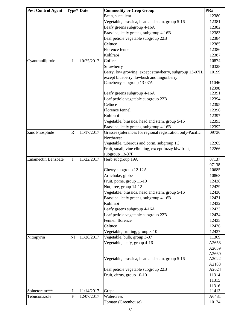| <b>Pest Control Agent</b> | Type* Date |            | PR#<br><b>Commodity or Crop Group</b>                          |                |
|---------------------------|------------|------------|----------------------------------------------------------------|----------------|
|                           |            |            | Bean, succulent                                                | 12380          |
|                           |            |            | Vegetable, brassica, head and stem, group 5-16                 | 12381          |
|                           |            |            | Leafy greens subgroup 4-16A                                    | 12382          |
|                           |            |            | Brassica, leafy greens, subgroup 4-16B                         | 12383          |
|                           |            |            | Leaf petiole vegetable subgroup 22B                            | 12384          |
|                           |            |            | Celtuce                                                        | 12385          |
|                           |            |            | Florence fennel                                                | 12386          |
|                           |            |            | Kohlrabi                                                       | 12387          |
| Cyantraniliprole          | $\bf I$    | 10/25/2017 | Coffee                                                         | 10874          |
|                           |            |            | Strawberry                                                     | 10328          |
|                           |            |            | Berry, low growing, except strawberry, subgroup 13-07H,        | 10199          |
|                           |            |            | except blueberry, lowbush and lingonberry                      |                |
|                           |            |            | Caneberry subgroup 13-07A                                      | 11046          |
|                           |            |            |                                                                | 12398          |
|                           |            |            | Leafy greens subgroup 4-16A                                    | 12391          |
|                           |            |            | Leaf petiole vegetable subgroup 22B                            | 12394          |
|                           |            |            | Celtuce                                                        | 12395          |
|                           |            |            | Florence fennel                                                | 12396          |
|                           |            |            | Kohlrabi                                                       | 12397          |
|                           |            |            | Vegetable, brassica, head and stem, group 5-16                 | 12393          |
|                           |            |            | Brassica, leafy greens, subgroup 4-16B                         | 12392          |
| Zinc Phosphide            | ${\bf R}$  | 11/17/2017 | Grasses (tolerances for regional registration only-Pacific     | 09736          |
|                           |            |            | Northwest                                                      |                |
|                           |            |            | Vegetable, tuberous and corm, subgroup 1C                      | 12265          |
|                           |            |            | Fruit, small, vine climbing, except fuzzy kiwifruit,           | 12266          |
|                           |            |            | subgroup 13-07F                                                |                |
| <b>Emamectin Benzoate</b> | I          | 11/22/2017 | Herb subgroup 19A                                              | 07137          |
|                           |            |            |                                                                | 07138          |
|                           |            |            | Cherry subgroup 12-12A                                         | 10685          |
|                           |            |            | Artichoke, globe                                               | 10863          |
|                           |            |            | Fruit, pome, group 11-10                                       | 12428          |
|                           |            |            | Nut, tree, group 14-12                                         | 12429          |
|                           |            |            | Vegetable, brassica, head and stem, group 5-16                 | 12430          |
|                           |            |            | Brassica, leafy greens, subgroup 4-16B                         | 12431          |
|                           |            |            | Kohlrabi                                                       | 12432          |
|                           |            |            | Leafy greens subgroup 4-16A                                    | 12433          |
|                           |            |            | Leaf petiole vegetable subgroup 22B                            | 12434          |
|                           |            |            | Fennel, florence                                               | 12435          |
|                           |            |            | Celtuce                                                        |                |
|                           |            |            |                                                                | 12436          |
|                           | NI         | 11/28/2017 | Vegetable, fruiting, group 8-10<br>Vegetable, bulb, group 3-07 | 12437          |
| Nitrapyrin                |            |            |                                                                | 11309          |
|                           |            |            | Vegetable, leafy, group 4-16                                   | A2658          |
|                           |            |            |                                                                | A2659          |
|                           |            |            | Vegetable, brassica, head and stem, group 5-16                 | A2660<br>A2022 |
|                           |            |            |                                                                | A2188          |
|                           |            |            | Leaf petiole vegetable subgroup 22B                            | A2024          |
|                           |            |            | Fruit, citrus, group 10-10                                     | 11314          |
|                           |            |            |                                                                | 11315          |
|                           |            |            |                                                                | 11316          |
| Spinetoram***             | $\bf{I}$   | 11/14/2017 | Grape                                                          | 11413          |
| Tebuconazole              | ${\rm F}$  | 12/07/2017 | Watercress                                                     | A6481          |
|                           |            |            | Tomato (Greenhouse)                                            | 10134          |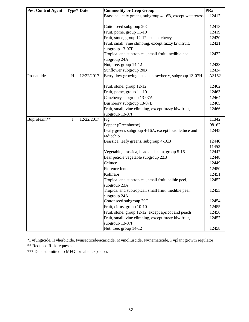| PR#                                                                |
|--------------------------------------------------------------------|
| Brassica, leafy greens, subgroup 4-16B, except watercress<br>12417 |
|                                                                    |
| 12418                                                              |
| 12419                                                              |
| 12420                                                              |
| 12421                                                              |
|                                                                    |
| 12422                                                              |
|                                                                    |
| 12423                                                              |
| 12424                                                              |
| Berry, low growing, except strawberry, subgroup 13-07H<br>A3152    |
|                                                                    |
| 12462                                                              |
| 12463                                                              |
| 12464                                                              |
| 12465                                                              |
| 12466                                                              |
|                                                                    |
| 11342                                                              |
| 08162                                                              |
| 12445                                                              |
|                                                                    |
| 12446                                                              |
| 11453<br>12447                                                     |
| 12448                                                              |
|                                                                    |
| 12449                                                              |
| 12450                                                              |
| 12451                                                              |
| 12452                                                              |
| 12453                                                              |
|                                                                    |
| 12454                                                              |
| 12455                                                              |
| 12456                                                              |
| 12457                                                              |
|                                                                    |
| 12458                                                              |
|                                                                    |

\*F=fungicide, H=herbicide, I=insecticide/acaricide, M=molluscide, N=nematicide, P=plant growth regulator \*\* Reduced Risk requests

\*\*\* Data submitted to MFG for label expasion.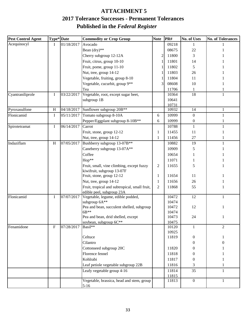## **Published in the** *Federal Register* **ATTACHMENT 5 2017 Tolerance Successes - Permanent Tolerances**

| <b>Pest Control Agent</b> | Type* Date   |            | <b>Commodity or Crop Group</b>                                          | <b>Note</b>    | PR#   | No. of Uses      | <b>No. of Tolerances</b> |
|---------------------------|--------------|------------|-------------------------------------------------------------------------|----------------|-------|------------------|--------------------------|
| Acequinocyl               | I            | 01/18/2017 | Avocado                                                                 |                | 09218 | 1                |                          |
|                           |              |            | Bean (dry)**                                                            |                | 08675 | 22               |                          |
|                           |              |            | Cherry subgroup 12-12A                                                  | $\mathfrak{D}$ | 11800 | 3                |                          |
|                           |              |            | Fruit, citrus, group 10-10                                              |                | 11801 | 14               |                          |
|                           |              |            | Fruit, pome, group 11-10                                                |                | 11802 | 5                |                          |
|                           |              |            | Nut, tree, group 14-12                                                  |                | 11803 | 26               |                          |
|                           |              |            | Vegetable, fruiting, group 8-10                                         |                | 11804 | 11               |                          |
|                           |              |            | Vegetable, cucurbit, group 9**                                          |                | 08608 | 10               |                          |
|                           |              |            | Tea                                                                     |                | 11706 | 1                |                          |
| Cyantraniliprole          | I            | 03/22/2017 | Vegetable, root, except sugar beet,                                     |                | 10364 | 18               | 1                        |
|                           |              |            | subgroup 1B                                                             |                | 10641 |                  |                          |
|                           |              |            |                                                                         |                | 10731 |                  |                          |
| Pyroxasulfone             | H            | 04/18/2017 | Sunflower subgroup 20B**                                                |                | 10932 | 14               | 1                        |
| Flonicamid                | I            | 05/11/2017 | Tomato subgroup 8-10A                                                   | 6              | 10999 | $\theta$         | 1                        |
|                           |              |            | Pepper/Eggplant subgroup 8-10B**                                        | 6              | 10999 | 0                |                          |
| Spirotetramat             | I            | 06/14/2017 | Carrot                                                                  |                | 10788 | $\mathbf{1}$     |                          |
|                           |              |            | Fruit, stone, group 12-12                                               | 1              | 11455 | 11               |                          |
|                           |              |            | Nut, tree, group 14-12                                                  | 1              | 11456 | $27\,$           |                          |
| Indaziflam                | H            | 07/05/2017 | Bushberry subgroup 13-07B**                                             |                | 10882 | 19               | 1                        |
|                           |              |            | Caneberry subgroup 13-07A**                                             |                | 10909 | 5                |                          |
|                           |              |            | Coffee                                                                  |                | 10654 | 1                |                          |
|                           |              |            | Hop**                                                                   |                | 11071 |                  |                          |
|                           |              |            |                                                                         |                |       | 5                |                          |
|                           |              |            | Fruit, small, vine climbing, except fuzzy<br>kiwifruit, subgroup 13-07F | 2              | 11655 |                  |                          |
|                           |              |            | Fruit, stone, group 12-12                                               | $\mathbf{1}$   | 11654 | 11               |                          |
|                           |              |            | Nut, tree, group 14-12                                                  | 1              | 11656 | 26               |                          |
|                           |              |            | Fruit, tropical and subtropical, small fruit,                           | 2              | 11868 | 55               |                          |
|                           |              |            | edible peel, subgroup 23A                                               |                |       |                  |                          |
| Flonicamid                | I            | 07/07/2017 | Vegetable, legume, edible podded,                                       |                | 10472 | 12               | 1                        |
|                           |              |            | subgroup 6A**                                                           |                | 10474 |                  |                          |
|                           |              |            | Pea and bean, succulent shelled, subgroup                               |                | 10472 | 12               |                          |
|                           |              |            | 6B**                                                                    |                | 10474 |                  |                          |
|                           |              |            | Pea and bean, drid shelled, except                                      |                | 10473 | 24               |                          |
|                           |              |            | soybean, subgroup 6C**                                                  |                | 10475 |                  |                          |
| Fenamidone                | $\mathbf{F}$ | 07/28/2017 | $Basi\overline{1**}$                                                    |                | 10120 | $\mathbf{1}$     | $\overline{2}$           |
|                           |              |            |                                                                         |                | 10925 |                  |                          |
|                           |              |            | Celtuce                                                                 |                | 11819 | $\boldsymbol{0}$ | 1                        |
|                           |              |            | Cilantro                                                                |                |       | 0                | $\overline{0}$           |
|                           |              |            | Cottonseed subgroup 20C                                                 |                | 11820 | 0                | 1                        |
|                           |              |            | Florence fennel                                                         |                | 11818 | 0                |                          |
|                           |              |            | Kohlrabi                                                                |                | 11817 | 0                | 1                        |
|                           |              |            | Leaf petiole vegetable subgroup 22B                                     |                | 11816 | 3                | 1                        |
|                           |              |            | Leafy vegetable group $\overline{4-16}$                                 |                | 11814 | 35               | 1                        |
|                           |              |            |                                                                         |                | 11815 |                  |                          |
|                           |              |            | Vegetable, brassica, head and stem, group                               |                | 11813 | $\mathbf{0}$     | $\mathbf{1}$             |
|                           |              |            | $5-16$                                                                  |                |       |                  |                          |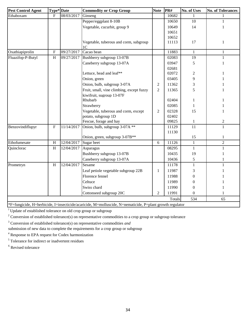| <b>Pest Control Agent</b> | Type* Date                |            | <b>Commodity or Crop Group</b>                           | <b>Note</b>    | PR#    | <b>No. of Uses</b> | <b>No. of Tolerances</b> |
|---------------------------|---------------------------|------------|----------------------------------------------------------|----------------|--------|--------------------|--------------------------|
| Ethaboxam                 | $\overline{F}$            | 08/03/2017 | Ginseng                                                  |                | 10682  |                    |                          |
|                           |                           |            | Pepper/eggplant 8-10B                                    |                | 10650  | 10                 | 1                        |
|                           |                           |            | Vegetable, cucurbit, group 9                             |                | 10649  | 14                 | 1                        |
|                           |                           |            |                                                          |                | 10651  |                    |                          |
|                           |                           |            |                                                          |                | 10652  |                    |                          |
|                           |                           |            | Vegetable, tuberous and corm, subgroup<br>1 <sup>C</sup> |                | 11113  | 17                 | $\mathbf{1}$             |
| Oxathiapiprolin           | $\mathbf F$               | 09/27/2017 | Cacao bean                                               |                | 11883  | $\mathbf{1}$       | $\mathbf{1}$             |
| Fluazifop-P-Butyl         | H                         | 09/27/2017 | Bushberry subgroup 13-07B                                |                | 02083  | 19                 | 1                        |
|                           |                           |            | Caneberry subgroup 13-07A                                |                | 03947  | 5                  | 1                        |
|                           |                           |            |                                                          |                | 02681  |                    |                          |
|                           |                           |            | Lettuce, head and leaf**                                 |                | 02072  | $\overline{c}$     | 1                        |
|                           |                           |            | Onion, green                                             |                | 03405  | 9                  |                          |
|                           |                           |            | Onion, bulb, subgroup 3-07A                              | $\overline{c}$ | 11362  | 3                  |                          |
|                           |                           |            | Fruit, small, vine climbing, except fuzzy                | $\overline{2}$ | 11365  | 5                  | 1                        |
|                           |                           |            | kiwifruit, sugroup 13-07F                                |                |        |                    |                          |
|                           |                           |            | Rhubarb                                                  |                | 02404  | 1                  | 1                        |
|                           |                           |            | Strawberry                                               |                | 02085  | 1                  |                          |
|                           |                           |            | Vegetable, tuberous and corm, except                     | $\overline{2}$ | 02328  | 15                 | 1                        |
|                           |                           |            | potato, subgroup 1D                                      |                | 02402  |                    |                          |
|                           |                           |            | Fescue, forage and hay                                   |                | 09825  | 1                  | $\mathbf{2}$             |
| Benzovindiflupyr          | $\boldsymbol{\mathrm{F}}$ | 11/14/2017 | Onion, bulb, subgroup 3-07A **                           |                | 11129  | 11                 | 1                        |
|                           |                           |            |                                                          |                | 11130  |                    |                          |
|                           |                           |            | Onion, green, subgroup 3-07B**                           |                |        | 15                 | 1                        |
| Ethofumesate              | H                         | 12/04/2017 | Sugar beet                                               | 6              | 11126  | $\mathbf{1}$       | $\overline{2}$           |
| Quinclorac                | $\, {\rm H}$              | 12/04/2017 | Asparagus                                                |                | 08295  | $\mathbf{1}$       | $\mathbf{1}$             |
|                           |                           |            | Bushberry subgroup 13-07B                                |                | 10435  | 19                 | 1                        |
|                           |                           |            | Caneberry subgroup 13-07A                                |                | 10436  | 5                  | 1                        |
| Prometryn                 | H                         | 12/04/2017 | Sesame                                                   |                | 11178  | $\mathbf{1}$       | 1                        |
|                           |                           |            | Leaf petiole vegetable subgroup 22B                      | $\mathbf{1}$   | 11987  | 3                  |                          |
|                           |                           |            | Florence fennel                                          |                | 11988  | $\mathbf{0}$       |                          |
|                           |                           |            | Celtuce                                                  |                | 11989  | $\boldsymbol{0}$   |                          |
|                           |                           |            | Swiss chard                                              |                | 11990  | $\mathbf{0}$       |                          |
|                           |                           |            | Cottonseed subgroup 20C                                  | 2              | 11991  | $\Omega$           | 1                        |
|                           |                           |            |                                                          |                | Totals | 534                | 65                       |

\*F=fungicide, H=herbicide, I=insecticide/acaricide, M=molluscide, N=nematicide, P=plant growth regulator

<sup>1</sup> Update of established tolerance on old crop group or subgroup

<sup>2</sup> Conversion of established tolerance(s) on representative commodities to a crop group or subgroup tolerance

3 Conversion of established tolerance(s) on representative commodities *and* 

submission of new data to complete the requirements for a crop group or subgroup

<sup>4</sup> Response to EPA request for Codex harmonization

<sup>5</sup> Tolerance for indirect or inadvertent residues

<sup>6</sup> Revised tolerance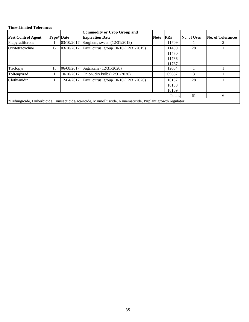### **Time-Limited Tolerances**

|                           |            |            | Commodity or Crop Group and                        |                                                                                                          |       |                    |                          |  |  |  |
|---------------------------|------------|------------|----------------------------------------------------|----------------------------------------------------------------------------------------------------------|-------|--------------------|--------------------------|--|--|--|
| <b>Pest Control Agent</b> | Type* Date |            | <b>Expiration Date</b>                             | <b>Note</b>                                                                                              | PR#   | <b>No. of Uses</b> | <b>No. of Tolerances</b> |  |  |  |
| Flupyradifurone           |            | 03/10/2017 | Sorghum, sweet (12/31/2019)                        |                                                                                                          | 11709 |                    |                          |  |  |  |
| Oxytetracycline           | B          |            | 03/10/2017 Fruit, citrus, group 10-10 (12/31/2019) |                                                                                                          | 11469 | 28                 |                          |  |  |  |
|                           |            |            |                                                    |                                                                                                          | 11470 |                    |                          |  |  |  |
|                           |            |            |                                                    |                                                                                                          | 11766 |                    |                          |  |  |  |
|                           |            |            |                                                    |                                                                                                          | 11767 |                    |                          |  |  |  |
| Triclopyr                 | H          | 06/08/2017 | Sugarcane (12/31/2020)                             |                                                                                                          | 12084 |                    |                          |  |  |  |
| Tolfenpyrad               |            | 10/10/2017 | Onion, dry bulb $(12/31/2020)$                     |                                                                                                          | 09657 | 3                  |                          |  |  |  |
| Clothianidin              |            | 12/04/2017 | Fruit, citrus, group 10-10 (12/31/2020)            |                                                                                                          | 10167 | 28                 |                          |  |  |  |
|                           |            |            |                                                    |                                                                                                          | 10168 |                    |                          |  |  |  |
|                           |            |            |                                                    |                                                                                                          | 10169 |                    |                          |  |  |  |
| 61<br>Totals<br>6         |            |            |                                                    |                                                                                                          |       |                    |                          |  |  |  |
|                           |            |            |                                                    | *F=fungicide, H=herbicide, I=insecticide/acaricide, M=molluscide, N=nematicide, P=plant growth regulator |       |                    |                          |  |  |  |

\*F=fungicide, H=herbicide, I=insecticide/acaricide, M=molluscide, N=nematicide, P=plant growth regulator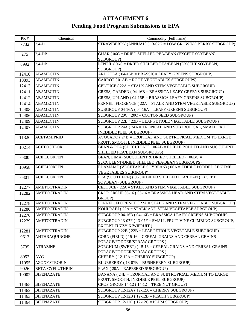## **ATTACHMENT 6 Pending Food Program Submissions to EPA**

| PR#   | Chemical               | Commodity (Full name)                                                                    |
|-------|------------------------|------------------------------------------------------------------------------------------|
| 7732  | $2,4-D$                | STRAWBERRY (ANNUAL) (13-07G = LOW GROWING BERRY SUBGROUP)                                |
| 275   | $2,4$ -DB              | GUAR (06C = DRIED SHELLED PEA/BEAN (EXCEPT SOYBEAN)                                      |
| 8992  | $2,4$ -DB              | SUBGROUP)<br>LENTIL (06C = DRIED SHELLED PEA/BEAN (EXCEPT SOYBEAN)                       |
|       |                        | SUBGROUP)                                                                                |
| 12410 | <b>ABAMECTIN</b>       | ARUGULA (04-16B = BRASSICA LEAFY GREENS SUBGROUP)                                        |
| 10893 | <b>ABAMECTIN</b>       | CARROT (01AB = ROOT VEGETABLES SUBGROUPS)                                                |
| 12413 | <b>ABAMECTIN</b>       | CELTUCE (22A = STALK AND STEM VEGETABLE SUBGROUP)                                        |
| 12411 | <b>ABAMECTIN</b>       | CRESS, GARDEN (04-16B = BRASSICA LEAFY GREENS SUBGROUP)                                  |
| 12412 | <b>ABAMECTIN</b>       | CRESS, UPLAND (04-16B = BRASSICA LEAFY GREENS SUBGROUP)                                  |
| 12414 | <b>ABAMECTIN</b>       | FENNEL, FLORENCE (22A = STALK AND STEM VEGETABLE SUBGROUP)                               |
| 12408 | <b>ABAMECTIN</b>       | SUBGROUP $04-16A$ ( $04-16A = LEAFY$ GREENS SUBGROUP)                                    |
| 12406 | <b>ABAMECTIN</b>       | SUBGROUP 20C (20C = COTTONSEED SUBGROUP)                                                 |
| 12409 | <b>ABAMECTIN</b>       | SUBGROUP 22B (22B = LEAF PETIOLE VEGETABLE SUBGROUP)                                     |
| 12407 | <b>ABAMECTIN</b>       | SUBGROUP 24A (24A = TROPICAL AND SUBTROPICAL, SMALL FRUIT,                               |
|       |                        | <b>INEDIBLE PEEL SUBGROUP)</b>                                                           |
| 11326 | <b>ACETAMIPRID</b>     | AVOCADO (24B = TROPICAL AND SUBTROPICAL, MEDIUM TO LARGE                                 |
|       |                        | FRUIT, SMOOTH, INEDIBLE PEEL SUBGROUP)                                                   |
| 10214 | <b>ACETOCHLOR</b>      | BEAN & PEA (SUCCULENT) (06AB = EDIBLE PODDED AND SUCCULENT                               |
|       | <b>ACIFLUORFEN</b>     | SHELLED PEA/BEAN SUBGROUPS)<br>BEAN, LIMA (SUCCULENT & DRIED SHELLED) (06BC =            |
| 6300  |                        | SUCCULENT/DRIED SHELLED PEA/BEAN SUBGROUPS)                                              |
| 10958 | <b>ACIFLUORFEN</b>     | EDAMAME (VEGETABLE SOYBEAN) (06A = EDIBLE PODDED LEGUME                                  |
|       |                        | <b>VEGETABLES SUBGROUP)</b>                                                              |
| 6301  | <b>ACIFLUORFEN</b>     | PEA (SOUTHERN) (06C = DRIED SHELLED PEA/BEAN (EXCEPT                                     |
|       |                        | SOYBEAN) SUBGROUP)                                                                       |
| 12277 | <b>AMETOCTRADIN</b>    | CELTUCE (22A = STALK AND STEM VEGETABLE SUBGROUP)                                        |
| 12282 | <b>AMETOCTRADIN</b>    | CROP GROUP 05-16 (05-16 = BRASSICA HEAD AND STEM VEGETABLE<br>GROUP)                     |
| 12278 | <b>AMETOCTRADIN</b>    | FENNEL, FLORENCE ( $22A = STALK$ AND STEM VEGETABLE SUBGROUP)                            |
| 12280 | <b>AMETOCTRADIN</b>    | KOHLRABI (22A = STALK AND STEM VEGETABLE SUBGROUP)                                       |
| 12276 | <b>AMETOCTRADIN</b>    | SUBGROUP 04-16B (04-16B = BRASSICA LEAFY GREENS SUBGROUP)                                |
| 12279 | <b>AMETOCTRADIN</b>    | SUBGROUP 13-07F (13-07F = SMALL FRUIT VINE CLIMBING SUBGROUP,                            |
|       |                        | <b>EXCEPT FUZZY KIWIFRUIT)</b>                                                           |
| 12281 | <b>AMETOCTRADIN</b>    | SUBGROUP 22B (22B = LEAF PETIOLE VEGETABLE SUBGROUP)                                     |
| 9613  | <b>ANTHRAQUINONE</b>   | CORN (FIELD) (15-16 = CEREAL GRAINS AND CEREAL GRAINS                                    |
|       |                        | FORAGE/FODDER/STRAW GROUPS)                                                              |
| 3735  | <b>ATRAZINE</b>        | SORGHUM (SWEET) (15-16 = CEREAL GRAINS AND CEREAL GRAINS                                 |
|       |                        | FORAGE/FODDER/STRAW GROUPS)                                                              |
| 8052  | <b>AVG</b>             | CHERRY (12-12A = CHERRY SUBGROUP)                                                        |
| 11055 | <b>AZOXYSTROBIN</b>    | BLUEBERRY (13-07B = BUSHBERRY SUBGROUP)                                                  |
| 9026  | <b>BETA-CYFLUTHRIN</b> | FLAX (20A = RAPESEED SUBGROUP)                                                           |
| 10002 | <b>BIFENAZATE</b>      | BANANA (24B = TROPICAL AND SUBTROPICAL, MEDIUM TO LARGE                                  |
| 11465 | <b>BIFENAZATE</b>      | FRUIT, SMOOTH, INEDIBLE PEEL SUBGROUP)<br>CROP GROUP $14-12$ ( $14-12$ = TREE NUT GROUP) |
| 11462 | <b>BIFENAZATE</b>      | SUBGROUP $12-12A$ ( $12-12A =$ CHERRY SUBGROUP)                                          |
| 11463 | <b>BIFENAZATE</b>      | SUBGROUP $12-12B$ ( $12-12B = PEACH SUBGROUP$ )                                          |
|       | <b>BIFENAZATE</b>      | SUBGROUP $12-12C$ ( $12-12C = PLUM SUBGROUP$ )                                           |
| 11464 |                        |                                                                                          |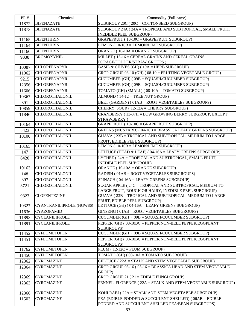| <b>PR#</b> | Chemical                 | Commodity (Full name)                                         |
|------------|--------------------------|---------------------------------------------------------------|
| 11872      | <b>BIFENAZATE</b>        | SUBGROUP 20C (20C = COTTONSEED SUBGROUP)                      |
| 11873      | <b>BIFENAZATE</b>        | SUBGROUP 24A (24A = TROPICAL AND SUBTROPICAL, SMALL FRUIT,    |
|            |                          | INEDIBLE PEEL SUBGROUP)                                       |
| 11165      | <b>BIFENTHRIN</b>        | GRAPEFRUIT (10-10C = GRAPEFRUIT SUBGROUP)                     |
| 11164      | <b>BIFENTHRIN</b>        | LEMON (10-10B = LEMON/LIME SUBGROUP)                          |
| 11166      | <b>BIFENTHRIN</b>        | ORANGE (10-10A = ORANGE SUBGROUP)                             |
| 9338       | <b>BROMOXYNIL</b>        | MILLET (15-16 = CEREAL GRAINS AND CEREAL GRAINS               |
|            |                          | FORAGE/FODDER/STRAW GROUPS)                                   |
| 10087      | <b>CHLORFENAPYR</b>      | BASIL & CHIVES (GH) (19A = HERB SUBGROUP)                     |
| 11062      | <b>CHLORFENAPYR</b>      | CROP GROUP $08-10$ (GH) ( $08-10$ = FRUITING VEGETABLE GROUP) |
| 9215       | <b>CHLORFENAPYR</b>      | CUCUMBER (GH) (09B = SQUASH/CUCUMBER SUBGROUP)                |
| 12356      | <b>CHLORFENAPYR</b>      | CUCUMBER (GH) (09B = SQUASH/CUCUMBER SUBGROUP)                |
| 11606      | <b>CHLORFENAPYR</b>      | TOMATO (GH) (SMALL) (08-10A = TOMATO SUBGROUP)                |
| 10367      | <b>CHLOROTHALONIL</b>    | $ALMOND$ (14-12 = TREE NUT GROUP)                             |
| 391        | <b>CHLOROTHALONIL</b>    | BEET (GARDEN) (01AB = ROOT VEGETABLES SUBGROUPS)              |
| 10859      | <b>CHLOROTHALONIL</b>    | CHERRY, SOUR (12-12A = CHERRY SUBGROUP)                       |
| 11846      | <b>CHLOROTHALONIL</b>    | CRANBERRY (13-07H = LOW GROWING BERRY SUBGROUP, EXCEPT        |
|            |                          | STRAWBERRY)                                                   |
| 10164      | <b>CHLOROTHALONIL</b>    | GRAPEFRUIT (10-10C = GRAPEFRUIT SUBGROUP)                     |
| 5423       | <b>CHLOROTHALONIL</b>    | GREENS (MUSTARD) (04-16B = BRASSICA LEAFY GREENS SUBGROUP)    |
| 10100      | <b>CHLOROTHALONIL</b>    | GUAVA (23B = TROPICAL AND SUBTROPICAL, MEDIUM TO LARGE        |
|            |                          | FRUIT, EDIBLE PEEL SUBGROUP)                                  |
| 10165      | <b>CHLOROTHALONIL</b>    | LEMON (10-10B = LEMON/LIME SUBGROUP)                          |
| 147        | <b>CHLOROTHALONIL</b>    | LETTUCE (HEAD $&$ LEAF) ( $04-16A =$ LEAFY GREENS SUBGROUP)   |
| 6420       | <b>CHLOROTHALONIL</b>    | LYCHEE (24A = TROPICAL AND SUBTROPICAL, SMALL FRUIT,          |
| 10163      | <b>CHLOROTHALONIL</b>    | INEDIBLE PEEL SUBGROUP)<br>ORANGE (10-10A = ORANGE SUBGROUP)  |
| 148        | <b>CHLOROTHALONIL</b>    | RADISH (01AB = ROOT VEGETABLES SUBGROUPS)                     |
| 397        | <b>CHLOROTHALONIL</b>    | SPINACH (04-16A = LEAFY GREENS SUBGROUP)                      |
| 3721       | <b>CHLOROTHALONIL</b>    | SUGAR APPLE (24C = TROPICAL AND SUBTROPICAL, MEDIUM TO        |
|            |                          | LARGE FRUIT, ROUGH OR HAIRY, INEDIBLE PEEL SUBGROUP)          |
| 9323       | <b>CLOFENTEZINE</b>      | GUAVA (23B = TROPICAL AND SUBTROPICAL, MEDIUM TO LARGE        |
|            |                          | FRUIT, EDIBLE PEEL SUBGROUP)                                  |
| 10327      | CYANTRANILIPROLE (HGW86) | LETTUCE (GH) (04-16A = LEAFY GREENS SUBGROUP)                 |
| 11636      | <b>CYAZOFAMID</b>        | GINSENG (01AB = ROOT VEGETABLES SUBGROUPS)                    |
| 11893      | <b>CYCLANILIPROLE</b>    | $CUCUMBER$ (GH) ( $09B = SQUARE/CUCUMBER$ SUBGROUP)           |
| 11891      | <b>CYCLANILIPROLE</b>    | PEPPER (GH) (08-10BC = PEPPER/NON-BELL PEPPER/EGGPLANT        |
|            |                          | SUBGROUPS)                                                    |
| 11452      | <b>CYFLUMETOFEN</b>      | CUCUMBER (GH) (09B = SQUASH/CUCUMBER SUBGROUP)                |
| 11451      | <b>CYFLUMETOFEN</b>      | PEPPER (GH) (08-10BC = PEPPER/NON-BELL PEPPER/EGGPLANT        |
| 11762      | <b>CYFLUMETOFEN</b>      | SUBGROUPS)<br>$PLUM(12-12C = PLUM SUBGROUP)$                  |
| 11450      | <b>CYFLUMETOFEN</b>      | TOMATO (GH) ( $08-10A = TOMATO SUBGROUP$ )                    |
| 12362      | <b>CYROMAZINE</b>        | CELTUCE (22A = STALK AND STEM VEGETABLE SUBGROUP)             |
|            | <b>CYROMAZINE</b>        | CROP GROUP 05-16 (05-16 = BRASSICA HEAD AND STEM VEGETABLE    |
| 12364      |                          | GROUP)                                                        |
| 12369      | <b>CYROMAZINE</b>        | CROP GROUP $21(21)$ = EDIBLE FUNGI GROUP)                     |
| 12363      | <b>CYROMAZINE</b>        | FENNEL, FLORENCE ( $22A = STALK$ AND STEM VEGETABLE SUBGROUP) |
|            |                          |                                                               |
| 12366      | <b>CYROMAZINE</b>        | KOHLRABI (22A = STALK AND STEM VEGETABLE SUBGROUP)            |
| 11503      | <b>CYROMAZINE</b>        | PEA (EDIBLE PODDED & SUCCULENT SHELLED) (06AB = EDIBLE        |
|            |                          | PODDED AND SUCCULENT SHELLED PEA/BEAN SUBGROUPS)              |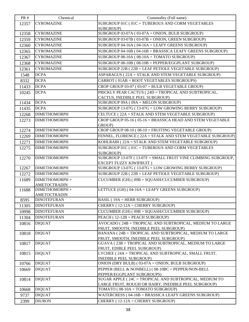| <b>PR#</b> | Chemical            | Commodity (Full name)                                                                     |
|------------|---------------------|-------------------------------------------------------------------------------------------|
| 12357      | <b>CYROMAZINE</b>   | SUBGROUP 01C (01C = TUBEROUS AND CORM VEGETABLES                                          |
|            |                     | SUBGROUP)                                                                                 |
| 12358      | <b>CYROMAZINE</b>   | SUBGROUP 03-07A (03-07A = ONION, BULB SUBGROUP)                                           |
| 12359      | <b>CYROMAZINE</b>   | SUBGROUP 03-07B (03-07B = ONION, GREEN SUBGROUP)                                          |
| 12360      | <b>CYROMAZINE</b>   | SUBGROUP $04-16A$ ( $04-16A = LEAFY$ GREENS SUBGROUP)                                     |
| 12365      | <b>CYROMAZINE</b>   | SUBGROUP 04-16B (04-16B = BRASSICA LEAFY GREENS SUBGROUP)                                 |
| 12367      | <b>CYROMAZINE</b>   | SUBGROUP $08-10A$ ( $08-10A = TOMATO SUBGROUP$ )                                          |
| 12368      | <b>CYROMAZINE</b>   | SUBGROUP 08-10B (08-10B = PEPPER/EGGPLANT SUBGROUP)                                       |
| 12361      | <b>CYROMAZINE</b>   | SUBGROUP 22B (22B = LEAF PETIOLE VEGETABLE SUBGROUP)                                      |
| 1548       | <b>DCPA</b>         | ASPARAGUS (22A = STALK AND STEM VEGETABLE SUBGROUP)                                       |
|            | <b>DCPA</b>         | CARROT (01AB = ROOT VEGETABLES SUBGROUPS)                                                 |
| 8332       |                     |                                                                                           |
| 11433      | <b>DCPA</b>         | CROP GROUP $03-07$ ( $03-07 = BULB$ VEGETABLE GROUP)                                      |
| 10245      | <b>DCPA</b>         | PRICKLY PEAR CACTUS (24D = TROPICAL AND SUBTROPICAL,                                      |
| 11434      | <b>DCPA</b>         | CACTUS, INEDIBLE PEEL SUBGROUP)<br>SUBGROUP $09A (09A = MELON SUBGROUP)$                  |
|            |                     |                                                                                           |
| 11435      | <b>DCPA</b>         | SUBGROUP $13-07G$ ( $13-07G = LOW$ GROWING BERRY SUBGROUP)                                |
| 12268      | <b>DIMETHOMORPH</b> | CELTUCE (22A = STALK AND STEM VEGETABLE SUBGROUP)                                         |
| 12273      | <b>DIMETHOMORPH</b> | CROP GROUP 05-16 (05-16 = BRASSICA HEAD AND STEM VEGETABLE                                |
|            |                     | GROUP)                                                                                    |
| 12274      | <b>DIMETHOMORPH</b> | CROP GROUP $08-10$ ( $08-10$ = FRUITING VEGETABLE GROUP)                                  |
| 12269      | <b>DIMETHOMORPH</b> | FENNEL, FLORENCE (22A = STALK AND STEM VEGETABLE SUBGROUP)                                |
| 12271      | <b>DIMETHOMORPH</b> | KOHLRABI (22A = STALK AND STEM VEGETABLE SUBGROUP)                                        |
| 12275      | <b>DIMETHOMORPH</b> | SUBGROUP 01C (01C = TUBEROUS AND CORM VEGETABLES                                          |
|            |                     | SUBGROUP)                                                                                 |
| 12270      | <b>DIMETHOMORPH</b> | SUBGROUP 13-07F (13-07F = SMALL FRUIT VINE CLIMBING SUBGROUP,                             |
| 12267      | <b>DIMETHOMORPH</b> | EXCEPT FUZZY KIWIFRUIT)<br>SUBGROUP 13-07G (13-07G = LOW GROWING BERRY SUBGROUP)          |
| 12272      | <b>DIMETHOMORPH</b> | SUBGROUP 22B (22B = LEAF PETIOLE VEGETABLE SUBGROUP)                                      |
|            | DIMETHOMORPH +      |                                                                                           |
| 11689      | <b>AMETOCTRADIN</b> | CUCUMBER (GH) (09B = SQUASH/CUCUMBER SUBGROUP)                                            |
| 11688      | DIMETHOMORPH +      | LETTUCE (GH) (04-16A = LEAFY GREENS SUBGROUP)                                             |
|            | <b>AMETOCTRADIN</b> |                                                                                           |
| 8595       | <b>DINOTEFURAN</b>  | <b>BASIL (19A = HERB SUBGROUP)</b>                                                        |
| 11305      | <b>DINOTEFURAN</b>  | CHERRY (12-12A = CHERRY SUBGROUP)                                                         |
| 10998      | <b>DINOTEFURAN</b>  | CUCUMBER (GH) (09B = SQUASH/CUCUMBER SUBGROUP)                                            |
| 11304      | <b>DINOTEFURAN</b>  | PEACH (12-12B = PEACH SUBGROUP)                                                           |
| 10816      | <b>DIQUAT</b>       | AVOCADO (24B = TROPICAL AND SUBTROPICAL, MEDIUM TO LARGE                                  |
|            |                     | FRUIT, SMOOTH, INEDIBLE PEEL SUBGROUP)                                                    |
| 10818      | <b>DIQUAT</b>       | BANANA (24B = TROPICAL AND SUBTROPICAL, MEDIUM TO LARGE                                   |
|            |                     | FRUIT, SMOOTH, INEDIBLE PEEL SUBGROUP)                                                    |
| 10817      | <b>DIQUAT</b>       | GUAVA (23B = TROPICAL AND SUBTROPICAL, MEDIUM TO LARGE                                    |
|            |                     | FRUIT, EDIBLE PEEL SUBGROUP)                                                              |
| 10815      | <b>DIQUAT</b>       | LYCHEE (24A = TROPICAL AND SUBTROPICAL, SMALL FRUIT,                                      |
|            |                     | INEDIBLE PEEL SUBGROUP)                                                                   |
| 10766      | <b>DIQUAT</b>       | ONION (DRY BULB) (03-07A = ONION, BULB SUBGROUP)                                          |
| 10669      | <b>DIQUAT</b>       | PEPPER (BELL & NONBELL) (08-10BC = PEPPER/NON-BELL                                        |
|            |                     | PEPPER/EGGPLANT SUBGROUPS)                                                                |
| 10814      | <b>DIQUAT</b>       | SUGAR APPLE (24C = TROPICAL AND SUBTROPICAL, MEDIUM TO                                    |
| 10668      | <b>DIQUAT</b>       | LARGE FRUIT, ROUGH OR HAIRY, INEDIBLE PEEL SUBGROUP)<br>TOMATO (08-10A = TOMATO SUBGROUP) |
|            | <b>DIQUAT</b>       | WATERCRESS (04-16B = BRASSICA LEAFY GREENS SUBGROUP)                                      |
| 9737       |                     |                                                                                           |
| 2399       | <b>DIURON</b>       | CHERRY (12-12A = CHERRY SUBGROUP)                                                         |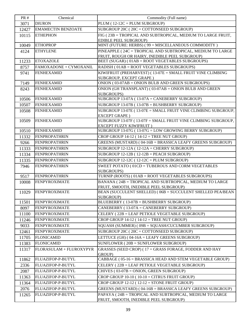| <b>PR#</b> | Chemical                  | Commodity (Full name)                                                                             |  |
|------------|---------------------------|---------------------------------------------------------------------------------------------------|--|
| 3071       | <b>DIURON</b>             | PLUM (12-12C = PLUM SUBGROUP)                                                                     |  |
| 12427      | <b>EMAMECTIN BENZOATE</b> | SUBGROUP 20C (20C = COTTONSEED SUBGROUP)                                                          |  |
| 10115      | <b>ETHEPHON</b>           | FIG (23B = TROPICAL AND SUBTROPICAL, MEDIUM TO LARGE FRUIT,                                       |  |
|            |                           | <b>EDIBLE PEEL SUBGROUP)</b>                                                                      |  |
| 10049      | <b>ETHOPROP</b>           | MINT (FUTURE: HERBS) (99 = MISCELLANEOUS COMMODITY)                                               |  |
| 4124       | <b>ETHYLENE</b>           | PINEAPPLE (24C = TROPICAL AND SUBTROPICAL, MEDIUM TO LARGE                                        |  |
|            | <b>ETOXAZOLE</b>          | FRUIT, ROUGH OR HAIRY, INEDIBLE PEEL SUBGROUP)                                                    |  |
| 11233      |                           | BEET (SUGAR) (01AB = ROOT VEGETABLES SUBGROUPS)                                                   |  |
| 8757       | FAMOXADONE + CYMOXANIL    | RADISH (01AB = ROOT VEGETABLES SUBGROUPS)                                                         |  |
| 9741       | <b>FENHEXAMID</b>         | KIWIFRUIT (PREHARVEST) (13-07E = SMALL FRUIT VINE CLIMBING<br>SUBGROUP, EXCEPT GRAPE)             |  |
| 7149       | <b>FENHEXAMID</b>         | ONION (03-07AB = ONION BULB AND GREEN SUBGROUPS)                                                  |  |
| 8243       | <b>FENHEXAMID</b>         | ONION (GH TRANSPLANT) (03-07AB = ONION BULB AND GREEN                                             |  |
|            |                           | SUBGROUPS)                                                                                        |  |
| 10506      | <b>FENHEXAMID</b>         | SUBGROUP 13-07A (13-07A = CANEBERRY SUBGROUP)                                                     |  |
| 10507      | <b>FENHEXAMID</b>         | SUBGROUP 13-07B (13-07B = BUSHBERRY SUBGROUP)                                                     |  |
| 10508      | <b>FENHEXAMID</b>         | SUBGROUP 13-07E (13-07E = SMALL FRUIT VINE CLIMBING SUBGROUP,                                     |  |
|            |                           | <b>EXCEPT GRAPE</b> )                                                                             |  |
| 10509      | <b>FENHEXAMID</b>         | SUBGROUP 13-07F (13-07F = SMALL FRUIT VINE CLIMBING SUBGROUP,                                     |  |
|            |                           | EXCEPT FUZZY KIWIFRUIT)                                                                           |  |
| 10510      | FENHEXAMID                | SUBGROUP 13-07G (13-07G = LOW GROWING BERRY SUBGROUP)                                             |  |
| 11332      | <b>FENPROPATHRIN</b>      | CROP GROUP $14-12$ ( $14-12$ = TREE NUT GROUP)                                                    |  |
| 9266       | <b>FENPROPATHRIN</b>      | GREENS (MUSTARD) (04-16B = BRASSICA LEAFY GREENS SUBGROUP)                                        |  |
| 11333      | <b>FENPROPATHRIN</b>      | SUBGROUP $12-12A$ ( $12-12A =$ CHERRY SUBGROUP)                                                   |  |
| 11334      | <b>FENPROPATHRIN</b>      | SUBGROUP $12-12B$ ( $12-12B = PEACH SUBGROUP$ )                                                   |  |
| 11335      | <b>FENPROPATHRIN</b>      | SUBGROUP $12-12C$ ( $12-12C = PLUM SUBGROUP$ )                                                    |  |
| 7946       | <b>FENPROPATHRIN</b>      | SWEET POTATO (01CD = TUBEROUS AND CORM VEGETABLES                                                 |  |
| 9517       | <b>FENPROPATHRIN</b>      | SUBGROUPS)<br>TURNIP (ROOTS) (01AB = ROOT VEGETABLES SUBGROUPS)                                   |  |
|            | <b>FENPYROXIMATE</b>      | BANANA (24B = TROPICAL AND SUBTROPICAL, MEDIUM TO LARGE                                           |  |
| 10008      |                           | FRUIT, SMOOTH, INEDIBLE PEEL SUBGROUP)                                                            |  |
| 11029      | <b>FENPYROXIMATE</b>      | BEAN (SUCCULENT SHELLED) (06B = SUCCULENT SHELLED PEA/BEAN                                        |  |
|            |                           | SUBGROUP)                                                                                         |  |
| 11501      | <b>FENPYROXIMATE</b>      | BLUEBERRY (13-07B = BUSHBERRY SUBGROUP)                                                           |  |
| 8097       | <b>FENPYROXIMATE</b>      | CANEBERRY (13-07A = CANEBERRY SUBGROUP)                                                           |  |
| 11100      | <b>FENPYROXIMATE</b>      | CELERY (22B = LEAF PETIOLE VEGETABLE SUBGROUP)                                                    |  |
| 11246      | <b>FENPYROXIMATE</b>      | CROP GROUP $14-12$ ( $14-12$ = TREE NUT GROUP)                                                    |  |
| 9033       | <b>FENPYROXIMATE</b>      | SQUASH (SUMMER) (09B = SQUASH/CUCUMBER SUBGROUP)                                                  |  |
| 12461      | <b>FENPYROXIMATE</b>      | SUBGROUP $20C$ ( $20C = COTTONSEED SUBGROUP$ )                                                    |  |
| 11705      | <b>FLONICAMID</b>         | LETTUCE (GH) (04-16A = LEAFY GREENS SUBGROUP)                                                     |  |
| 11383      | <b>FLONICAMID</b>         | SUNFLOWER (20B = SUNFLOWER SUBGROUP)                                                              |  |
| 11317      | FLORASULAM + FLUROXYPYR   | GRASSES (SEED CROP) (17 = GRASS FORAGE, FODDER AND HAY                                            |  |
|            | FLUAZIFOP-P-BUTYL         | GROUP)<br>CABBAGE (05-16 = BRASSICA HEAD AND STEM VEGETABLE GROUP)                                |  |
| 11862      | FLUAZIFOP-P-BUTYL         | CELERY (22B = LEAF PETIOLE VEGETABLE SUBGROUP)                                                    |  |
| 2336       |                           | CHIVES (03-07B = ONION, GREEN SUBGROUP)                                                           |  |
| 2087       | FLUAZIFOP-P-BUTYL         |                                                                                                   |  |
| 11363      | FLUAZIFOP-P-BUTYL         | CROP GROUP $10-10$ ( $10-10 =$ CITRUS FRUIT GROUP)                                                |  |
| 11364      | FLUAZIFOP-P-BUTYL         | CROP GROUP $12-12$ ( $12-12 =$ STONE FRUIT GROUP)                                                 |  |
| 2076       | FLUAZIFOP-P-BUTYL         | GREENS (MUSTARD) (04-16B = BRASSICA LEAFY GREENS SUBGROUP)                                        |  |
| 11265      | FLUAZIFOP-P-BUTYL         | PAPAYA (24B = TROPICAL AND SUBTROPICAL, MEDIUM TO LARGE<br>FRUIT, SMOOTH, INEDIBLE PEEL SUBGROUP) |  |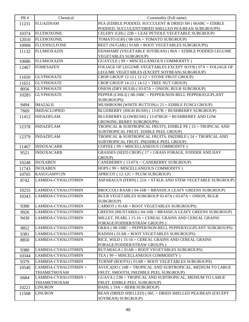| <b>PR#</b>   | Chemical                             | Commodity (Full name)                                                                          |
|--------------|--------------------------------------|------------------------------------------------------------------------------------------------|
| 11231        | <b>FLUAZINAM</b>                     | PEA (EDIBLE PODDED, SUCCULENT & DRIED SH (06ABC = EDIBLE                                       |
|              |                                      | PODDED, SUCCULENT/DRIED SHELLED PEA/BEAN SUBGROUPS)                                            |
| 10374        | <b>FLUDIOXONIL</b>                   | CELERY (GH) (22B = LEAF PETIOLE VEGETABLE SUBGROUP)                                            |
| 12010        | <b>FLUDIOXONIL</b>                   | TOMATO (GH) ( $08-10A = TOMATO SUBGROUP$ )                                                     |
| 10908        | <b>FLUENSULFONE</b>                  | BEET (SUGAR) (01AB = ROOT VEGETABLES SUBGROUPS)                                                |
| 11132        | <b>FLUMIOXAZIN</b>                   | EDAMAME (VEGETABLE SOYBEAN) (06A = EDIBLE PODDED LEGUME                                        |
| 10686        | <b>FLUMIOXAZIN</b>                   | <b>VEGETABLES SUBGROUP)</b><br><b>GUAYULE</b> (99 = MISCELLANEOUS COMMODITY)                   |
|              | <b>FOMESAFEN</b>                     | FOLIAGE OF LEGUME VEGETABLES EXCEPT SOYB (07A = FOLIAGE OF                                     |
| 12467        |                                      | LEGUME VEGETABLES (EXCEPT SOYBEAN) SUBGROUP)                                                   |
| 11650        | <b>GLYPHOSATE</b>                    | CROP GROUP $12-12$ ( $12-12 =$ STONE FRUIT GROUP)                                              |
| 11651        | <b>GLYPHOSATE</b>                    | CROP GROUP $14-12$ ( $14-12$ = TREE NUT GROUP)                                                 |
| 8056         | <b>GLYPHOSATE</b>                    | ONION (DRY BULB) ( $03-07A = ONION$ , BULB SUBGROUP)                                           |
| 10285        | <b>GLYPHOSATE</b>                    | PEPPER (CHILI) (08-10BC = PEPPER/NON-BELL PEPPER/EGGPLANT                                      |
|              |                                      | SUBGROUPS)                                                                                     |
| 9494         | <b>IMAZALIL</b>                      | MUSHROOM (WHITE BUTTON) ( $21$ = EDIBLE FUNGI GROUP)                                           |
| 7669         | <b>IMIDACLOPRID</b>                  | BLUEBERRY (HIGH BUSH) (13-07B = BUSHBERRY SUBGROUP)                                            |
| 11412        | <b>INDAZIFLAM</b>                    | BLUEBERRY (LOWBUSH) (13-07BGH = BUSHBERRY AND LOW                                              |
|              | <b>INDAZIFLAM</b>                    | <b>GROWING BERRY SUBGROUPS)</b><br>TROPICAL & SUBTROPICAL FRUITS, EDIBLE PE (23 = TROPICAL AND |
| 12378        |                                      | SUBTROPICAL FRUIT, EDIBLE PEEL GROUP)                                                          |
| 12379        | <b>INDAZIFLAM</b>                    | TROPICAL & SUBTROPICAL FRUITS, INEDIBLE (24 = TROPICAL AND                                     |
|              |                                      | SUBTROPICAL FRUIT, INEDIBLE PEEL GROUP)                                                        |
| 11467        | <b>INDOXACARB</b>                    | COFFEE (99 = MISCELLANEOUS COMMODITY)                                                          |
| 9521         | <b>INDOXACARB</b>                    | GRASSES (SEED CROP) (17 = GRASS FORAGE, FODDER AND HAY                                         |
|              |                                      | GROUP)                                                                                         |
| 10248        | <b>ISOXABEN</b>                      | CANEBERRY (13-07A = CANEBERRY SUBGROUP)                                                        |
| 11743        | <b>ISOXABEN</b>                      | HOPS (99 = MISCELLANEOUS COMMODITY)                                                            |
| 10705        | <b>KASUGAMYCIN</b>                   | $APRICOT$ (12-12C = PLUM SUBGROUP)                                                             |
| 8742         | LAMBDA-CYHALOTHRIN                   | ASPARAGUS (FERN) (22A = STALK AND STEM VEGETABLE SUBGROUP)                                     |
| 10255        | LAMBDA-CYHALOTHRIN                   | BROCCOLI RAAB (04-16B = BRASSICA LEAFY GREENS SUBGROUP)                                        |
| 10343        | LAMBDA-CYHALOTHRIN                   | BULB VEGETABLES SUBGROUP 03-07A (03-07A = ONION, BULB                                          |
|              | LAMBDA-CYHALOTHRIN                   | SUBGROUP)<br>CARROT (01AB = ROOT VEGETABLES SUBGROUPS)                                         |
| 9390<br>9926 | LAMBDA-CYHALOTHRIN                   | GREENS (MUSTARD) (04-16B = BRASSICA LEAFY GREENS SUBGROUP)                                     |
| 9430         | LAMBDA-CYHALOTHRIN                   | MILLET, PEARL (15-16 = CEREAL GRAINS AND CEREAL GRAINS                                         |
|              |                                      | FORAGE/FODDER/STRAW GROUPS)                                                                    |
| 9852         | LAMBDA-CYHALOTHRIN                   | OKRA (08-10BC = PEPPER/NON-BELL PEPPER/EGGPLANT SUBGROUPS)                                     |
| 9381         | LAMBDA-CYHALOTHRIN                   | RADISH (01AB = ROOT VEGETABLES SUBGROUPS)                                                      |
| 8850         | LAMBDA-CYHALOTHRIN                   | RICE, WILD (15-16 = CEREAL GRAINS AND CEREAL GRAINS                                            |
|              |                                      | <b>FORAGE/FODDER/STRAW GROUPS)</b>                                                             |
| 9380         | LAMBDA-CYHALOTHRIN                   | RUTABAGA (01AB = ROOT VEGETABLES SUBGROUPS)                                                    |
| 10344        | LAMBDA-CYHALOTHRIN                   | TEA (99 = MISCELLANEOUS COMMODITY)                                                             |
| 9379         | LAMBDA-CYHALOTHRIN                   | TURNIP (ROOTS) (01AB = ROOT VEGETABLES SUBGROUPS)                                              |
| 10540        | LAMBDA-CYHALOTHRIN +                 | AVOCADO (24B = TROPICAL AND SUBTROPICAL, MEDIUM TO LARGE                                       |
|              | THIAMETHOXAM                         | FRUIT, SMOOTH, INEDIBLE PEEL SUBGROUP)                                                         |
| 6684         | LAMBDA-CYHALOTHRIN +<br>THIAMETHOXAM | GUAVA (23B = TROPICAL AND SUBTROPICAL, MEDIUM TO LARGE<br>FRUIT, EDIBLE PEEL SUBGROUP)         |
| 10221        | <b>LINURON</b>                       | <b>BASIL</b> (19A = HERB SUBGROUP)                                                             |
| 11508        | <b>LINURON</b>                       | BEAN (DRIED SHELLED) (06C = DRIED SHELLED PEA/BEAN (EXCEPT                                     |
|              |                                      | SOYBEAN) SUBGROUP)                                                                             |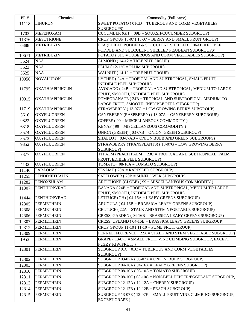| <b>PR#</b> | Chemical               | Commodity (Full name)                                                                              |  |
|------------|------------------------|----------------------------------------------------------------------------------------------------|--|
| 11118      | <b>LINURON</b>         | SWEET POTATO ( $01CD = TUBEROUS$ AND CORM VEGETABLES                                               |  |
|            |                        | SUBGROUPS)                                                                                         |  |
| 1703       | <b>MEFENOXAM</b>       | CUCUMBER (GH) (09B = SQUASH/CUCUMBER SUBGROUP)                                                     |  |
| 11376      | <b>MESOTRIONE</b>      | CROP GROUP 13-07 (13-07 = BERRY AND SMALL FRUIT GROUP)                                             |  |
| 6388       | <b>METRIBUZIN</b>      | PEA (EDIBLE PODDED & SUCCULENT SHELLED) ( $06AB = EDIBLE$                                          |  |
|            |                        | PODDED AND SUCCULENT SHELLED PEA/BEAN SUBGROUPS)                                                   |  |
| 10671      | <b>METRIBUZIN</b>      | POTATO (01C = TUBEROUS AND CORM VEGETABLES SUBGROUP)                                               |  |
| 3524       | <b>NAA</b>             | $ALMOND$ (14-12 = TREE NUT GROUP)                                                                  |  |
| 3523       | <b>NAA</b>             | $PLUM(12-12C = PLUM SUBGROUP)$                                                                     |  |
| 3525       | <b>NAA</b>             | WALNUT ( $14-12$ = TREE NUT GROUP)                                                                 |  |
| 10956      | <b>NOVALURON</b>       | LYCHEE (24A = TROPICAL AND SUBTROPICAL, SMALL FRUIT,<br><b>INEDIBLE PEEL SUBGROUP)</b>             |  |
| 11795      | <b>OXATHIAPIPROLIN</b> | AVOCADO (24B = TROPICAL AND SUBTROPICAL, MEDIUM TO LARGE<br>FRUIT, SMOOTH, INEDIBLE PEEL SUBGROUP) |  |
| 10915      | <b>OXATHIAPIPROLIN</b> | POMEGRANATE (24B = TROPICAL AND SUBTROPICAL, MEDIUM TO                                             |  |
|            |                        | LARGE FRUIT, SMOOTH, INEDIBLE PEEL SUBGROUP)                                                       |  |
| 11719      | <b>OXATHIAPIPROLIN</b> | STRAWBERRY (13-07G = LOW GROWING BERRY SUBGROUP)                                                   |  |
| 3616       | <b>OXYFLUORFEN</b>     | CANEBERRY (RASPBERRY) ( $13-07A = CANEBERRY SUBGROUP$ )                                            |  |
| 9822       | <b>OXYFLUORFEN</b>     | COFFEE (99 = MISCELLANEOUS COMMODITY)                                                              |  |
| 6318       | <b>OXYFLUORFEN</b>     | KENAF (99 = MISCELLANEOUS COMMODITY)                                                               |  |
| 3574       | <b>OXYFLUORFEN</b>     | ONION (GREEN) (03-07B = ONION, GREEN SUBGROUP)                                                     |  |
| 3573       | <b>OXYFLUORFEN</b>     | SHALLOT (03-07AB = ONION BULB AND GREEN SUBGROUPS)                                                 |  |
| 9352       | <b>OXYFLUORFEN</b>     | STRAWBERRY (TRANSPLANTS) (13-07G = LOW GROWING BERRY                                               |  |
|            |                        | SUBGROUP)                                                                                          |  |
| 7377       | <b>OXYFLUORFEN</b>     | TI PALM (PEACH PALM) (23C = TROPICAL AND SUBTROPICAL, PALM<br>FRUIT, EDIBLE PEEL SUBGROUP)         |  |
| 4132       | <b>OXYFLUORFEN</b>     | TOMATO (08-10A = TOMATO SUBGROUP)                                                                  |  |
| 11146      | <b>PARAQUAT</b>        | SESAME (20A = RAPESEED SUBGROUP)                                                                   |  |
| 11255      | <b>PENDIMETHALIN</b>   | SAFFLOWER (20B = SUNFLOWER SUBGROUP)                                                               |  |
| 11282      | PENOXSULAM+            | ARTICHOKE (GLOBE) (99 = MISCELLANEOUS COMMODITY)                                                   |  |
| 11307      | <b>PENTHIOPYRAD</b>    | BANANA (24B = TROPICAL AND SUBTROPICAL, MEDIUM TO LARGE                                            |  |
|            |                        | FRUIT, SMOOTH, INEDIBLE PEEL SUBGROUP)                                                             |  |
|            | 11444 PENTHIOPYRAD     | LETTUCE (GH) (04-16A = LEAFY GREENS SUBGROUP)                                                      |  |
| 12305      | <b>PERMETHRIN</b>      | ARUGULA (04-16B = BRASSICA LEAFY GREENS SUBGROUP)                                                  |  |
| 12308      | <b>PERMETHRIN</b>      | CELTUCE (22A = STALK AND STEM VEGETABLE SUBGROUP)                                                  |  |
| 12306      | <b>PERMETHRIN</b>      | CRESS, GARDEN (04-16B = BRASSICA LEAFY GREENS SUBGROUP)                                            |  |
| 12307      | <b>PERMETHRIN</b>      | CRESS, UPLAND (04-16B = BRASSICA LEAFY GREENS SUBGROUP)                                            |  |
| 12312      | <b>PERMETHRIN</b>      | CROP GROUP $11-10$ ( $11-10 =$ POME FRUIT GROUP)                                                   |  |
| 12309      | <b>PERMETHRIN</b>      | FENNEL, FLORENCE ( $22A = STALK$ AND STEM VEGETABLE SUBGROUP)                                      |  |
| 1953       | <b>PERMETHRIN</b>      | GRAPE (13-07F = SMALL FRUIT VINE CLIMBING SUBGROUP, EXCEPT                                         |  |
|            |                        | FUZZY KIWIFRUIT)                                                                                   |  |
| 12301      | <b>PERMETHRIN</b>      | SUBGROUP 01C (01C = TUBEROUS AND CORM VEGETABLES<br>SUBGROUP)                                      |  |
| 12302      | <b>PERMETHRIN</b>      | SUBGROUP $03-07A$ ( $03-07A = ONION$ , BULB SUBGROUP)                                              |  |
| 12303      | <b>PERMETHRIN</b>      | SUBGROUP $04-16A$ ( $04-16A = LEAFY$ GREENS SUBGROUP)                                              |  |
| 12310      | <b>PERMETHRIN</b>      | SUBGROUP $08-10A$ ( $08-10A = TOMATO SUBGROUP$ )                                                   |  |
| 12311      | <b>PERMETHRIN</b>      | SUBGROUP $08-10C$ ( $08-10C = NON-BELL$ PEPPER/EGGPLANT SUBGROUP)                                  |  |
| 12313      | <b>PERMETHRIN</b>      | SUBGROUP $12-12A$ ( $12-12A =$ CHERRY SUBGROUP)                                                    |  |
|            | <b>PERMETHRIN</b>      | SUBGROUP $12-12B$ ( $12-12B$ = PEACH SUBGROUP)                                                     |  |
| 12314      | <b>PERMETHRIN</b>      | SUBGROUP 13-07E (13-07E = SMALL FRUIT VINE CLIMBING SUBGROUP,                                      |  |
| 12315      |                        | <b>EXCEPT GRAPE</b> )                                                                              |  |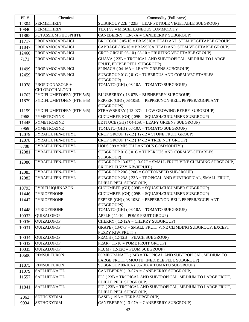| <b>PR#</b> | Chemical                          | Commodity (Full name)                                                                                  |  |
|------------|-----------------------------------|--------------------------------------------------------------------------------------------------------|--|
| 12304      | <b>PERMETHRIN</b>                 | SUBGROUP $22B$ ( $22B = LEAF$ PETIOLE VEGETABLE SUBGROUP)                                              |  |
| 10840      | <b>PERMETHRIN</b>                 | TEA (99 = MISCELLANEOUS COMMODITY)                                                                     |  |
| 11885      | POTASSIUM PHOSPHITE               | CANEBERRY (13-07A = CANEBERRY SUBGROUP)                                                                |  |
| 11717      | PROPAMOCARB-HCL                   | BROCCOLI (05-16 = BRASSICA HEAD AND STEM VEGETABLE GROUP)                                              |  |
| 11847      | PROPAMOCARB-HCL                   | CABBAGE (05-16 = BRASSICA HEAD AND STEM VEGETABLE GROUP)                                               |  |
| 12460      | PROPAMOCARB-HCL                   | CROP GROUP $08-10$ ( $08-10$ = FRUITING VEGETABLE GROUP)                                               |  |
| 7171       | PROPAMOCARB-HCL                   | GUAVA (23B = TROPICAL AND SUBTROPICAL, MEDIUM TO LARGE                                                 |  |
|            |                                   | FRUIT, EDIBLE PEEL SUBGROUP)                                                                           |  |
| 11499      | PROPAMOCARB-HCL                   | SPINACH (04-16A = LEAFY GREENS SUBGROUP)                                                               |  |
| 12459      | PROPAMOCARB-HCL                   | SUBGROUP 01C (01C = TUBEROUS AND CORM VEGETABLES                                                       |  |
|            |                                   | SUBGROUP)                                                                                              |  |
| 11078      | PROPICONAZOLE +<br>CHLOROTHALONIL | TOMATO (GH) ( $08-10A = TOMATO SUBGROUP$ )                                                             |  |
| 11763      | PYDIFLUMETOFEN (FTH 545)          | BLUEBERRY (13-07B = BUSHBERRY SUBGROUP)                                                                |  |
| 11879      | PYDIFLUMETOFEN (FTH 545)          | PEPPER (GH) (08-10BC = PEPPER/NON-BELL PEPPER/EGGPLANT                                                 |  |
|            |                                   | SUBGROUPS)                                                                                             |  |
| 11159      | PYDIFLUMETOFEN (FTH 545)          | STRAWBERRY (13-07G = LOW GROWING BERRY SUBGROUP)                                                       |  |
| 7968       | <b>PYMETROZINE</b>                | $CUCUMBER$ (GH) ( $09B = SQUARECUCUMBER$ SUBGROUP)                                                     |  |
| 11445      | <b>PYMETROZINE</b>                | LETTUCE (GH) (04-16A = LEAFY GREENS SUBGROUP)                                                          |  |
| 7969       | <b>PYMETROZINE</b>                | TOMATO (GH) ( $08-10A = TOMATO$ SUBGROUP)                                                              |  |
| 12079      | PYRAFLUFEN-ETHYL                  | CROP GROUP $12-12$ ( $12-12 =$ STONE FRUIT GROUP)                                                      |  |
| 12078      | PYRAFLUFEN-ETHYL                  | CROP GROUP $14-12$ ( $14-12$ = TREE NUT GROUP)                                                         |  |
| 8708       | PYRAFLUFEN-ETHYL                  | HOPS (99 = MISCELLANEOUS COMMODITY)                                                                    |  |
| 12081      | PYRAFLUFEN-ETHYL                  | SUBGROUP 01C (01C = TUBEROUS AND CORM VEGETABLES                                                       |  |
|            |                                   | SUBGROUP)                                                                                              |  |
| 12080      | PYRAFLUFEN-ETHYL                  | SUBGROUP 13-07F (13-07F = SMALL FRUIT VINE CLIMBING SUBGROUP,                                          |  |
| 12083      | PYRAFLUFEN-ETHYL                  | EXCEPT FUZZY KIWIFRUIT)<br>SUBGROUP 20C (20C = COTTONSEED SUBGROUP)                                    |  |
| 12082      | PYRAFLUFEN-ETHYL                  | SUBGROUP 23A (23A = TROPICAL AND SUBTROPICAL, SMALL FRUIT,                                             |  |
|            |                                   | EDIBLE PEEL SUBGROUP)                                                                                  |  |
| 10793      | PYRIFLUQUINAZON                   | CUCUMBER (GH) (09B = SQUASH/CUCUMBER SUBGROUP)                                                         |  |
| 11446      | <b>PYRIOFENONE</b>                | CUCUMBER (GH) (09B = SQUASH/CUCUMBER SUBGROUP)                                                         |  |
| 11447      | <b>PYRIOFENONE</b>                | PEPPER (GH) (08-10BC = PEPPER/NON-BELL PEPPER/EGGPLANT                                                 |  |
|            |                                   | SUBGROUPS)                                                                                             |  |
| 11448      | <b>PYRIOFENONE</b>                | TOMATO (GH) ( $08-10A = TOMATO SUBGROUP$ )                                                             |  |
| 10033      | <b>QUIZALOFOP</b>                 | $APPLE$ (11-10 = POME FRUIT GROUP)                                                                     |  |
| 10036      | <b>QUIZALOFOP</b>                 | CHERRY (12-12A = CHERRY SUBGROUP)                                                                      |  |
| 10031      | <b>QUIZALOFOP</b>                 | GRAPE (13-07F = SMALL FRUIT VINE CLIMBING SUBGROUP, EXCEPT                                             |  |
|            |                                   | <b>FUZZY KIWIFRUIT)</b><br>$PEACH (12-12B = PEACH SUBGROUP)$                                           |  |
| 10034      | <b>QUIZALOFOP</b>                 | PEAR (11-10 = POME FRUIT GROUP)                                                                        |  |
| 10032      | <b>QUIZALOFOP</b>                 |                                                                                                        |  |
| 10035      | <b>QUIZALOFOP</b>                 | $PLUM(12-12C = PLUM SUBGROUP)$                                                                         |  |
| 10606      | <b>RIMSULFURON</b>                | POMEGRANATE (24B = TROPICAL AND SUBTROPICAL, MEDIUM TO<br>LARGE FRUIT, SMOOTH, INEDIBLE PEEL SUBGROUP) |  |
| 11875      | <b>RIMSULFURON</b>                | SUBGROUP $08-10A$ ( $08-10A = TOMATO SUBGROUP$ )                                                       |  |
| 11079      | <b>SAFLUFENACIL</b>               | CANEBERRY (13-07A = CANEBERRY SUBGROUP)                                                                |  |
| 11557      | <b>SAFLUFENACIL</b>               | FIG (23B = TROPICAL AND SUBTROPICAL, MEDIUM TO LARGE FRUIT,                                            |  |
|            |                                   | EDIBLE PEEL SUBGROUP)                                                                                  |  |
| 11841      | <b>SAFLUFENACIL</b>               | FIG (23B = TROPICAL AND SUBTROPICAL, MEDIUM TO LARGE FRUIT.                                            |  |
|            |                                   | EDIBLE PEEL SUBGROUP)                                                                                  |  |
| 2063       | <b>SETHOXYDIM</b>                 | <b>BASIL (19A = HERB SUBGROUP)</b>                                                                     |  |
| 9934       | <b>SETHOXYDIM</b>                 | CANEBERRY (13-07A = CANEBERRY SUBGROUP)                                                                |  |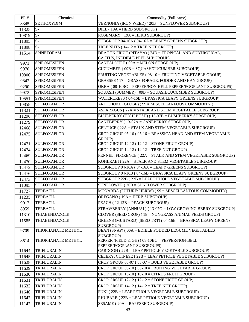| <b>PR#</b> | Chemical             | Commodity (Full name)                                           |  |
|------------|----------------------|-----------------------------------------------------------------|--|
| 8345       | <b>SETHOXYDIM</b>    | VERNONIA (IRON WEED) (20B = SUNFLOWER SUBGROUP)                 |  |
| 11325      | $S-$                 | $DILL$ (19A = HERB SUBGROUP)                                    |  |
| 10819      | $S-$                 | $ROSEMARY$ (19A = HERB SUBGROUP)                                |  |
| 11895      | $S-$                 | SUBGROUP 04-16A ( $04$ -16A = LEAFY GREENS SUBGROUP)            |  |
| 11898      | $S-$                 | TREE NUTS ( $14-12$ = TREE NUT GROUP)                           |  |
| 11514      | <b>SPINETORAM</b>    | DRAGON FRUIT (PITAYA) (24D = TROPICAL AND SUBTROPICAL,          |  |
|            |                      | CACTUS, INEDIBLE PEEL SUBGROUP)                                 |  |
| 9971       | <b>SPIROMESIFEN</b>  | CANTALOUPE (09A = MELON SUBGROUP)                               |  |
| 9970       | <b>SPIROMESIFEN</b>  | CUCUMBER (09B = SQUASH/CUCUMBER SUBGROUP)                       |  |
| 10800      | <b>SPIROMESIFEN</b>  | FRUITING VEGETABLES (08-10 = FRUITING VEGETABLE GROUP)          |  |
| 9842       | <b>SPIROMESIFEN</b>  | GRASSES (17 = GRASS FORAGE, FODDER AND HAY GROUP)               |  |
| 9290       | <b>SPIROMESIFEN</b>  | OKRA (08-10BC = PEPPER/NON-BELL PEPPER/EGGPLANT SUBGROUPS)      |  |
| 9972       | <b>SPIROMESIFEN</b>  | SQUASH (SUMMER) (09B = SQUASH/CUCUMBER SUBGROUP)                |  |
| 10551      | <b>SPIROMESIFEN</b>  | WATERCRESS ( $04-16B = BRASSICA LEAFY GREENS SUBGROUP$ )        |  |
| 10858      | <b>SULFOXAFLOR</b>   | ARTICHOKE (GLOBE) (99 = MISCELLANEOUS COMMODITY)                |  |
| 11321      | <b>SULFOXAFLOR</b>   | ASPARAGUS (22A = STALK AND STEM VEGETABLE SUBGROUP)             |  |
| 11296      | <b>SULFOXAFLOR</b>   | BLUEBERRY (HIGH BUSH) (13-07B = BUSHBERRY SUBGROUP)             |  |
| 11279      | <b>SULFOXAFLOR</b>   | CANEBERRY (13-07A = CANEBERRY SUBGROUP)                         |  |
| 12468      | <b>SULFOXAFLOR</b>   | CELTUCE (22A = STALK AND STEM VEGETABLE SUBGROUP)               |  |
| 12475      | <b>SULFOXAFLOR</b>   | CROP GROUP 05-16 (05-16 = BRASSICA HEAD AND STEM VEGETABLE      |  |
|            |                      | GROUP)                                                          |  |
| 12471      | <b>SULFOXAFLOR</b>   | CROP GROUP $12-12$ ( $12-12 =$ STONE FRUIT GROUP)               |  |
| 12474      | <b>SULFOXAFLOR</b>   | CROP GROUP $14-12$ ( $14-12$ = TREE NUT GROUP)                  |  |
| 12469      | <b>SULFOXAFLOR</b>   | FENNEL, FLORENCE (22A = STALK AND STEM VEGETABLE SUBGROUP)      |  |
| 12470      | <b>SULFOXAFLOR</b>   | KOHLRABI (22A = STALK AND STEM VEGETABLE SUBGROUP)              |  |
| 12472      | <b>SULFOXAFLOR</b>   | SUBGROUP 04-16A (04-16A = LEAFY GREENS SUBGROUP)                |  |
| 12476      | <b>SULFOXAFLOR</b>   | SUBGROUP 04-16B (04-16B = BRASSICA LEAFY GREENS SUBGROUP)       |  |
| 12473      | <b>SULFOXAFLOR</b>   | SUBGROUP $22B$ ( $22B = LEAF$ PETIOLE VEGETABLE SUBGROUP)       |  |
| 11095      | <b>SULFOXAFLOR</b>   | SUNFLOWER ( $20B =$ SUNFLOWER SUBGROUP)                         |  |
| 11727      | <b>TERBACIL</b>      | MONARDA (FUTURE: HERBS) (99 = MISCELLANEOUS COMMODITY)          |  |
| 11235      | <b>TERBACIL</b>      | OREGANO (19A = HERB SUBGROUP)                                   |  |
| 9017       | <b>TERBACIL</b>      | $PEACH (12-12B = PEACH SUBGROUP)$                               |  |
| 8959       | <b>TERBACIL</b>      | STRAWBERRY (ANNUAL) (13-07G = LOW GROWING BERRY SUBGROUP)       |  |
| 11310      | <b>THIABENDAZOLE</b> | CLOVER (SEED CROP) (18 = NONGRASS ANIMAL FEEDS GROUP)           |  |
| 11585      | <b>THIABENDAZOLE</b> | GREENS (MUSTARD) (SEED TRT) (04-16B = BRASSICA LEAFY GREENS     |  |
| 9709       | THIOPHANATE METHYL   | SUBGROUP)<br>BEAN (SNAP) (06A = EDIBLE PODDED LEGUME VEGETABLES |  |
|            |                      | SUBGROUP)                                                       |  |
| 8614       | THIOPHANATE METHYL   | PEPPER (FIELD & GH) (08-10BC = PEPPER/NON-BELL                  |  |
|            |                      | PEPPER/EGGPLANT SUBGROUPS)                                      |  |
| 11644      | <b>TRIFLURALIN</b>   | CARDOON (22B = LEAF PETIOLE VEGETABLE SUBGROUP)                 |  |
| 11645      | TRIFLURALIN          | CELERY, CHINESE (22B = LEAF PETIOLE VEGETABLE SUBGROUP)         |  |
| 11628      | TRIFLURALIN          | CROP GROUP $03-07$ ( $03-07 = BULB$ VEGETABLE GROUP)            |  |
| 11629      | <b>TRIFLURALIN</b>   | CROP GROUP $08-10$ ( $08-10$ = FRUITING VEGETABLE GROUP)        |  |
| 11630      | TRIFLURALIN          | CROP GROUP 10-10 (10-10 = CITRUS FRUIT GROUP)                   |  |
| 11631      | TRIFLURALIN          | CROP GROUP $12-12$ ( $12-12 =$ STONE FRUIT GROUP)               |  |
| 11633      | TRIFLURALIN          | CROP GROUP $14-12$ ( $14-12$ = TREE NUT GROUP)                  |  |
| 11646      | <b>TRIFLURALIN</b>   | FUKI (22B = LEAF PETIOLE VEGETABLE SUBGROUP)                    |  |
| 11647      | TRIFLURALIN          | RHUBARB (22B = LEAF PETIOLE VEGETABLE SUBGROUP)                 |  |
| 11147      | <b>TRIFLURALIN</b>   | SESAME ( $20A = RAPESEED SUBGROUP$ )                            |  |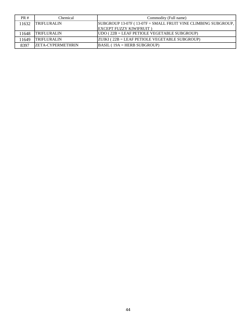| PR#   | Chemical                  | Commodity (Full name)                                         |
|-------|---------------------------|---------------------------------------------------------------|
| 11632 | <b>TRIFLURALIN</b>        | SUBGROUP 13-07F (13-07F = SMALL FRUIT VINE CLIMBING SUBGROUP, |
|       |                           | <b>IEXCEPT FUZZY KIWIFRUIT )</b>                              |
| 1648  | <b>TRIFLURALIN</b>        | $UDO (22B = LEAF PETIOLE VEGETABLE SUBGROUP)$                 |
| 1649  | <b>TRIFLURALIN</b>        | $ ZUIKI $ (22B = LEAF PETIOLE VEGETABLE SUBGROUP)             |
| 8397  | <b>IZETA-CYPERMETHRIN</b> | $\overline{\text{BASIL}}$ (19A = HERB SUBGROUP)               |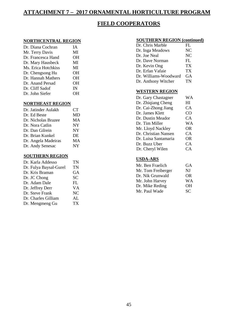## **ATTACHMENT 7 – 2017 ORNAMENTAL HORTICULTURE PROGRAM**

## **FIELD COOPERATORS**

### **NORTHCENTRAL REGION**

| Dr. Diana Cochran   | <b>IA</b> |
|---------------------|-----------|
| Mr. Terry Davis     | MI        |
| Dr. Francesca Hand  | OН        |
| Dr. Mary Hausbeck   | MI        |
| Ms. Erica Hotchkiss | MI        |
| Dr. Chengsong Hu    | OН        |
| Dr. Hannah Mathers  | OН        |
| Dr. Anand Persad    | OН        |
| Dr. Cliff Sadof     | IN        |
| Dr. John Siefer     | OН        |
|                     |           |

### **NORTHEAST REGION**

| Dr. Jatinder Aulakh | CT <sup>-</sup> |
|---------------------|-----------------|
| Dr. Ed Beste        | MD              |
| Dr. Nicholas Brazee | МA              |
| Dr. Nora Catlin     | <b>NY</b>       |
| Dr. Dan Gilrein     | <b>NY</b>       |
| Dr. Brian Kunkel    | DE              |
| Dr. Angela Madeiras | MA              |
| Dr. Andy Senesac    | NY.             |
|                     |                 |

### **SOUTHERN REGION**

| Dr. Karla Addesso      | TN        |
|------------------------|-----------|
| Dr. Fulya Baysal-Gurel | TN        |
| Dr. Kris Braman        | GА        |
| Dr. JC Chong           | <b>SC</b> |
| Dr. Adam Dale          | FL        |
| Dr. Jeffrey Derr       | VA        |
| Dr. Steve Frank        | NC        |
| Dr. Charles Gilliam    | AL        |
| Dr. Mengmeng Gu        | TХ        |
|                        |           |

### **SOUTHERN REGION (continued)**

| Dr. Chris Marble      | FL |
|-----------------------|----|
| Dr. Inga Meadows      | NC |
| Dr. Joe Neal          | NC |
| Dr. Dave Norman       | FL |
| Dr. Kevin Ong         | TX |
| Dr. Erfan Vafaie      | TХ |
| Dr. Williams-Woodward | GA |
| Dr. Anthony Witcher   | TN |
|                       |    |

#### **WESTERN REGION**

| Dr. Gary Chastagner  | WΑ        |
|----------------------|-----------|
| Dr. Zhiqiang Cheng   | Ш         |
| Dr. Cai-Zhong Jiang  | CА        |
| Dr. James Klett      | CO        |
| Dr. Dustin Meador    | CA        |
| Dr. Tim Miller       | WA        |
| Mr. Lloyd Nackley    | <b>OR</b> |
| Dr. Christian Nansen | CA.       |
| Dr. Luisa Santamaria | 0R        |
| Dr. Buzz Uber        | СA        |
| Dr. Cheryl Wilen     | CA.       |
|                      |           |

### **USDA-ARS**

| Mr. Ben Fraelich   | GА        |
|--------------------|-----------|
| Mr. Tom Freiberger | NI        |
| Dr. Nik Grunwald   | <b>OR</b> |
| Mr. John Harvey    | WА        |
| Dr. Mike Reding    | OН        |
| Mr. Paul Wade      | SС        |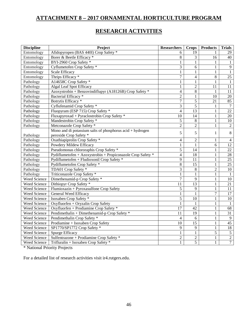## **ATTACHMENT 8 – 2017 ORNAMENTAL HORTICULTURE PROGRAM**

## **RESEARCH ACTIVITIES**

| <b>Discipline</b> | Project                                                     | <b>Researchers</b>       | <b>Crops</b>    | <b>Products</b>  | <b>Trials</b>   |
|-------------------|-------------------------------------------------------------|--------------------------|-----------------|------------------|-----------------|
| Entomology        | Afidopyropen (BAS 440I) Crop Safety *                       | 6                        | 19              | 1                | 29              |
| Entomology        | Borer & Beetle Efficacy *                                   | 8                        | 3               | $\overline{16}$  | 40              |
| Entomology        | BYI-2960 Crop Safety *                                      | 1                        | $\mathbf{1}$    | 1                | 1               |
| Entomology        | Cyflumetofen Crop Safety *                                  | 3                        | 6               | $\mathbf{1}$     | 9               |
| Entomology        | Scale Efficacy                                              | $\mathbf{1}$             | $\mathbf{1}$    | $\mathbf{1}$     | $\mathbf{1}$    |
| Entomology        | Thrips Efficacy *                                           | $\overline{7}$           | $\overline{4}$  | $8\,$            | 25              |
| Pathology         | A14658C Crop Safety *                                       | $\mathbf{1}$             | $\mathbf{1}$    | $\mathbf{1}$     | $\mathbf{1}$    |
| Pathology         | Algal Leaf Spot Efficacy                                    | $\mathbf{1}$             | $\overline{2}$  | 11               | 11              |
| Pathology         | Azoxystrobin + Benzovindiflupyr (A18126B) Crop Safety *     | $\overline{\mathcal{L}}$ | 8               | $\mathbf{1}$     | 11              |
| Pathology         | Bacterial Efficacy <sup>*</sup>                             | $\overline{c}$           | $\mathbf{1}$    | 10               | 20              |
| Pathology         | Botrytis Efficacy *                                         | $\tau$                   | 5               | 21               | 85              |
| Pathology         | Cyflufenamid Crop Safety *                                  | $\overline{3}$           | $\overline{5}$  | $\mathbf{1}$     | $\overline{7}$  |
| Pathology         | Fluopyram (ESP 715) Crop Safety *                           | $\overline{4}$           | 13              | $\mathbf{1}$     | $\overline{22}$ |
| Pathology         | Fluxapyroxad + Pyraclostrobin Crop Safety *                 | 10                       | $\overline{14}$ | $\mathbf{1}$     | 20              |
| Pathology         | Mandestrobin Crop Safety *                                  | 5                        | 8               | $\mathbf{1}$     | 10              |
| Pathology         | Metconazole Crop Safety *                                   | $\overline{c}$           | $\overline{2}$  | $\mathbf{1}$     | $\overline{2}$  |
|                   | Mono and di potassium salts of phosphorus $acid + hydrogen$ | 5                        | 5               | $\mathbf{1}$     | $\,8\,$         |
| Pathology         | peroxide Crop Safety *                                      |                          |                 |                  |                 |
| Pathology         | Oxathiapiprolin Crop Safety *                               | $\overline{4}$           | $\overline{2}$  | $\mathbf{1}$     | $\overline{4}$  |
| Pathology         | Powdery Mildew Efficacy                                     | $\mathbf{1}$             | $\mathbf{1}$    | 6                | 12              |
| Pathology         | Pseudomonas chlororaphis Crop Safety *                      | 5                        | 14              | $\mathbf 1$      | $22\,$          |
| Pathology         | Pydiflumetofen + Azoxystrobin + Propiconazole Crop Safety * | $\overline{4}$           | 18              | $\mathbf{1}$     | $28\,$          |
| Pathology         | Pydiflumetofen + Fludioxonil Crop Safety *                  | 9                        | $\overline{11}$ | $\mathbf{1}$     | 25              |
| Pathology         | Pydiflumetofen Crop Safety *                                | $\overline{8}$           | $\overline{15}$ | $\mathbf{1}$     | $\overline{25}$ |
| Pathology         | TDA01 Crop Safety *                                         | 3                        | $8\,$           | $\overline{2}$   | 10              |
| Pathology         | Triticonazole Crop Safety *                                 | $\mathbf{1}$             | $\mathbf{1}$    | $\mathbf{1}$     | $\mathbf{1}$    |
| Weed Science      | Dimethenamid-p Crop Safety *                                | $\overline{7}$           | $\overline{9}$  | $\mathbf{1}$     | 10              |
| Weed Science      | Dithiopyr Crop Safety *                                     | 11                       | $\overline{13}$ | $\mathbf{1}$     | 21              |
| Weed Science      | Flumioxazin + Pyroxasulfone Crop Safety                     | 5                        | 9               | $\mathbf{1}$     | 11              |
| Weed Science      | General Weed Efficacy                                       | $\mathbf{1}$             | $\mathbf{1}$    | $\boldsymbol{7}$ | 17              |
| Weed Science      | Isoxaben Crop Safety <sup>*</sup>                           | 5                        | 10              | $\,1$            | $10\,$          |
| Weed Science      | Oxyfluorfen + Oryzalin Crop Safety                          | 1                        | 1               | $\mathbf{1}$     | 1               |
| Weed Science      | Oxyfluorfen + Prodiamine Crop Safety *                      | $\overline{17}$          | $\overline{42}$ | $\,1\,$          | 68              |
| Weed Science      | Pendimethalin + Dimethenamid-p Crop Safety *                | 11                       | $\overline{19}$ | $\mathbf{1}$     | 31              |
| Weed Science      | Pendimethalin Crop Safety *                                 | $\overline{4}$           | 6               | $\mathbf{1}$     | 9               |
| Weed Science      | Prodiamine + Isoxaben Crop Safety                           | 10                       | $\overline{15}$ | $\mathbf{1}$     | 45              |
| Weed Science      | SP1770/SP1772 Crop Safety *                                 | 9                        | 9               | $\mathbf 1$      | 18              |
| Weed Science      | Spurge Efficacy                                             | $\mathbf{1}$             | $\mathbf{1}$    | 5                | $\sqrt{5}$      |
| Weed Science      | Sulfentrazone + Prodiamine Crop Safety *                    | $\overline{c}$           | $\overline{2}$  | $\mathbf{1}$     | $\sqrt{2}$      |
| Weed Science      | Trifluralin + Isoxaben Crop Safety *                        | $\mathbf{1}$             | $\overline{5}$  | $\mathbf{1}$     | $\tau$          |

\* National Priority Projects

For a detailed list of research activities visit ir4.rutgers.edu.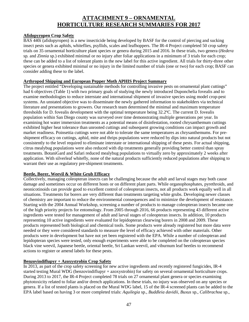## **ATTACHMENT 9 – ORNAMENTAL HORTICULTURE RESEARCH SUMMARIES FOR 2017**

### **Afidopyropen Crop Safety**

BAS 440i (afidopyropen) is a new insecticide being developed by BASF for the control of piercing and sucking insect pests such as aphids, whiteflies, psyllids, scales and leafhoppers. The IR-4 Project completed 50 crop safety trials on 35 ornamental horticulture plant species or genera during 2015 and 2016. In these trials, two genera (*Hedera*  sp*.* and *Zinnia* sp*.*) exhibited minimal or no injury after foliar applications in a minimum of 3 trials for each crop; these can be added to a list of tolerant plants in the new label for this active ingredient. All trials for thirty-three other species or genera exhibited minimal or no injury in the limited number of trials (one or two) for each crop; BASF can consider adding these to the label.

### **Arthropod Shipping and European Pepper Moth APHIS Project Summary**

The project entitled "Developing sustainable methods for controlling invasive pests on ornamental plant cuttings" had 6 objectives (Table 1) with two primary goals of studying the newly introduced Duponchelia fovealis and to examine methodologies to reduce interstate and international shipment of invasive species using model crop-pest systems. An unstated objective was to disseminate the newly gathered information to stakeholders via technical literature and presentations to growers. Our research team determined the minimal and maximum temperature thresholds for D. fovealis development with the optimal temperature being 32.2ºC. The current D. fovealis population within San Diego county was surveyed over time demonstrating multiple generations per year. In examining hot water immersion treatments as a potential means of disinfestation, rooted chrysanthemum cuttings exhibited higher heat tolerance than unrooted cuttings and subsequent growing conditions can impact growth and market readiness. Poinsettia cuttings were not able to tolerate the same temperatures as chrysanthemums. For preshipment efficacy on cuttings, aphid, mite and thrips populations were reduced by dips into natural products but not consistently to the level required to eliminate interstate or international shipping of these pests. For actual shipping, citrus mealybug populations were also reduced with dip treatments generally providing better control than spray treatments. BotaniGard and Safari reduced mealybug populations to virtually zero by approximately 2 weeks after application. With silverleaf whitefly, none of the natural products sufficiently reduced populations after shipping to warrant their use as regulatory pre-shipment treatments.

### **Beetle, Borer, Weevil & White Grub Efficacy**

Collectively, managing coleopteran insects can be challenging because the adult and larval stages may both cause damage and sometimes occur on different hosts or on different plant parts. While organophosphates, pyrethroids, and neonicotinoids can provide good to excellent control of coleopteran insects, not all products work equally well in all situations. Treatments for borers are very different than treatments targeting white grubs. Developing newer classes of chemistry are important to reduce the environmental consequences and to minimize the development of resistance. Starting with the 2004 Annual Workshop, screening a number of products to manage coleopteran insects became one of the high priority projects for entomology. From 2005 through 2016, 66 products representing 43 different active ingredients were tested for management of adult and larval stages of coleopteran insects. In addition, 10 products representing 10 active ingredients were evaluated for lepidopteran clearwing borers in 2008 and 2009. These products represented both biological and chemical tools. Some products were already registered but more data were needed or they were considered standards to measure the level of efficacy achieved with other materials. Other products were in development but have not yet been registered with the EPA. While a number of coleopteran and lepidopteran species were tested, only enough experiments were able to be completed on the coleopteran species black vine weevil, Japanese beetle, oriental beetle, Sri Lankan weevil, and viburnum leaf beetles to recommend actions to register or amend labels for these pests.

### **Benzovindiflupyr + Azoxystrobin Crop Safety**

In 2013, as part of the crop safety screening for new active ingredients and recently registered fungicides, IR-4 started testing Mural WDG (benzovindiflupyr + azoxystrobin) for safety on several ornamental horticulture crops. During 2013 to 2017, the IR-4 Project completed 78 trials on 27 ornamental plant genera or species examining phytotoxicity related to foliar and/or drench applications. In these trials, no injury was observed on any species or genera. If a list of tested plants is placed on the Mural WDG label, 15 of the IR-4 screened plants can be added to the EPA label based on having 3 or more completed trials: *Aquilegia* sp., *Buddleia davidii*, *Buxus* sp., *Calibrachoa* sp.,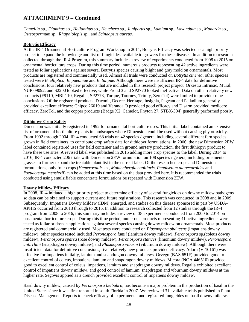*Camellia* sp., *Dianthus* sp., *Helianthus* sp., *Heuchera* sp., *Juniperus* sp., *Lamium* sp., *Lavandula* sp., *Monarda* sp., *Osteospermum* sp., *Rhaphiolepis* sp., and *Scindapsus aureus*.

### **Botrytis Efficacy**

At the IR-4 Ornamental Horticulture Program Workshop in 2011, Botrytis Efficacy was selected as a high priority project to expand the knowledge and list of fungicides available to growers for these diseases. In addition to research collected through the IR-4 Program, this summary includes a review of experiments conducted from 1998 to 2015 on ornamental horticulture crops. During this time period, numerous products representing 42 active ingredients were tested as foliar applications against several Botrytis species causing blight and gray mold on ornamentals. Most products are registered and commercially used. Almost all trials were conducted on *Botrytis cinerea*; other species tested were *B. elliptica*, *B. paeoniae* and *B. tulipae*. Although there were insufficient IR-4 data for definitive conclusions, four relatively new products that are included in this research project project, Orkestra Intrinsic, Mural, NUP 09092, and S2200 looked effective, while Proud 3 and SP2770 looked ineffective. Data on other relatively new products (F9110, MBI-110, Regalia, SP2773, Torque, Tourney, Trinity, ZeroTol) were limited to provide some conclusions. Of the registered products, Daconil, Decree, Heritage, Insignia, Pageant and Palladium generally provided excellent efficacy; Chipco 26019 and Veranda O provided good efficacy and Disarm provided mediocre efficacy. ZeroTol, and the copper products (Badge X2, Camelot, Phyton 27, STBX-304) generally performed poorly.

### **Dithiopyr Crop Safety**

Dimension was initially registered in 1992 for ornamental horticulture uses. This initial label contained an extensive list of ornamental horticulture plants in landscapes where Dimension could be used without causing phytotoxicity. From 1992 through 2004, IR-4 conducted 68 trials on 42 species / genera, including several different fern species grown in field containers, to contribute crop safety data for dithiopyr formulations. In 2006, the new Dimension 2EW label contained registered uses for field container and in ground nursery production, the first dithiopyr product to have these use sites. A revised label was published in 2015 adding more crop species to the label. During 2014 to 2016, IR-4 conducted 206 trials with Dimension 2EW formulation on 108 species / genera, including ornamental grasses to further expand the treatable plant list in the current label. Of the researched crops and Dimension formulations, only four crops (*Hemerocallis* sp., *Muhlenbergia capillaris*, *Pennisetum alopecuroides* and *Pseudotsuga mensiezii*) can be added at this time based on the data provided here. It is recommended the trials conducted using emulsifiable concentrate formulations be repeated with Dimension 2EW.

### **Downy Mildew Efficacy**

In 2008, IR-4 initiated a high priority project to determine efficacy of several fungicides on downy mildew pathogens so data can be obtained to support current and future registrations. This research was conducted in 2008 and in 2009. Subsequently, Impatiens Downy Mildew (IDM) emerged, and studies on this disease sponsored in part by USDA-APHIS occurred from 2013 through to 2016. In addition to research collected from 12 studies through the IR-4 program from 2008 to 2016, this summary includes a review of 38 experiments conducted from 2000 to 2014 on ornamental horticulture crops. During this time period, numerous products representing 41 active ingredients were tested as foliar or drench applications against several species causing downy mildew on ornamentals. Most products are registered and commercially used. Most tests were conducted on *Plasmopara obducens* (impatiens downy mildew); other species tested included *Peronospora lamii* (lamium downy mildew), *Peronospora* sp.(coleus downy mildew), *Peronospora sparsa* (rose downy mildew), *Peronospora statices* (limonium downy mildew), *Peronospora antirrhini* (snapdragon downy mildew),and *Plasmopara viburni* (viburnum downy mildew). Although there were insufficient data for definitive conclusions, five relatively new products provided efficacy. Adorn (V-10161) was effective for impatiens initially, lamium and snapdragon downy mildews. Orvego (BAS 651F) provided good to excellent control of coleus, impatiens, lamium and snapdragon downy mildews. Micora (NOA 446510) provided good to excellent control of coleus, impatiens, lamium and snapdragon downy mildews. Regalia exhibited excellent control of impatiens downy mildew, and good control of lamium, snapdragon and viburnum downy mildews at the higher rate. Segovis applied as a drench provided excellent control of impatiens downy mildew.

Basil downy mildew, caused by *Peronospora belbahrii*, has become a major problem in the production of basil in the United States since it was first reported in south Florida in 2007. We reviewed 31 available trials published in Plant Disease Management Reports to check efficacy of experimental and registered fungicides on basil downy mildew.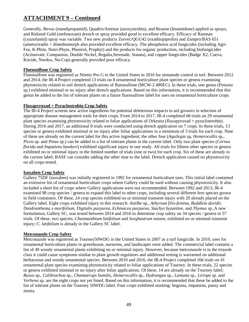Generally, Revus (mandipropamid), Quadris/Amistar (azoxystrobin), and Reason (fenamidone) applied as sprays, and Ridomil Gold (mefenoxam) drench or spray provided good to excellent efficacy. Efficacy of Ranman (cyazofamid) spray was variable. Two new products Zorvec/QGU42 (oxathiopiprolin) and Zampro/BAS 651 (ametoctradin + dimethomorph also provided excellent efficacy. The phosphorus acid fungicides (including Agri-Fos, K-Phite, Nutri-Phyte, Phostrol, Prophyt) and the products for organic production, including biofungicides (Actinovate, Companion, Double Nickel, Regalia,Serenade, Sonata), and copper fungicides (Badge X2, Cueva, Kocide, Nordox, Nu-Cop) generally provided poor efficacy.

### **Fluensulfone Crop Safety**

Fluensulfone was registered as Nimitz Pro G in the United States in 2016 for nematode control in turf. Between 2012 and 2014, the IR-4 Project completed 13 trials on 8 ornamental horticulture plant species or genera examining phytotoxicity related to soil drench applications of fluensulfone (MCW-2 480EC). In these trials, one genus (*Petunia* sp.) exhibited minimal or no injury after drench applications. Based on this information, it is recommended that this genus be added to the list of tolerant plants on a future fluensulfone label for uses on ornamental horticulture crops.

### **Fluxapyroxad + Pyraclostrobin Crop Safety**

The IR-4 Project screens new active ingredients for potential deleterious impacts to aid growers in selection of appropriate disease management tools for their crops. From 2014 to 2017, IR-4 completed 68 trials on 29 ornamental plant species examining phytotoxicity related to foliar applications of Orkestra (fluxapyroxad + pyraclostrobin). During 2016 and 2017, an additional 8 trials were conducted using drench application on 7 crops. In these trials, 13 species or genera exhibited minimal or no injury after foliar applications in a minimum of 3 trials for each crop. Nine of these are already on the current label for this active ingredient; the other four (*Aquilegia* sp, *Hemerocallis* sp., *Picea* sp. and *Pinus* sp.) can be added to a list of tolerant plants in the current label. Only two plant species (*Cornus florida* and *Impatiens hawkeri*) exhibited significant injury in one study. All trials for fifteen other species or genera exhibited no or minimal injury in the limited number of trials (one or two) for each crop. Six of these are already in the current label; BASF can consider adding the other nine to the label. Drench application caused no phytotoxicity on all crops tested.

### **Isoxaben Crop Safety**

Gallery 75DF (isoxaben) was initially registered in 1992 for ornamental horticulture uses. This initial label contained an extensive list of ornamental horticulture crops where Gallery could be used without causing phytotoxicity. It also included a short list of crops where Gallery applications were not recommended. Between 1992 and 2013, IR-4 examined 98 crop species / genera to expand this label to other crops, including several different fern species grown in field containers. Of these, 24 crop species exhibited no or minimal transient injury with 20 already placed on the Gallery label. Eight crops exhibited injury in this research: *Astilbe* sp., *Athyrium filix-femina*, *Buddleia davidii*, *Dendranthema x morifolium, Digitalis purpurea*, *Echinacea purpurea*, *Stachys byzantine*, and *Thymus* sp..A new formulation, Gallery SC, was tested between 2014 and 2016 to determine crop safety on 34 species / genera in 57 trials. Of these, two species, *Chasmanthium latifolium* and *Sorghastrum nutans*, exhibited no or minimal transient injury; *C. latifolium* is already in the Gallery SC label.

### **Metconazole Crop Safety**

Metconazole was registered as Tourney50WDG in the United States in 2007 as a turf fungicide. In 2010, uses for ornamental horticulture plants in greenhouse, nurseries, and landscapes were added. The commercial label contains a list of 49 woody ornamental plants exhibiting no or minimal injury. However, because metconazole is in the triazole class it could cause symptoms similar to plant growth regulators and additional testing is warranted on additional herbaceous and woody ornamental species. Between 2010 and 2016, the IR-4 Project completed 166 trials on 41 ornamental plant species examining phytotoxicity related to foliar applications of Tourney. In these trials, 22 species or genera exhibited minimal or no injury after foliar applications. Of these, 14 are already on the Tourney label; *Buxus* sp., *Calibrachoa* sp., *Chamaerops humilis*, *Hemerocallis* sp., *Hydrangea* sp., *Lantana* sp., *Liriope* sp. and *Verbena* sp. are the eight crops not yet listed. Based on this information, it is recommended that these be added to the list of tolerant plants on the Tourney 50WDG label. Four crops exhibited stunting: begonia, impatiens, pansy and zinnia.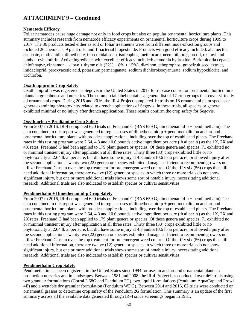### **Nematode Efficacy**

Foliar nematodes cause huge damage not only in food crops but also on popular ornamental horticulture plants. This summary includes research from nematode efficacy experiments on ornamental horticulture crops during 1999 to 2017. The 36 products tested either as soil or foliar treatments were from different mode-of-action groups and included 26 chemicals, 9 plant oils, and 1 bacterial biopesticide. Products with good efficacy included: abamectin, acephate, clothianidin, dimethoate, insecticidal soap, isofenphos, methiocarb, neem oil, oregano oil, oxamyl and lambda-cyhalothrin. Active ingredients with excellent efficacy included: ammonia hydroxide, Burkholderia cepacia, chlofenapyr, cinnamon + clove + thyme oils  $(32% + 8% + 15%)$ , diazinon, ethoprophos, grapefruit seed extract, imidacloprid, peroxyacetic acid, potassium permanganate, sodium dichloroisocyanurate, sodium hypochlorite, and trichlofon.

### **Oxathiapiprolin Crop Safety**

Oxathiapiprolin was registered as Segovis in the United States in 2017 for disease control on ornamental horticulture plants in greenhouse and nurseries. The commercial label contains a general list of 17 crop groups that cover virtually all ornamental crops. During 2015 and 2016, the IR-4 Project completed 19 trials on 18 ornamental plant species or genera examining phytotoxicity related to drench applications of Segovis. In these trials, all species or genera exhibited minimal or no injury after drench applications. These results confirm the crop safety for Segovis.

### **Oxyfluorfen + Prodiamine Crop Safety**

From 2007 to 2016, IR-4 completed 620 trials on Freehand G (BAS 659 G; dimethenamid-p + pendimethalin). The data contained in this report was generated to register uses of dimethenamid-p + pendimethalin on and around ornamental horticulture plants with broadcast applications, including over the top of established plants. The Freehand rates in this testing program were 2.64, 4.3 and 10.6 pounds active ingredient per acre (lb ai per A) as the 1X, 2X and 4X rates. Freehand G had been applied to 179 plant genera or species. Of these genera and species, 71 exhibited no or minimal transient injury after application at all three rates. Thirty three (33) crops exhibited little or no phytotoxicity at 2.64 lb ai per acre, but did have some injury at 4.3 and/or10.6 lb ai per acre, or showed injury after the second application. Twenty two (22) genera or species exhibited damage sufficient to recommend growers not utilize Freehand G as an over-the-top treatment for pre-emergent weed control. Of the fifty six (56) crops that still need additional information, there are twelve (12) genera or species in which three or more trials do not show significant injury, but one or more additional trials shows some sort of notable injury, necessitating additional research. Additional trials are also indicated to establish species or cultivar sensitivities.

### **Pendimethalin + Dimethenamid-p Crop Safety**

From 2007 to 2016, IR-4 completed 620 trials on Freehand G (BAS 659 G; dimethenamid-p + pendimethalin).The data contained in this report was generated to register uses of dimethenamid- $p +$  pendimethalin on and around ornamental horticulture plants with broadcast applications, including over the top of established plants. The Freehand rates in this testing program were 2.64, 4.3 and 10.6 pounds active ingredient per acre (lb ai per A) as the 1X, 2X and 2X rates. Freehand G had been applied to 179 plant genera or species. Of these genera and species, 71 exhibited no or minimal transient injury after application at all three rates. Thirty three (33) crops exhibited little or no phytotoxicity at 2.64 lb ai per acre, but did have some injury at 4.3 and/or10.6 lb ai per acre, or showed injury after the second application. Twenty two (22) genera or species exhibited damage sufficient to recommend growers not utilize Freehand G as an over-the-top treatment for pre-emergent weed control. Of the fifty six (56) crops that still need additional information, there are twelve (12) genera or species in which three or more trials do not show significant injury, but one or more additional trials shows some sort of notable injury, necessitating additional research. Additional trials are also indicated to establish species or cultivar sensitivities.

### **Pendimethalin Crop Safety**

Pendimethalin has been registered in the United States since 1994 for uses in and around ornamental plants in production nurseries and in landscapes. Between 1981 and 2008, the IR-4 Project has conducted over 469 trials using two granular formulations (Corral 2.68G and Pendulum 2G), two liquid formulations (Pendulum AquaCap and Prowl 4E) and a wettable dry granular formulation (Pendulum WDG). Between 2014 and 2016, 62 trials were conducted on ornamental grasses to determine crop safety of the Pendulum 2G formulation. This summary is an update of the first summary across all the available data generated through IR-4 since screenings began in 1981.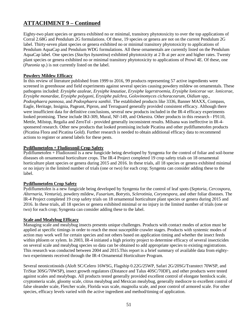Eighty-two plant species or genera exhibited no or minimal, transitory phytotoxicity to over the top applications of Corral 2.68G and Pendulum 2G formulations. Of these, 19 species or genera are not on the current Pendulum 2G label. Thirty-seven plant species or genera exhibited no or minimal transitory phytotoxicity to applications of Pendulum AquaCap and Pendulum WDG formulations. All these ornamentals are currently listed on the Pendulum AquaCap label. One species (*Stachys byzantina*) exhibited phytotoxicity at 2 lb ai per acre and higher rates. Twenty plant species or genera exhibited no or minimal transitory phytotoxicity to applications of Prowl 4E. Of these, one (*Paeonia* sp.) is not currently listed on the label.

### **Powdery Mildew Efficacy**

In this review of literature published from 1999 to 2016, 99 products representing 57 active ingredients were screened in greenhouse and field experiments against several species causing powdery mildew on ornamentals. These pathogens included: *Erysiphe azaleae*, *Erysiphe knautiae*, *Erysiphe lagerstroemia*, *Erysiphe lonicerae var. lonicerae*, *Erysiphe monardae*, *Erysiphe polygoni*, *Erysiphe pulchra*, *Golovinomyces cichoracearum*, *Oidium* spp., *Podosphaera pannosa*, and *Podosphaera xanthii*. The established products like 3336, Banner MAXX, Compass, Eagle, Heritage, Insignia, Pageant, Pipron, and Terraguard generally provided consistent efficacy. Although there were insufficient data for definitive conclusions, several new products included in the IR-4 efficacy experiments looked promising. These include IKI-309, Mural, NF-149, and Orkestra. Other products in this research - F9110, Mettle, Milstop, Regalia and ZeroTol - provided generally inconsistent results. Milsana was ineffective in IR-4 sponsered research. Other new products that looked promising include Picatina and other pydiflumetofen products (Picatina Flora and Picatina Gold). Further research is needed to obtain additional efficacy data to recommend actions to register or amend labels for these pests.

### **Pydiflumetofen + Fludioxonil Crop Safety**

Pydiflumetofen + Fludioxonil is a new fungicide being developed by Syngenta for the control of foliar and soil-borne diseases oh ornamental horticulture crops. The IR-4 Project completed 19 crop safety trials on 18 ornamental horticulture plant species or genera during 2015 and 2016. In these trials, all 18 species or genera exhibited minimal or no injury in the limited number of trials (one or two) for each crop; Syngenta can consider adding these to the label.

### **Pydiflumetofen Crop Safety**

Pydiflumetofen is a new fungicide being developed by Syngenta for the control of leaf spots (*Septoria*, *Cercospora*, *Alternaria*, *Venturia*), powdery mildew, *Fusarium*, *Botrytis*, *Sclerotinia*, *Corynespora*, and other foliar diseases. The IR-4 Project completed 19 crop safety trials on 18 ornamental horticulture plant species or genera during 2015 and 2016. In these trials, all 18 species or genera exhibited minimal or no injury in the limited number of trials (one or two) for each crop; Syngenta can consider adding these to the label.

### **Scale and Mealybug Efficacy**

Managing scale and mealybug insects presents unique challenges. Products with contact modes of action must be applied at specific timings in order to reach the most susceptible crawler stages. Products with systemic modes of action may work well for certain species and not others based on application timing and whether the insect feeds within phloem or xylem. In 2003, IR-4 initiated a high priority project to determine efficacy of several insecticides on several scale and mealybug species so data can be obtained to add appropriate species to existing registrations. This research was conducted between 2004 and 2015.This report is a brief summary of available data from eightytwo experiments received through the IR-4 Ornamental Horticulture Program.

Several neonicotinoids (Aloft SC/Celero 16WSG, Flagship 0.22G/25WP, Safari 2G/20SG/Transtect 70WSP, and TriStar 30SG/70WSP), insect growth regulators (Distance and Talus 40SC/70DF), and other products were tested against scales and mealybugs. All products tested generally provided excellent control of elongate hemlock scale, cryptomeria scale, gloomy scale, citrus mealybug and Mexican mealybug, generally mediocre to excellent control of false oleander scale, Fletcher scale, Florida wax scale, magnolia scale, and poor control of armored scale. For other species, efficacy levels varied with the active ingredient and method/timing of application.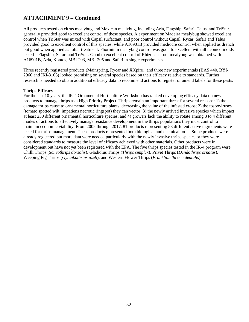All products tested on citrus mealybug and Mexican mealybug, including Aria, Flagship, Safari, Talus, and TriStar, generally provided good to excellent control of these species. A experiment on Madeira mealybug showed excellent control when TriStar was mixed with Capsil surfactant, and poor control without Capsil. Rycar, Safari and Talus provided good to excellent control of this species, while A16901B provided mediocre control when applied as drench but good when applied as foliar treatment. Phormium mealybug control was good to excellent with all neonicotinoids tested – Flagship, Safari and TriStar. Good to excellent control of Rhizoecus root mealybug was obtained with A16901B, Aria, Kontos, MBI-203, MBI-205 and Safari in single experiments.

Three recently registered products (Mainspring, Rycar and XXpire), and three new experimentals (BAS 440, BYI-2960 and IKI-3106) looked promising on several species based on their efficacy relative to standards. Further research is needed to obtain additional efficacy data to recommend actions to register or amend labels for these pests.

### **Thrips Efficacy**

For the last 10 years, the IR-4 Ornamental Horticulture Workshop has ranked developing efficacy data on new products to manage thrips as a High Priority Project. Thrips remain an important threat for several reasons: 1) the damage thrips cause to ornamental horticulture plants, decreasing the value of the infested crops; 2) the tospoviruses (tomato spotted wilt, impatiens necrotic ringspot) they can vector; 3) the newly arrived invasive species which impact at least 250 different ornamental horticulture species; and 4) growers lack the ability to rotate among 3 to 4 different modes of actions to effectively manage resistance development in the thrips populations they must control to maintain economic viability. From 2005 through 2017, 81 products representing 53 different active ingredients were tested for thrips management. These products represented both biological and chemical tools. Some products were already registered but more data were needed particularly with the newly invasive thrips species or they were considered standards to measure the level of efficacy achieved with other materials. Other products were in development but have not yet been registered with the EPA. The five thrips species tested in the IR-4 program were Chilli Thrips (*Scirtothrips dorsalis*), Gladiolus Thrips (*Thrips simplex*), Privet Thrips (*Dendothrips ornatus*), Weeping Fig Thrips (*Gynaikothrips uzeli*), and Western Flower Thrips (*Frankliniella occidentalis*).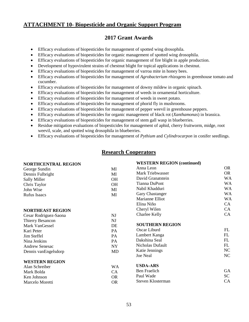## **ATTACHMENT 10- Biopesticide and Organic Support Program**

## **2017 Grant Awards**

- Efficacy evaluations of biopesticides for management of spotted wing drosophila.
- Efficacy evaluations of biopesticides for organic management of spotted wing drosophila.
- Efficacy evaluations of biopesticides for organic management of fire blight in apple production.
- Development of hypovirulent strains of chestnut blight for topical applications in chestnut.
- Efficacy evaluations of biopesticides for management of varroa mite in honey bees.
- Efficacy evaluations of biopesticides for management of *Agrobacterium rhizogens* in greenhouse tomato and cucumber.
- Efficacy evaluations of biopesticides for management of downy mildew in organic spinach.
- Efficacy evaluations of biopesticides for management of weeds in ornamental horticulture.
- Efficacy evaluations of biopesticides for management of weeds in sweet potato.
- Efficacy evaluations of biopesticides for management of phorid fly in mushrooms.
- Efficacy evaluations of biopesticides for management of pepper weevil in greenhouse peppers.
- Efficacy evaluations of biopesticides for organic management of black rot (*Xanthamonas*) in brassica.
- Efficacy evaluations of biopesticides for management of stem gall wasp in blueberries.
- Residue mitigation evaluations of biopesticides for management of aphid, cherry fruitworm, midge, root weevil, scale, and spotted wing drosophila in blueberries.
- Efficacy evaluations of biopesticides for management of *Pythium* and *Cylindrocarpon* in conifer seedlings.

## **Research Cooperators**

| <b>NORTHCENTRAL REGION</b> |           | <b>WESTERN REGION (continued)</b> |           |
|----------------------------|-----------|-----------------------------------|-----------|
| George Sundin              | MI        | Anna Leon                         | OR.       |
| Dennis Fulbright           | MI        | Mark Triebwasser                  | <b>OR</b> |
| <b>Sally Miller</b>        | <b>OH</b> | David Granatstein                 | <b>WA</b> |
| Chris Taylor               | <b>OH</b> | <b>Tianna DuPont</b>              | WA        |
| John Wise                  | MI        | Nabil Khadduri                    | WA        |
| <b>Rufus Isaacs</b>        | MI        | Gary Chastanger                   | WA        |
|                            |           | Marianne Elliot                   | <b>WA</b> |
|                            |           | Elina Niño                        | <b>CA</b> |
| <b>NORTHEAST REGION</b>    |           | Cheryl Wilen                      | CA        |
| Cesar Rodriguez-Saona      | NJ        | Charlee Kelly                     | CA        |
| Thierry Besancon           | <b>NJ</b> |                                   |           |
| Mark VanGessel             | DE        | <b>SOUTHERN REGION</b>            |           |
| Kari Peter                 | PA        | Oscar Liburd                      | FL        |
| Jim Steffel                | PA        | Lambert Kanga                     | FL        |
| Nina Jenkins               | PA        | Dakshina Seal                     | FL        |
| <b>Andrew Senesac</b>      | <b>NY</b> | Nicholas Dufault                  | FL        |
| Dennis van Engelsdorp      | MD        | Katie Jennings                    | NC        |
|                            |           | Joe Neal                          | NC        |
| <b>WESTERN REGION</b>      |           |                                   |           |
| Alan Schreiber             | <b>WA</b> | <b>USDA-ARS</b>                   |           |
| Mark Bolda                 | CA        | <b>Ben Fraelich</b>               | <b>GA</b> |
| Ken Johnson                | <b>OR</b> | Paul Wade                         | SC        |
| Marcelo Moretti            | <b>OR</b> | Steven Klosterman                 | CA        |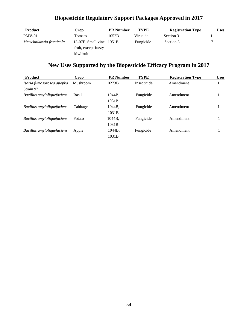## **Biopesticide Regulatory Support Packages Approved in 2017**

| <b>Product</b>           | Crop                     | <b>PR</b> Number | <b>TYPE</b> | <b>Registration Type</b> | Uses |
|--------------------------|--------------------------|------------------|-------------|--------------------------|------|
| $PMV-01$                 | Tomato                   | 1052B            | Virucide    | Section 3                |      |
| Metschnikowia fructicola | 13-07F. Small vine 1051B |                  | Fungicide   | Section 3                |      |
|                          | fruit, except fuzzy      |                  |             |                          |      |
|                          | kiwifruit                |                  |             |                          |      |

## **New Uses Supported by the Biopesticide Efficacy Program in 2017**

| <b>Product</b>             | Crop     | <b>PR Number</b> | <b>TYPE</b> | <b>Registration Type</b> | <b>Uses</b> |
|----------------------------|----------|------------------|-------------|--------------------------|-------------|
| Isaria fumosorosea apopka  | Mushroom | 0273B            | Insecticide | Amendment                |             |
| Strain 97                  |          |                  |             |                          |             |
| Bacillus amyloliquefaciens | Basil    | 1044B.           | Fungicide   | Amendment                | 1           |
|                            |          | 1031B            |             |                          |             |
| Bacillus amyloliquefaciens | Cabbage  | 1044B,           | Fungicide   | Amendment                |             |
|                            |          | 1031B            |             |                          |             |
| Bacillus amyloliquefaciens | Potato   | 1044B,           | Fungicide   | Amendment                |             |
|                            |          | 1031B            |             |                          |             |
| Bacillus amyloliquefaciens | Apple    | 1044B.           | Fungicide   | Amendment                |             |
|                            |          | 1031B            |             |                          |             |